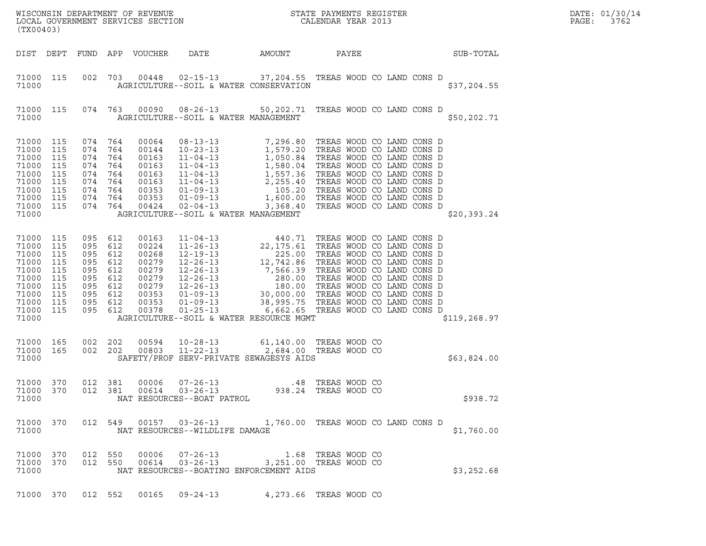| (TX00403)                                                                                                                                                                                                                                                                                                                                                               |                                                                                                                |                                              |              | DATE: 01/30/14<br>PAGE:<br>3762 |
|-------------------------------------------------------------------------------------------------------------------------------------------------------------------------------------------------------------------------------------------------------------------------------------------------------------------------------------------------------------------------|----------------------------------------------------------------------------------------------------------------|----------------------------------------------|--------------|---------------------------------|
| DIST DEPT<br>FUND APP VOUCHER                                                                                                                                                                                                                                                                                                                                           | DATE<br>AMOUNT                                                                                                 | PAYEE                                        | SUB-TOTAL    |                                 |
| 71000 115<br>002 703<br>71000                                                                                                                                                                                                                                                                                                                                           | 00448  02-15-13  37,204.55  TREAS WOOD CO LAND CONS D<br>AGRICULTURE--SOIL & WATER CONSERVATION                |                                              | \$37,204.55  |                                 |
| 71000 115<br>074 763<br>71000                                                                                                                                                                                                                                                                                                                                           | 00090 08-26-13 50,202.71 TREAS WOOD CO LAND CONS D<br>AGRICULTURE--SOIL & WATER MANAGEMENT                     |                                              | \$50,202.71  |                                 |
| 71000<br>115<br>074 764<br>00064<br>71000<br>115<br>074<br>764<br>00144<br>71000<br>115<br>074<br>764<br>00163<br>71000<br>115<br>074<br>764<br>00163<br>71000<br>115<br>074<br>764<br>00163<br>71000<br>115<br>074<br>764<br>00163<br>71000<br>115<br>074 764<br>00353<br>00353<br>71000 115<br>074 764<br>00424<br>71000 115<br>074 764<br>71000                      | AGRICULTURE--SOIL & WATER MANAGEMENT                                                                           |                                              | \$20,393.24  |                                 |
| 71000 115<br>095 612<br>00163<br>71000<br>115<br>095 612<br>00224<br>71000<br>115<br>095 612<br>00268<br>00279<br>71000<br>115<br>095<br>612<br>00279<br>71000<br>115<br>095 612<br>00279<br>71000<br>115<br>095<br>612<br>71000<br>115<br>095 612<br>00279<br>00353<br>71000 115<br>095 612<br>00353<br>71000 115<br>095 612<br>71000 115<br>095 612<br>00378<br>71000 | AGRICULTURE--SOIL & WATER RESOURCE MGMT                                                                        |                                              | \$119,268.97 |                                 |
| 71000 165<br>002 202<br>00594<br>002 202<br>71000 165<br>00803<br>71000                                                                                                                                                                                                                                                                                                 | 10-28-13 61,140.00 TREAS WOOD CO<br>11-22-13 2,684.00 TREAS WOOD CO<br>SAFETY/PROF SERV-PRIVATE SEWAGESYS AIDS |                                              | \$63,824.00  |                                 |
| 71000 370<br>012 381<br>00006<br>71000 370<br>012 381<br>71000                                                                                                                                                                                                                                                                                                          | $07 - 26 - 13$<br>.48<br>NAT RESOURCES--BOAT PATROL                                                            | TREAS WOOD CO<br>938.24 TREAS WOOD CO        | \$938.72     |                                 |
| 71000 370<br>71000                                                                                                                                                                                                                                                                                                                                                      | 012 549 00157 03-26-13 1,760.00 TREAS WOOD CO LAND CONS D<br>NAT RESOURCES--WILDLIFE DAMAGE                    |                                              | \$1,760.00   |                                 |
| 71000 370<br>550<br>00006<br>012<br>00614<br>71000 370<br>012 550<br>71000                                                                                                                                                                                                                                                                                              | $07 - 26 - 13$<br>$03 - 26 - 13$<br>NAT RESOURCES--BOATING ENFORCEMENT AIDS                                    | 1.68 TREAS WOOD CO<br>3,251.00 TREAS WOOD CO | \$3,252.68   |                                 |
| 71000 370<br>012 552                                                                                                                                                                                                                                                                                                                                                    | 00165 09-24-13                                                                                                 | 4,273.66 TREAS WOOD CO                       |              |                                 |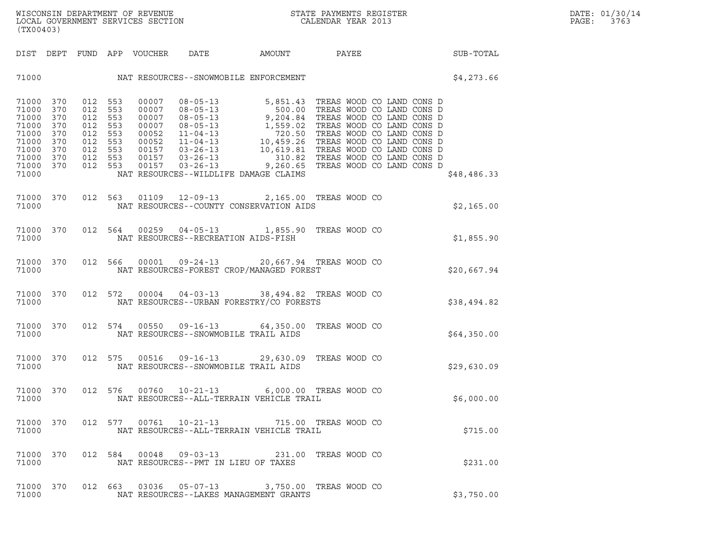| (TX00403)                                                                                          |                                        |                                                                           |                    |                            |                                                                                                     |        |  |  |                 | DATE: 01/30/14<br>PAGE:<br>3763 |
|----------------------------------------------------------------------------------------------------|----------------------------------------|---------------------------------------------------------------------------|--------------------|----------------------------|-----------------------------------------------------------------------------------------------------|--------|--|--|-----------------|---------------------------------|
|                                                                                                    |                                        |                                                                           |                    | DIST DEPT FUND APP VOUCHER | DATE                                                                                                | AMOUNT |  |  | PAYEE SUB-TOTAL |                                 |
|                                                                                                    |                                        |                                                                           |                    |                            |                                                                                                     |        |  |  | \$4,273.66      |                                 |
| 71000 370<br>71000 370<br>71000<br>71000<br>71000<br>71000<br>71000<br>71000<br>71000 370<br>71000 | 370<br>370<br>370<br>370<br>370<br>370 | 012 553<br>012 553<br>012 553<br>012 553<br>012 553<br>012 553<br>012 553 | 012 553<br>012 553 |                            | NAT RESOURCES--WILDLIFE DAMAGE CLAIMS                                                               |        |  |  | \$48,486.33     |                                 |
| 71000                                                                                              | 71000 370                              |                                                                           | 012 563            |                            | 01109  12-09-13  2,165.00 TREAS WOOD CO<br>NAT RESOURCES--COUNTY CONSERVATION AIDS                  |        |  |  | \$2,165.00      |                                 |
| 71000                                                                                              | 71000 370                              |                                                                           | 012 564            |                            | 00259  04-05-13  1,855.90 TREAS WOOD CO<br>NAT RESOURCES--RECREATION AIDS-FISH                      |        |  |  | \$1,855.90      |                                 |
| 71000                                                                                              | 71000 370                              |                                                                           | 012 566            |                            | 00001  09-24-13  20,667.94  TREAS WOOD CO<br>NAT RESOURCES-FOREST CROP/MANAGED FOREST               |        |  |  | \$20,667.94     |                                 |
| 71000 370<br>71000                                                                                 |                                        |                                                                           | 012 572            |                            | 00004  04-03-13  38,494.82  TREAS WOOD CO<br>NAT RESOURCES--URBAN FORESTRY/CO FORESTS               |        |  |  | \$38,494.82     |                                 |
| 71000 370<br>71000                                                                                 |                                        |                                                                           | 012 574            |                            | 00550 09-16-13 64,350.00 TREAS WOOD CO<br>NAT RESOURCES--SNOWMOBILE TRAIL AIDS                      |        |  |  | \$64,350.00     |                                 |
| 71000 370<br>71000                                                                                 |                                        |                                                                           | 012 575            |                            | 00516  09-16-13  29,630.09  TREAS WOOD CO<br>NAT RESOURCES--SNOWMOBILE TRAIL AIDS                   |        |  |  | \$29,630.09     |                                 |
| 71000                                                                                              |                                        |                                                                           |                    |                            | 71000 370 012 576 00760 10-21-13 6,000.00 TREAS WOOD CO<br>NAT RESOURCES--ALL-TERRAIN VEHICLE TRAIL |        |  |  | \$6,000.00      |                                 |
| 71000 370<br>71000                                                                                 |                                        |                                                                           |                    |                            | 012 577  00761  10-21-13  715.00 TREAS WOOD CO<br>NAT RESOURCES--ALL-TERRAIN VEHICLE TRAIL          |        |  |  | \$715.00        |                                 |
| 71000                                                                                              | 71000 370                              |                                                                           |                    |                            | 012 584 00048 09-03-13 231.00 TREAS WOOD CO<br>NAT RESOURCES--PMT IN LIEU OF TAXES                  |        |  |  | \$231.00        |                                 |
| 71000 370<br>71000                                                                                 |                                        |                                                                           |                    |                            | 012  663  03036  05-07-13  3,750.00 TREAS WOOD CO<br>NAT RESOURCES--LAKES MANAGEMENT GRANTS         |        |  |  | \$3,750.00      |                                 |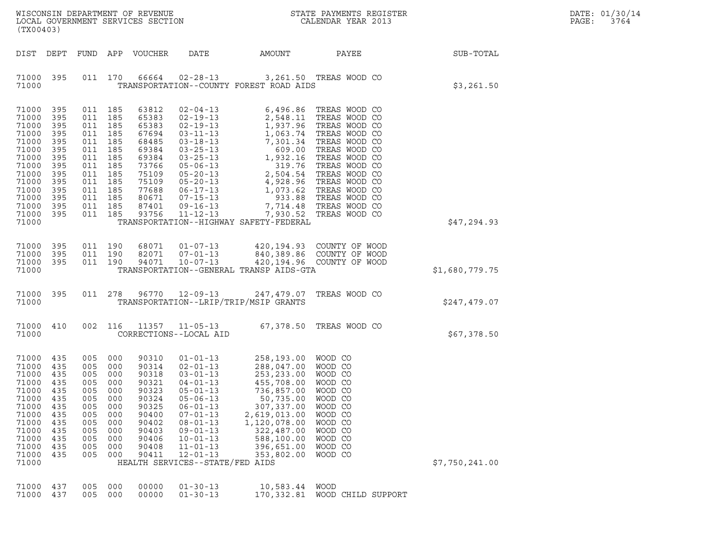| WISCONSIN DEPARTMENT OF REVENUE   | STATE PAYMENTS REGISTER | DATE: 01/30/14            |
|-----------------------------------|-------------------------|---------------------------|
| LOCAL GOVERNMENT SERVICES SECTION | CALENDAR YEAR 2013      | 3764<br>$\mathtt{PAGE}$ : |

| (TX00403)                                                                                                                           |                                                                                                |                                                                                                                                                        |                                                             | WISCONSIN DEPARTMENT OF REVENUE<br>LOCAL GOVERNMENT SERVICES SECTION                                              |                                                                                                                                                                                                                                                                           |                                                                                                                                                                                                                                                                                                | STATE PAYMENTS REGISTER<br>CALENDAR YEAR 2013                                                                                             |                | DATE: 01/30/14<br>PAGE:<br>3764 |
|-------------------------------------------------------------------------------------------------------------------------------------|------------------------------------------------------------------------------------------------|--------------------------------------------------------------------------------------------------------------------------------------------------------|-------------------------------------------------------------|-------------------------------------------------------------------------------------------------------------------|---------------------------------------------------------------------------------------------------------------------------------------------------------------------------------------------------------------------------------------------------------------------------|------------------------------------------------------------------------------------------------------------------------------------------------------------------------------------------------------------------------------------------------------------------------------------------------|-------------------------------------------------------------------------------------------------------------------------------------------|----------------|---------------------------------|
| DIST DEPT                                                                                                                           |                                                                                                |                                                                                                                                                        |                                                             | FUND APP VOUCHER                                                                                                  | DATE                                                                                                                                                                                                                                                                      | AMOUNT                                                                                                                                                                                                                                                                                         | <b>PAYEE</b>                                                                                                                              | SUB-TOTAL      |                                 |
| 71000 395<br>71000                                                                                                                  |                                                                                                |                                                                                                                                                        | 011 170                                                     |                                                                                                                   | 66664 02-28-13                                                                                                                                                                                                                                                            | TRANSPORTATION--COUNTY FOREST ROAD AIDS                                                                                                                                                                                                                                                        | 3,261.50 TREAS WOOD CO                                                                                                                    | \$3,261.50     |                                 |
| 71000<br>71000<br>71000<br>71000<br>71000<br>71000<br>71000<br>71000<br>71000<br>71000<br>71000<br>71000<br>71000<br>71000<br>71000 | 395<br>395<br>395<br>395<br>395<br>395<br>395<br>395<br>395<br>395<br>395<br>395<br>395<br>395 | 011 185<br>011 185<br>011 185<br>011 185<br>011 185<br>011 185<br>011 185<br>011 185<br>011 185<br>011 185<br>011 185<br>011 185<br>011 185<br>011 185 |                                                             | 63812<br>93756                                                                                                    | $02 - 04 - 13$<br>87401 09-16-13<br>11-12-13                                                                                                                                                                                                                              | 63812 02-04-13 6,496.86 IREAS MOOD CO<br>65383 02-19-13 1,937.96 TREAS MOOD CO<br>67694 03-11-13 1,063.74 TREAS MOOD CO<br>68485 03-18-13 7,301.34 TREAS MOOD CO<br>69384 03-25-13 609.00 TREAS MOOD CO<br>69384 03-25-13 1,932.16 TREAS<br>7,930.52<br>TRANSPORTATION--HIGHWAY SAFETY-FEDERAL | 6,496.86 TREAS WOOD CO<br>7,714.48 TREAS WOOD CO<br>TREAS WOOD CO                                                                         | \$47,294.93    |                                 |
| 71000<br>71000<br>71000<br>71000                                                                                                    | 395<br>395<br>395                                                                              | 011 190<br>011 190                                                                                                                                     | 011 190                                                     |                                                                                                                   |                                                                                                                                                                                                                                                                           | TRANSPORTATION--GENERAL TRANSP AIDS-GTA                                                                                                                                                                                                                                                        | 68071  01-07-13  420,194.93  COUNTY OF WOOD<br>82071  07-01-13  840,389.86  COUNTY OF WOOD<br>94071  10-07-13  420,194.96  COUNTY OF WOOD | \$1,680,779.75 |                                 |
| 71000 395<br>71000                                                                                                                  |                                                                                                |                                                                                                                                                        |                                                             |                                                                                                                   | 011 278 96770 12-09-13                                                                                                                                                                                                                                                    | TRANSPORTATION--LRIP/TRIP/MSIP GRANTS                                                                                                                                                                                                                                                          | 247,479.07 TREAS WOOD CO                                                                                                                  | \$247,479.07   |                                 |
| 71000 410<br>71000                                                                                                                  |                                                                                                | 002 116                                                                                                                                                |                                                             | 11357                                                                                                             | CORRECTIONS--LOCAL AID                                                                                                                                                                                                                                                    | 11-05-13 67,378.50 TREAS WOOD CO                                                                                                                                                                                                                                                               |                                                                                                                                           | \$67,378.50    |                                 |
| 71000 435<br>71000<br>71000<br>71000<br>71000 435<br>71000<br>71000<br>71000<br>71000<br>71000<br>71000<br>71000<br>71000<br>71000  | 435<br>435<br>435<br>435<br>435<br>435<br>435<br>435<br>435<br>435<br>435                      | 005 000<br>005 000<br>005 000<br>005<br>005 000<br>005<br>005<br>005<br>005<br>005<br>005<br>005<br>005                                                | 000<br>000<br>000<br>000<br>000<br>000<br>000<br>000<br>000 | 90310<br>90314<br>90318<br>90321<br>90323<br>90324<br>90325<br>90400<br>90402<br>90403<br>90406<br>90408<br>90411 | $01 - 01 - 13$<br>$02 - 01 - 13$<br>$03 - 01 - 13$<br>$04 - 01 - 13$<br>$05 - 01 - 13$<br>$05 - 06 - 13$<br>$06 - 01 - 13$<br>$07 - 01 - 13$<br>$08 - 01 - 13$<br>$09 - 01 - 13$<br>$10 - 01 - 13$<br>$11 - 01 - 13$<br>$12 - 01 - 13$<br>HEALTH SERVICES--STATE/FED AIDS | 258,193.00 WOOD CO<br>288,047.00 WOOD CO<br>253,233.00 WOOD CO<br>455,708.00 WOOD CO<br>736,857.00 WOOD CO<br>50,735.00<br>307,337.00<br>2,619,013.00<br>1,120,078.00<br>322,487.00<br>588,100.00<br>396,651.00<br>353,802.00                                                                  | WOOD CO<br>WOOD CO<br>WOOD CO<br>WOOD CO<br>WOOD CO<br>WOOD CO<br>WOOD CO<br>WOOD CO                                                      | \$7,750,241.00 |                                 |
| 71000<br>71000                                                                                                                      | 437<br>437                                                                                     | 005<br>005                                                                                                                                             | 000<br>000                                                  | 00000<br>00000                                                                                                    | $01 - 30 - 13$<br>$01 - 30 - 13$                                                                                                                                                                                                                                          | 10,583.44<br>170,332.81                                                                                                                                                                                                                                                                        | <b>WOOD</b><br>WOOD CHILD SUPPORT                                                                                                         |                |                                 |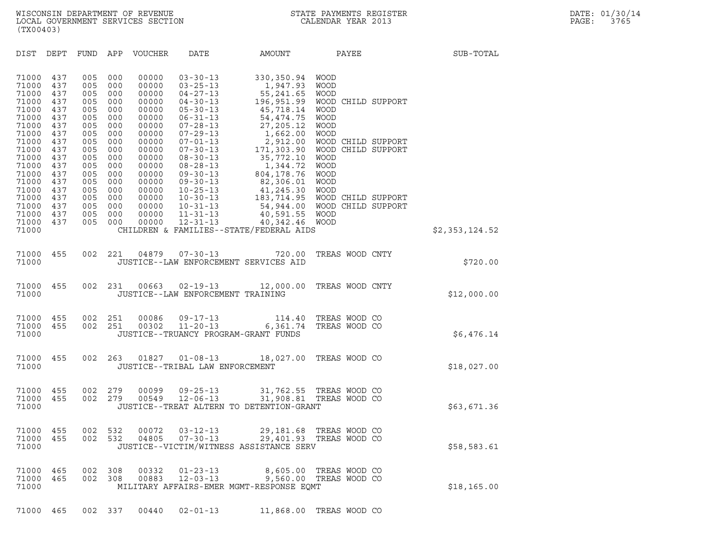| (TX00403)                                                                                                                           |                                                                                                       |                                                                                                       |                                                                                                       |                                                                                                                                     |                                                                                                                                                                                                                                                                            |                                                                                                                                                                                                     |                                                                                                                                                                                                                                                    |                |
|-------------------------------------------------------------------------------------------------------------------------------------|-------------------------------------------------------------------------------------------------------|-------------------------------------------------------------------------------------------------------|-------------------------------------------------------------------------------------------------------|-------------------------------------------------------------------------------------------------------------------------------------|----------------------------------------------------------------------------------------------------------------------------------------------------------------------------------------------------------------------------------------------------------------------------|-----------------------------------------------------------------------------------------------------------------------------------------------------------------------------------------------------|----------------------------------------------------------------------------------------------------------------------------------------------------------------------------------------------------------------------------------------------------|----------------|
| DIST                                                                                                                                | DEPT                                                                                                  | FUND                                                                                                  | APP                                                                                                   | <b>VOUCHER</b>                                                                                                                      | DATE                                                                                                                                                                                                                                                                       | AMOUNT                                                                                                                                                                                              | PAYEE                                                                                                                                                                                                                                              | SUB-TOTAL      |
| 71000<br>71000<br>71000<br>71000<br>71000<br>71000<br>71000<br>71000<br>71000<br>71000<br>71000<br>71000<br>71000<br>71000<br>71000 | 437<br>437<br>437<br>437<br>437<br>437<br>437<br>437<br>437<br>437<br>437<br>437<br>437<br>437<br>437 | 005<br>005<br>005<br>005<br>005<br>005<br>005<br>005<br>005<br>005<br>005<br>005<br>005<br>005<br>005 | 000<br>000<br>000<br>000<br>000<br>000<br>000<br>000<br>000<br>000<br>000<br>000<br>000<br>000<br>000 | 00000<br>00000<br>00000<br>00000<br>00000<br>00000<br>00000<br>00000<br>00000<br>00000<br>00000<br>00000<br>00000<br>00000<br>00000 | $03 - 30 - 13$<br>$03 - 25 - 13$<br>$04 - 27 - 13$<br>$04 - 30 - 13$<br>$05 - 30 - 13$<br>$06 - 31 - 13$<br>$07 - 28 - 13$<br>$07 - 29 - 13$<br>$07 - 01 - 13$<br>$07 - 30 - 13$<br>$08 - 30 - 13$<br>$08 - 28 - 13$<br>$09 - 30 - 13$<br>$09 - 30 - 13$<br>$10 - 25 - 13$ | 330,350.94<br>1,947.93<br>55, 241.65<br>196,951.99<br>45,718.14<br>54, 474.75<br>27, 205.12<br>1,662.00<br>2,912.00<br>171,303.90<br>35,772.10<br>1,344.72<br>804, 178.76<br>82,306.01<br>41,245.30 | <b>WOOD</b><br><b>WOOD</b><br><b>WOOD</b><br>WOOD CHILD SUPPORT<br><b>WOOD</b><br><b>WOOD</b><br><b>WOOD</b><br><b>WOOD</b><br>WOOD CHILD SUPPORT<br>WOOD CHILD SUPPORT<br><b>WOOD</b><br><b>WOOD</b><br><b>WOOD</b><br><b>WOOD</b><br><b>WOOD</b> |                |
| 71000<br>71000<br>71000<br>71000<br>71000                                                                                           | 437<br>437<br>437<br>437                                                                              | 005<br>005<br>005<br>005                                                                              | 000<br>000<br>000<br>000                                                                              | 00000<br>00000<br>00000<br>00000                                                                                                    | $10 - 30 - 13$<br>$10 - 31 - 13$<br>$11 - 31 - 13$<br>$12 - 31 - 13$                                                                                                                                                                                                       | 183,714.95<br>54,944.00<br>40,591.55<br>40,342.46<br>CHILDREN & FAMILIES--STATE/FEDERAL AIDS                                                                                                        | WOOD CHILD SUPPORT<br>WOOD CHILD SUPPORT<br>WOOD<br><b>WOOD</b>                                                                                                                                                                                    | \$2,353,124.52 |
| 71000<br>71000                                                                                                                      | 455                                                                                                   | 002                                                                                                   | 221                                                                                                   | 04879                                                                                                                               | $07 - 30 - 13$<br>JUSTICE--LAW ENFORCEMENT SERVICES AID                                                                                                                                                                                                                    | 720.00                                                                                                                                                                                              | TREAS WOOD CNTY                                                                                                                                                                                                                                    | \$720.00       |
| 71000<br>71000                                                                                                                      | 455                                                                                                   | 002                                                                                                   | 231                                                                                                   | 00663                                                                                                                               | $02 - 19 - 13$<br>JUSTICE--LAW ENFORCEMENT TRAINING                                                                                                                                                                                                                        | 12,000.00                                                                                                                                                                                           | TREAS WOOD CNTY                                                                                                                                                                                                                                    | \$12,000.00    |
| 71000<br>71000<br>71000                                                                                                             | 455<br>455                                                                                            | 002<br>002                                                                                            | 251<br>251                                                                                            | 00086<br>00302                                                                                                                      | $09 - 17 - 13$<br>$11 - 20 - 13$<br>JUSTICE--TRUANCY PROGRAM-GRANT FUNDS                                                                                                                                                                                                   | 114.40<br>6,361.74                                                                                                                                                                                  | TREAS WOOD CO<br>TREAS WOOD CO                                                                                                                                                                                                                     | \$6,476.14     |
| 71000<br>71000                                                                                                                      | 455                                                                                                   | 002                                                                                                   | 263                                                                                                   | 01827                                                                                                                               | $01 - 08 - 13$<br>JUSTICE--TRIBAL LAW ENFORCEMENT                                                                                                                                                                                                                          | 18,027.00                                                                                                                                                                                           | TREAS WOOD CO                                                                                                                                                                                                                                      | \$18,027.00    |
| 71000<br>71000<br>71000                                                                                                             | 455<br>455                                                                                            | 002<br>002                                                                                            | 279<br>279                                                                                            | 00099<br>00549                                                                                                                      | $09 - 25 - 13$<br>$12 - 06 - 13$                                                                                                                                                                                                                                           | 31,908.81<br>JUSTICE--TREAT ALTERN TO DETENTION-GRANT                                                                                                                                               | 31,762.55 TREAS WOOD CO<br>TREAS WOOD CO                                                                                                                                                                                                           | \$63,671.36    |
| 71000<br>71000<br>71000                                                                                                             | 455<br>455                                                                                            | 002<br>002                                                                                            | 532<br>532                                                                                            | 00072<br>04805                                                                                                                      | $03 - 12 - 13$<br>$07 - 30 - 13$                                                                                                                                                                                                                                           | JUSTICE--VICTIM/WITNESS ASSISTANCE SERV                                                                                                                                                             | 29,181.68 TREAS WOOD CO<br>29,401.93 TREAS WOOD CO                                                                                                                                                                                                 | \$58,583.61    |
| 71000<br>71000<br>71000                                                                                                             | 465<br>465                                                                                            | 002<br>002                                                                                            | 308<br>308                                                                                            | 00332<br>00883                                                                                                                      | $01 - 23 - 13$<br>$12 - 03 - 13$                                                                                                                                                                                                                                           | 8,605.00<br>9,560.00<br>MILITARY AFFAIRS-EMER MGMT-RESPONSE EQMT                                                                                                                                    | TREAS WOOD CO<br>TREAS WOOD CO                                                                                                                                                                                                                     | \$18, 165.00   |

71000 465 002 337 00440 02-01-13 11,868.00 TREAS WOOD CO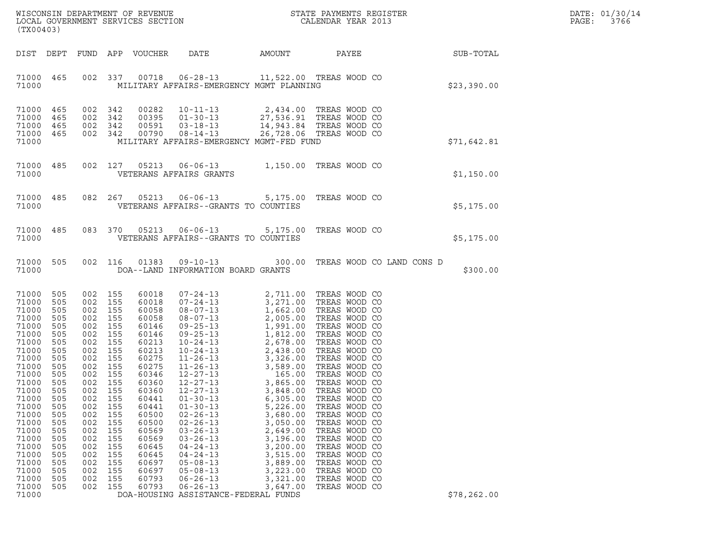|       | DATE: 01/30/14 |
|-------|----------------|
| PAGE: | 3766           |

| (TX00403)                                                                                                                                                                                                                                  |                                                                                                                                                                        |                                                                                                                                                                                                     |                                                                                                                                   |                                                                                                                                                                                                                               |                                                                                                                                                                                                                                                                                                                                                                                                                                                                                            |                                                                                                                                                                                                                                                                                |                                                                                                                                                                                                                                                                                                                                                                                                                                                         |              | DATE: 01/30/14<br>PAGE:<br>3766 |
|--------------------------------------------------------------------------------------------------------------------------------------------------------------------------------------------------------------------------------------------|------------------------------------------------------------------------------------------------------------------------------------------------------------------------|-----------------------------------------------------------------------------------------------------------------------------------------------------------------------------------------------------|-----------------------------------------------------------------------------------------------------------------------------------|-------------------------------------------------------------------------------------------------------------------------------------------------------------------------------------------------------------------------------|--------------------------------------------------------------------------------------------------------------------------------------------------------------------------------------------------------------------------------------------------------------------------------------------------------------------------------------------------------------------------------------------------------------------------------------------------------------------------------------------|--------------------------------------------------------------------------------------------------------------------------------------------------------------------------------------------------------------------------------------------------------------------------------|---------------------------------------------------------------------------------------------------------------------------------------------------------------------------------------------------------------------------------------------------------------------------------------------------------------------------------------------------------------------------------------------------------------------------------------------------------|--------------|---------------------------------|
| DIST DEPT                                                                                                                                                                                                                                  |                                                                                                                                                                        |                                                                                                                                                                                                     |                                                                                                                                   | FUND APP VOUCHER                                                                                                                                                                                                              | DATE                                                                                                                                                                                                                                                                                                                                                                                                                                                                                       | AMOUNT                                                                                                                                                                                                                                                                         | PAYEE                                                                                                                                                                                                                                                                                                                                                                                                                                                   | SUB-TOTAL    |                                 |
| 71000 465<br>71000                                                                                                                                                                                                                         |                                                                                                                                                                        |                                                                                                                                                                                                     | 002 337                                                                                                                           |                                                                                                                                                                                                                               | 00718  06-28-13  11,522.00 TREAS WOOD CO<br>MILITARY AFFAIRS-EMERGENCY MGMT PLANNING                                                                                                                                                                                                                                                                                                                                                                                                       |                                                                                                                                                                                                                                                                                |                                                                                                                                                                                                                                                                                                                                                                                                                                                         | \$23,390.00  |                                 |
| 71000 465<br>71000<br>71000<br>71000 465<br>71000                                                                                                                                                                                          | 465<br>465                                                                                                                                                             | 002 342<br>002<br>002 342<br>002 342                                                                                                                                                                | 342                                                                                                                               | 00282<br>00395<br>00591<br>00790                                                                                                                                                                                              | $10 - 11 - 13$<br>01-30-13 27,536.91 TREAS WOOD CO<br>$03 - 18 - 13$<br>$08 - 14 - 13$<br>MILITARY AFFAIRS-EMERGENCY MGMT-FED FUND                                                                                                                                                                                                                                                                                                                                                         |                                                                                                                                                                                                                                                                                | 2,434.00 TREAS WOOD CO<br>14,943.84 TREAS WOOD CO<br>26,728.06 TREAS WOOD CO                                                                                                                                                                                                                                                                                                                                                                            | \$71,642.81  |                                 |
| 71000 485<br>71000                                                                                                                                                                                                                         |                                                                                                                                                                        | 002 127                                                                                                                                                                                             |                                                                                                                                   | 05213                                                                                                                                                                                                                         | VETERANS AFFAIRS GRANTS                                                                                                                                                                                                                                                                                                                                                                                                                                                                    |                                                                                                                                                                                                                                                                                | 06-06-13 1,150.00 TREAS WOOD CO                                                                                                                                                                                                                                                                                                                                                                                                                         | \$1,150.00   |                                 |
| 71000 485<br>71000                                                                                                                                                                                                                         |                                                                                                                                                                        |                                                                                                                                                                                                     | 082 267                                                                                                                           | 05213                                                                                                                                                                                                                         | $06 - 06 - 13$<br>VETERANS AFFAIRS--GRANTS TO COUNTIES                                                                                                                                                                                                                                                                                                                                                                                                                                     |                                                                                                                                                                                                                                                                                | 5,175.00 TREAS WOOD CO                                                                                                                                                                                                                                                                                                                                                                                                                                  | \$5,175.00   |                                 |
| 71000 485<br>71000                                                                                                                                                                                                                         |                                                                                                                                                                        | 083 370                                                                                                                                                                                             |                                                                                                                                   | 05213                                                                                                                                                                                                                         | $06 - 06 - 13$<br>VETERANS AFFAIRS--GRANTS TO COUNTIES                                                                                                                                                                                                                                                                                                                                                                                                                                     |                                                                                                                                                                                                                                                                                | 5,175.00 TREAS WOOD CO                                                                                                                                                                                                                                                                                                                                                                                                                                  | \$5,175.00   |                                 |
| 71000 505<br>71000                                                                                                                                                                                                                         |                                                                                                                                                                        | 002 116                                                                                                                                                                                             |                                                                                                                                   | 01383                                                                                                                                                                                                                         | $09 - 10 - 13$<br>DOA--LAND INFORMATION BOARD GRANTS                                                                                                                                                                                                                                                                                                                                                                                                                                       |                                                                                                                                                                                                                                                                                | 300.00 TREAS WOOD CO LAND CONS D                                                                                                                                                                                                                                                                                                                                                                                                                        | \$300.00     |                                 |
| 71000<br>71000<br>71000<br>71000<br>71000<br>71000<br>71000<br>71000<br>71000<br>71000<br>71000<br>71000 505<br>71000<br>71000<br>71000<br>71000<br>71000<br>71000<br>71000<br>71000<br>71000<br>71000<br>71000<br>71000<br>71000<br>71000 | - 505<br>505<br>505<br>505<br>505<br>505<br>505<br>505<br>505<br>505<br>505<br>505<br>505<br>505<br>505<br>505<br>505<br>505<br>505<br>505<br>505<br>505<br>505<br>505 | 002 155<br>002 155<br>002<br>002 155<br>002<br>002<br>002<br>002 155<br>002<br>002 155<br>002<br>002 155<br>002<br>002<br>002<br>002<br>002<br>002<br>002<br>002<br>002<br>002<br>002<br>002<br>002 | 155<br>155<br>155<br>155<br>155<br>155<br>155<br>155<br>155<br>155<br>155<br>155<br>155<br>155<br>155<br>155<br>155<br>155<br>155 | 60018<br>60018<br>60058<br>60058<br>60146<br>60146<br>60213<br>60213<br>60275<br>60275<br>60346<br>60360<br>60360<br>60441<br>60441<br>60500<br>60500<br>60569<br>60569<br>60645<br>60645<br>60697<br>60697<br>60793<br>60793 | $07 - 24 - 13$<br>$07 - 24 - 13$<br>$08 - 07 - 13$<br>08-07-13<br>$09 - 25 - 13$<br>09-25-13<br>$10 - 24 - 13$<br>10-24-13<br>$11 - 26 - 13$<br>11-26-13<br>12-27-13<br>$12 - 27 - 13$<br>$12 - 27 - 13$<br>$12 - 27 - 13$<br>$01 - 30 - 13$<br>$01 - 30 - 13$<br>$02 - 26 - 13$<br>$02 - 26 - 13$<br>$03 - 26 - 13$<br>$03 - 26 - 13$<br>$04 - 24 - 13$<br>$04 - 24 - 13$<br>$05 - 08 - 13$<br>$05 - 08 - 13$<br>$06 - 26 - 13$<br>$06 - 26 - 13$<br>DOA-HOUSING ASSISTANCE-FEDERAL FUNDS | 1,662.00<br>2,005.00<br>1,991.00<br>1,812.00<br>2,678.00<br>2,438.00<br>3,326.00<br>3,589.00<br>165.00<br>3,865.00<br>3,848.00<br>6,305.00<br>5,226.00<br>3,680.00<br>3,050.00<br>2,649.00<br>3,196.00<br>3,200.00<br>3,515.00<br>3,889.00<br>3,223.00<br>3,321.00<br>3,647.00 | 2,711.00 TREAS WOOD CO<br>3,271.00 TREAS WOOD CO<br>TREAS WOOD CO<br>TREAS WOOD CO<br>TREAS WOOD CO<br>TREAS WOOD CO<br>TREAS WOOD CO<br>TREAS WOOD CO<br>TREAS WOOD CO<br>TREAS WOOD CO<br>TREAS WOOD CO<br>TREAS WOOD CO<br>TREAS WOOD CO<br>TREAS WOOD CO<br>TREAS WOOD CO<br>TREAS WOOD CO<br>TREAS WOOD CO<br>TREAS WOOD CO<br>TREAS WOOD CO<br>TREAS WOOD CO<br>TREAS WOOD CO<br>TREAS WOOD CO<br>TREAS WOOD CO<br>TREAS WOOD CO<br>TREAS WOOD CO | \$78, 262.00 |                                 |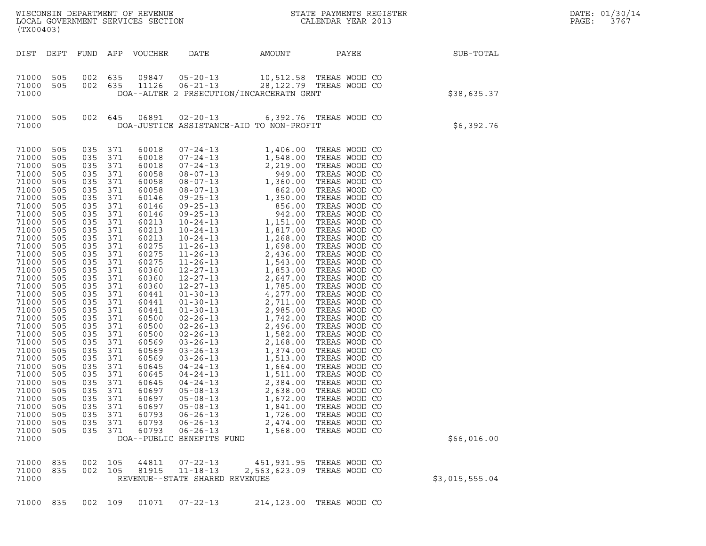| (TX00403)                                                                                                                                                                                                                                                                                                                                 |                                                                                                                                                                                                                                                          |                                                                                                                                                                                                                                                                                                                                                                                  |                                        |                                                                                                                                                                                                                                                                                                                                  |                                                                                                                                                         |                                                                                  |                                                                                                                     | $\mathcal{L}(\mathcal{L}^{\text{max}}_{\mathcal{L}^{\text{max}}_{\mathcal{L}^{\text{max}}_{\mathcal{L}^{\text{max}}_{\mathcal{L}^{\text{max}}_{\mathcal{L}^{\text{max}}_{\mathcal{L}^{\text{max}}_{\mathcal{L}^{\text{max}}_{\mathcal{L}^{\text{max}}_{\mathcal{L}^{\text{max}}_{\mathcal{L}^{\text{max}}_{\mathcal{L}^{\text{max}}_{\mathcal{L}^{\text{max}}_{\mathcal{L}^{\text{max}}_{\mathcal{L}^{\text{max}}_{\mathcal{L}^{\text{max}}_{\mathcal{L}$ | DATE: 01/30/14<br>PAGE:<br>3767 |
|-------------------------------------------------------------------------------------------------------------------------------------------------------------------------------------------------------------------------------------------------------------------------------------------------------------------------------------------|----------------------------------------------------------------------------------------------------------------------------------------------------------------------------------------------------------------------------------------------------------|----------------------------------------------------------------------------------------------------------------------------------------------------------------------------------------------------------------------------------------------------------------------------------------------------------------------------------------------------------------------------------|----------------------------------------|----------------------------------------------------------------------------------------------------------------------------------------------------------------------------------------------------------------------------------------------------------------------------------------------------------------------------------|---------------------------------------------------------------------------------------------------------------------------------------------------------|----------------------------------------------------------------------------------|---------------------------------------------------------------------------------------------------------------------|-----------------------------------------------------------------------------------------------------------------------------------------------------------------------------------------------------------------------------------------------------------------------------------------------------------------------------------------------------------------------------------------------------------------------------------------------------------|---------------------------------|
| DIST DEPT                                                                                                                                                                                                                                                                                                                                 |                                                                                                                                                                                                                                                          |                                                                                                                                                                                                                                                                                                                                                                                  |                                        | FUND APP VOUCHER                                                                                                                                                                                                                                                                                                                 | DATE                                                                                                                                                    | AMOUNT                                                                           | PAYEE                                                                                                               | SUB-TOTAL                                                                                                                                                                                                                                                                                                                                                                                                                                                 |                                 |
| 71000<br>71000<br>71000                                                                                                                                                                                                                                                                                                                   | 505<br>505                                                                                                                                                                                                                                               | 002 635                                                                                                                                                                                                                                                                                                                                                                          |                                        | 09847<br>002 635 11126                                                                                                                                                                                                                                                                                                           | DOA--ALTER 2 PRSECUTION/INCARCERATN GRNT                                                                                                                |                                                                                  | 05-20-13 10,512.58 TREAS WOOD CO<br>06-21-13 28, 122.79 TREAS WOOD CO                                               | \$38,635.37                                                                                                                                                                                                                                                                                                                                                                                                                                               |                                 |
| 71000<br>71000                                                                                                                                                                                                                                                                                                                            | 505                                                                                                                                                                                                                                                      | 002 645                                                                                                                                                                                                                                                                                                                                                                          |                                        |                                                                                                                                                                                                                                                                                                                                  | DOA-JUSTICE ASSISTANCE-AID TO NON-PROFIT                                                                                                                |                                                                                  | 06891  02-20-13   6,392.76   TREAS WOOD CO                                                                          | \$6,392.76                                                                                                                                                                                                                                                                                                                                                                                                                                                |                                 |
| 71000<br>71000<br>71000<br>71000<br>71000<br>71000<br>71000<br>71000<br>71000<br>71000<br>71000<br>71000<br>71000<br>71000<br>71000<br>71000<br>71000<br>71000<br>71000<br>71000<br>71000<br>71000<br>71000<br>71000<br>71000<br>71000<br>71000<br>71000<br>71000<br>71000<br>71000<br>71000<br>71000<br>71000<br>71000<br>71000<br>71000 | 505<br>505<br>505<br>505<br>505<br>505<br>505<br>505<br>505<br>505<br>505<br>505<br>505<br>505<br>505<br>505<br>505<br>505<br>505<br>505<br>505<br>505<br>505<br>505<br>505<br>505<br>505<br>505<br>505<br>505<br>505<br>505<br>505<br>505<br>505<br>505 | 035 371<br>035 371<br>035 371<br>035 371<br>035 371<br>035 371<br>035 371<br>035 371<br>035 371<br>035 371<br>035 371<br>035 371<br>035 371<br>035 371<br>035 371<br>035 371<br>035 371<br>035 371<br>035 371<br>035 371<br>035 371<br>035 371<br>035 371<br>035 371<br>035 371<br>035 371<br>035 371<br>035 371<br>035 371<br>035 371<br>035<br>035<br>035<br>035<br>035<br>035 | 371<br>371<br>371<br>371<br>371<br>371 | 60018<br>60018<br>60018<br>60058<br>60058<br>60058<br>60146<br>60146<br>60146<br>60213<br>60213<br>60213<br>60275<br>60275<br>60275<br>60360<br>60360<br>60360<br>60441<br>60441<br>60441<br>60500<br>60500<br>60500<br>60569<br>60569<br>60569<br>60645<br>60645<br>60645<br>60697<br>60697<br>60697<br>60793<br>60793<br>60793 | $04 - 24 - 13$<br>$05 - 08 - 13$<br>$05 - 08 - 13$<br>$05 - 08 - 13$<br>$06 - 26 - 13$<br>$06 - 26 - 13$<br>$06 - 26 - 13$<br>DOA--PUBLIC BENEFITS FUND | 2,384.00<br>2,638.00<br>1,672.00<br>1,841.00<br>1,726.00<br>2,474.00<br>1,568.00 | TREAS WOOD CO<br>TREAS WOOD CO<br>TREAS WOOD CO<br>TREAS WOOD CO<br>TREAS WOOD CO<br>TREAS WOOD CO<br>TREAS WOOD CO | \$66,016.00                                                                                                                                                                                                                                                                                                                                                                                                                                               |                                 |
| 71000<br>71000<br>71000                                                                                                                                                                                                                                                                                                                   | 835<br>835                                                                                                                                                                                                                                               | 002 105<br>002 105                                                                                                                                                                                                                                                                                                                                                               |                                        | 44811<br>81915                                                                                                                                                                                                                                                                                                                   | $07 - 22 - 13$<br>$11 - 18 - 13$<br>REVENUE--STATE SHARED REVENUES                                                                                      | 451,931.95<br>2,563,623.09                                                       | TREAS WOOD CO<br>TREAS WOOD CO                                                                                      | \$3,015,555.04                                                                                                                                                                                                                                                                                                                                                                                                                                            |                                 |
| 71000 835                                                                                                                                                                                                                                                                                                                                 |                                                                                                                                                                                                                                                          | 002 109                                                                                                                                                                                                                                                                                                                                                                          |                                        | 01071                                                                                                                                                                                                                                                                                                                            | $07 - 22 - 13$                                                                                                                                          |                                                                                  | 214,123.00 TREAS WOOD CO                                                                                            |                                                                                                                                                                                                                                                                                                                                                                                                                                                           |                                 |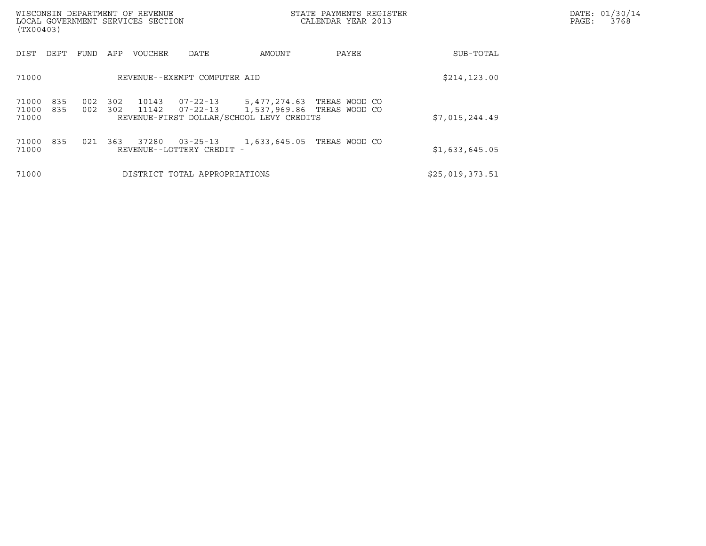| (TX00403)               |            |            |            | WISCONSIN DEPARTMENT OF REVENUE<br>LOCAL GOVERNMENT SERVICES SECTION |                                             |                                                          | STATE PAYMENTS REGISTER<br>CALENDAR YEAR 2013 | DATE: 01/30/14<br>PAGE:<br>3768 |  |
|-------------------------|------------|------------|------------|----------------------------------------------------------------------|---------------------------------------------|----------------------------------------------------------|-----------------------------------------------|---------------------------------|--|
| DIST                    | DEPT       | FUND       | APP        | <b>VOUCHER</b>                                                       | DATE                                        | AMOUNT                                                   | PAYEE                                         | SUB-TOTAL                       |  |
| 71000                   |            |            |            |                                                                      | REVENUE--EXEMPT COMPUTER AID                |                                                          |                                               | \$214, 123.00                   |  |
| 71000<br>71000<br>71000 | 835<br>835 | 002<br>002 | 302<br>302 | 10143<br>11142                                                       | $07 - 22 - 13$<br>07-22-13                  | 5,477,274.63<br>REVENUE-FIRST DOLLAR/SCHOOL LEVY CREDITS | TREAS WOOD CO<br>1,537,969.86 TREAS WOOD CO   | \$7,015,244.49                  |  |
| 71000<br>71000          | 835        | 021        | 363        | 37280                                                                | $03 - 25 - 13$<br>REVENUE--LOTTERY CREDIT - | 1,633,645.05                                             | TREAS WOOD CO                                 | \$1,633,645.05                  |  |
| 71000                   |            |            |            |                                                                      | DISTRICT TOTAL APPROPRIATIONS               |                                                          |                                               | \$25,019,373.51                 |  |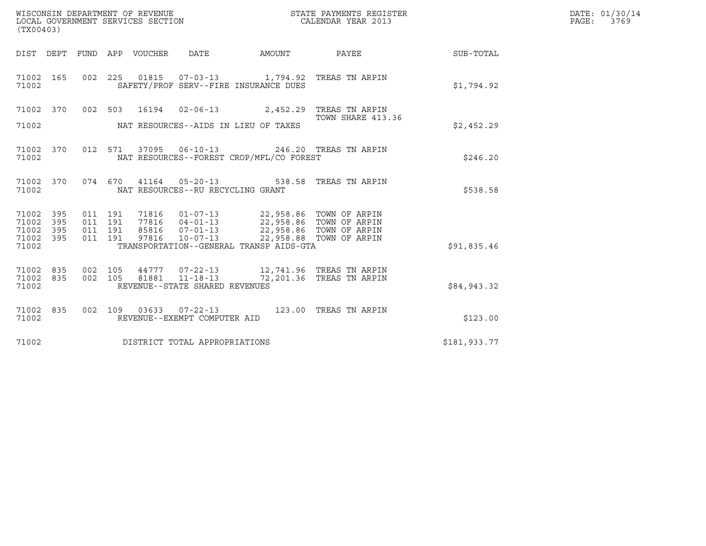| (TX00403)                                                             |                                          | WISCONSIN DEPARTMENT OF REVENUE<br>LOCAL GOVERNMENT SERVICES SECTION |                                                                    |                                                                                                                                                                       | STATE PAYMENTS REGISTER<br>CALENDAR YEAR 2013            |              | DATE: 01/30/14<br>PAGE: 3769 |
|-----------------------------------------------------------------------|------------------------------------------|----------------------------------------------------------------------|--------------------------------------------------------------------|-----------------------------------------------------------------------------------------------------------------------------------------------------------------------|----------------------------------------------------------|--------------|------------------------------|
|                                                                       |                                          | DIST DEPT FUND APP VOUCHER DATE                                      |                                                                    | AMOUNT                                                                                                                                                                | PAYEE                                                    | SUB-TOTAL    |                              |
| 71002 165<br>71002                                                    |                                          |                                                                      |                                                                    | 002 225 01815 07-03-13 1,794.92 TREAS TN ARPIN<br>SAFETY/PROF SERV--FIRE INSURANCE DUES                                                                               |                                                          | \$1,794.92   |                              |
| 71002 370<br>71002                                                    |                                          |                                                                      |                                                                    | 002 503 16194 02-06-13 2,452.29 TREAS TN ARPIN<br>NAT RESOURCES--AIDS IN LIEU OF TAXES                                                                                | TOWN SHARE 413.36                                        | \$2,452.29   |                              |
| 71002 370<br>71002                                                    |                                          |                                                                      |                                                                    | 012 571 37095 06-10-13 246.20 TREAS TN ARPIN<br>NAT RESOURCES--FOREST CROP/MFL/CO FOREST                                                                              |                                                          | \$246.20     |                              |
| 71002 370<br>71002                                                    |                                          | 074 670 41164 05-20-13                                               | NAT RESOURCES--RU RECYCLING GRANT                                  |                                                                                                                                                                       | 538.58 TREAS TN ARPIN                                    | \$538.58     |                              |
| 71002<br>395<br>71002<br>395<br>71002<br>395<br>71002<br>395<br>71002 | 011 191<br>011 191<br>011 191<br>011 191 | 71816<br>97816                                                       | $10 - 07 - 13$                                                     | 01-07-13 22,958.86 TOWN OF ARPIN<br>77816  04-01-13  22,958.86  TOWN OF ARPIN<br>85816  07-01-13  22,958.86  TOWN OF ARPIN<br>TRANSPORTATION--GENERAL TRANSP AIDS-GTA | 22,958.88 TOWN OF ARPIN                                  | \$91,835.46  |                              |
| 71002 835<br>71002<br>835<br>71002                                    | 002 105<br>002 105                       | 81881                                                                | 44777 07-22-13<br>$11 - 18 - 13$<br>REVENUE--STATE SHARED REVENUES |                                                                                                                                                                       | 12,741.96   TREAS  TN  ARPIN<br>72,201.36 TREAS TN ARPIN | \$84,943.32  |                              |
| 71002 835<br>71002                                                    |                                          | 002 109 03633 07-22-13                                               | REVENUE--EXEMPT COMPUTER AID                                       |                                                                                                                                                                       | 123.00 TREAS TN ARPIN                                    | \$123.00     |                              |
| 71002                                                                 |                                          | DISTRICT TOTAL APPROPRIATIONS                                        |                                                                    |                                                                                                                                                                       |                                                          | \$181,933.77 |                              |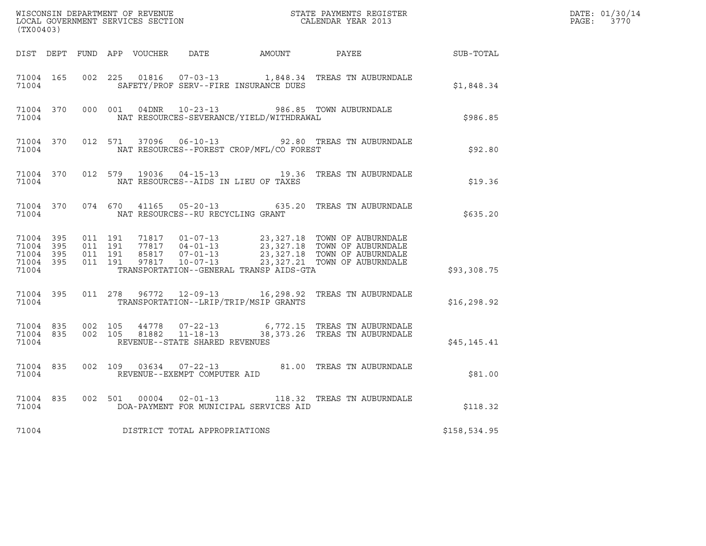| (TX00403)                                                 |  |         |                               |  |                                         |                                          |                                                                                                                                                                                                               |              | DATE: 01/30/14<br>PAGE: 3770 |
|-----------------------------------------------------------|--|---------|-------------------------------|--|-----------------------------------------|------------------------------------------|---------------------------------------------------------------------------------------------------------------------------------------------------------------------------------------------------------------|--------------|------------------------------|
|                                                           |  |         |                               |  |                                         |                                          | DIST DEPT FUND APP VOUCHER DATE AMOUNT PAYEE SUB-TOTAL                                                                                                                                                        |              |                              |
| 71004                                                     |  |         |                               |  |                                         | SAFETY/PROF SERV--FIRE INSURANCE DUES    | 71004 165 002 225 01816 07-03-13 1,848.34 TREAS TN AUBURNDALE                                                                                                                                                 | \$1,848.34   |                              |
| 71004                                                     |  |         |                               |  |                                         | NAT RESOURCES-SEVERANCE/YIELD/WITHDRAWAL | 71004 370 000 001 04DNR 10-23-13 986.85 TOWN AUBURNDALE                                                                                                                                                       | \$986.85     |                              |
| 71004 370<br>71004                                        |  |         |                               |  |                                         | NAT RESOURCES--FOREST CROP/MFL/CO FOREST | 012 571 37096 06-10-13 92.80 TREAS TN AUBURNDALE                                                                                                                                                              | \$92.80      |                              |
| 71004                                                     |  |         |                               |  |                                         | NAT RESOURCES--AIDS IN LIEU OF TAXES     | 71004 370 012 579 19036 04-15-13 19.36 TREAS TN AUBURNDALE                                                                                                                                                    | \$19.36      |                              |
|                                                           |  |         |                               |  | 71004 NAT RESOURCES--RU RECYCLING GRANT |                                          | 71004 370 074 670 41165 05-20-13 635.20 TREAS TN AUBURNDALE                                                                                                                                                   | \$635.20     |                              |
| 71004 395<br>71004 395<br>71004 395<br>71004 395<br>71004 |  | 011 191 | 011 191<br>011 191<br>011 191 |  |                                         | TRANSPORTATION--GENERAL TRANSP AIDS-GTA  |                                                                                                                                                                                                               | \$93,308.75  |                              |
| 71004                                                     |  |         |                               |  |                                         | TRANSPORTATION--LRIP/TRIP/MSIP GRANTS    | 71004 395 011 278 96772 12-09-13 16,298.92 TREAS TN AUBURNDALE                                                                                                                                                | \$16, 298.92 |                              |
| 71004                                                     |  |         |                               |  | REVENUE--STATE SHARED REVENUES          |                                          | $\begin{array}{cccccc} 71004 & 835 & 002 & 105 & 44778 & 07-22-13 & 6,772.15 & \text{TREAS TN AUBURNDALE} \\ 71004 & 835 & 002 & 105 & 81882 & 11-18-13 & 38,373.26 & \text{TREAS TN AUBURNDALE} \end{array}$ | \$45,145.41  |                              |
| 71004 835<br>71004                                        |  |         |                               |  | REVENUE--EXEMPT COMPUTER AID            |                                          | 002 109 03634 07-22-13 81.00 TREAS TN AUBURNDALE                                                                                                                                                              | \$81.00      |                              |
| 71004                                                     |  |         |                               |  |                                         | DOA-PAYMENT FOR MUNICIPAL SERVICES AID   | 71004 835 002 501 00004 02-01-13 118.32 TREAS TN AUBURNDALE                                                                                                                                                   | \$118.32     |                              |
| 71004                                                     |  |         |                               |  | DISTRICT TOTAL APPROPRIATIONS           |                                          |                                                                                                                                                                                                               | \$158,534.95 |                              |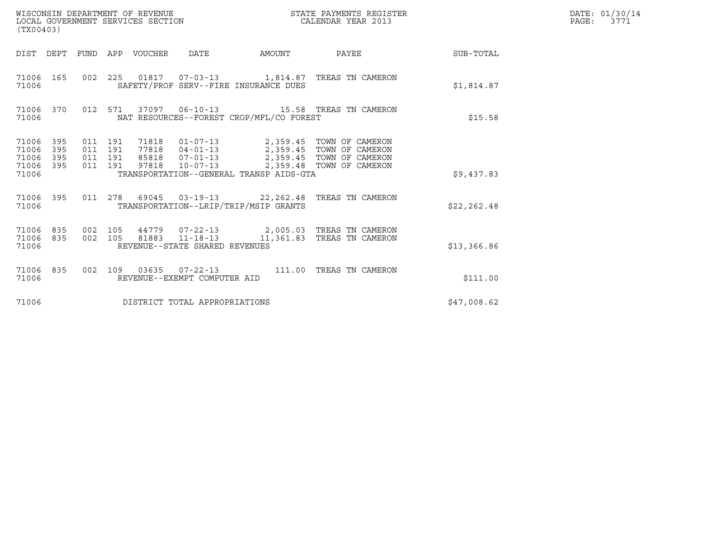| (TX00403)                                 |                          |                                          |         | WISCONSIN DEPARTMENT OF REVENUE<br>LOCAL GOVERNMENT SERVICES SECTION |                                |                                          | STATE PAYMENTS REGISTER<br>CALENDAR YEAR 2013                                                                                                                      |              | DATE: 01/30/14<br>PAGE:<br>3771 |
|-------------------------------------------|--------------------------|------------------------------------------|---------|----------------------------------------------------------------------|--------------------------------|------------------------------------------|--------------------------------------------------------------------------------------------------------------------------------------------------------------------|--------------|---------------------------------|
|                                           |                          |                                          |         | DIST DEPT FUND APP VOUCHER DATE                                      |                                |                                          | AMOUNT PAYEE                                                                                                                                                       | SUB-TOTAL    |                                 |
| 71006 165<br>71006                        |                          |                                          |         |                                                                      |                                | SAFETY/PROF SERV--FIRE INSURANCE DUES    | 002 225 01817 07-03-13 1,814.87 TREAS TN CAMERON                                                                                                                   | \$1,814.87   |                                 |
| 71006 370<br>71006                        |                          |                                          |         |                                                                      |                                | NAT RESOURCES--FOREST CROP/MFL/CO FOREST | 012 571 37097 06-10-13 15.58 TREAS TN CAMERON                                                                                                                      | \$15.58      |                                 |
| 71006<br>71006<br>71006<br>71006<br>71006 | 395<br>395<br>395<br>395 | 011 191<br>011 191<br>011 191<br>011 191 |         | 85818<br>97818                                                       |                                | TRANSPORTATION--GENERAL TRANSP AIDS-GTA  | 71818  01-07-13  2,359.45  TOWN OF CAMERON<br>77818  04-01-13  2,359.45  TOWN OF CAMERON<br>07-01-13 2,359.45 TOWN OF CAMERON<br>10-07-13 2,359.48 TOWN OF CAMERON | \$9,437.83   |                                 |
| 71006 395<br>71006                        |                          |                                          |         |                                                                      |                                | TRANSPORTATION--LRIP/TRIP/MSIP GRANTS    | 011  278  69045  03-19-13  22, 262.48  TREAS  TN CAMERON                                                                                                           | \$22, 262.48 |                                 |
| 71006<br>71006<br>71006                   | 835<br>835               | 002 105                                  | 002 105 |                                                                      | REVENUE--STATE SHARED REVENUES |                                          | 44779  07-22-13  2,005.03  TREAS TN CAMERON<br>81883 11-18-13 11,361.83 TREAS TN CAMERON                                                                           | \$13,366.86  |                                 |
| 71006 835<br>71006                        |                          |                                          |         |                                                                      | REVENUE--EXEMPT COMPUTER AID   |                                          | 002 109 03635 07-22-13 111.00 TREAS TN CAMERON                                                                                                                     | \$111.00     |                                 |
| 71006                                     |                          |                                          |         |                                                                      | DISTRICT TOTAL APPROPRIATIONS  |                                          |                                                                                                                                                                    | \$47,008.62  |                                 |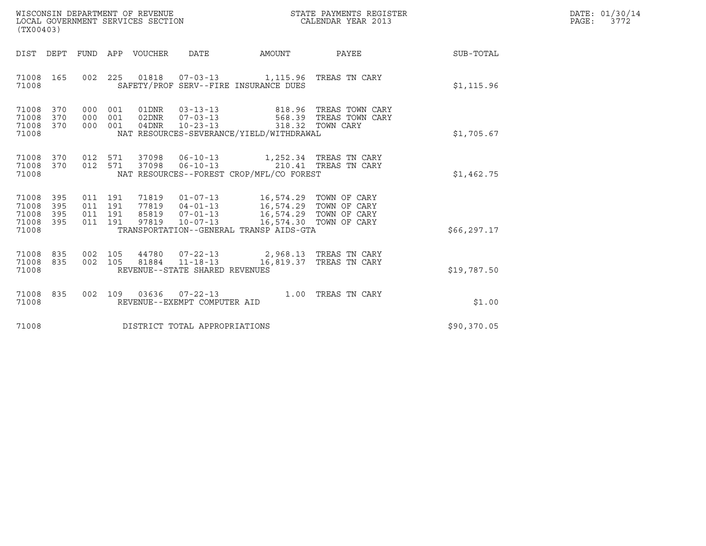| WISCONSIN DEPARTMENT OF REVENUE   | STATE PAYMENTS REGISTER | DATE: 01/30/14<br>スワワク |
|-----------------------------------|-------------------------|------------------------|
| LOCAL GOVERNMENT SERVICES SECTION | CALENDAR YEAR 2013      | PAGE:                  |

| (TX00403)                                                                                                                                                 | STATE PAYMENTS REGISTER<br>CALENDAR YEAR 2013<br>WISCONSIN DEPARTMENT OF REVENUE<br>LOCAL GOVERNMENT SERVICES SECTION                                                        |              |  |  |
|-----------------------------------------------------------------------------------------------------------------------------------------------------------|------------------------------------------------------------------------------------------------------------------------------------------------------------------------------|--------------|--|--|
| DIST DEPT                                                                                                                                                 | FUND APP VOUCHER  DATE          AMOUNT           PAYEE                                                                                                                       | SUB-TOTAL    |  |  |
| 002 225 01818 07-03-13 1,115.96 TREAS TN CARY<br>71008 165<br>SAFETY/PROF SERV--FIRE INSURANCE DUES<br>71008                                              |                                                                                                                                                                              | \$1,115.96   |  |  |
| 71008 370<br>000 001<br>71008 370<br>000 001<br>71008 370<br>000 001<br>NAT RESOURCES-SEVERANCE/YIELD/WITHDRAWAL<br>71008                                 |                                                                                                                                                                              | \$1,705.67   |  |  |
| 012 571 37098 06-10-13 1,252.34 TREAS TN CARY<br>71008 370<br>012 571<br>37098<br>71008 370<br>NAT RESOURCES--FOREST CROP/MFL/CO FOREST<br>71008          | 06-10-13 210.41 TREAS TN CARY                                                                                                                                                | \$1,462.75   |  |  |
| 71008<br>395<br>011 191<br>71008<br>395<br>011 191<br>71008<br>011 191<br>395<br>71008 395<br>011 191<br>71008<br>TRANSPORTATION--GENERAL TRANSP AIDS-GTA | 71819  01-07-13  16,574.29  TOWN OF CARY<br>77819  04-01-13  16,574.29  TOWN OF CARY<br>85819  07-01-13  16,574.29  TOWN OF CARY<br>97819  10-07-13  16,574.30  TOWN OF CARY | \$66, 297.17 |  |  |
| 002 105 44780 07-22-13 2,968.13 TREAS TN CARY<br>71008 835<br>71008 835<br>002 105<br>71008<br>REVENUE--STATE SHARED REVENUES                             | 81884  11-18-13  16,819.37  TREAS TN CARY                                                                                                                                    | \$19,787.50  |  |  |
| 002 109 03636 07-22-13 1.00 TREAS TN CARY<br>71008 835<br>71008<br>REVENUE--EXEMPT COMPUTER AID                                                           |                                                                                                                                                                              | \$1.00       |  |  |
| DISTRICT TOTAL APPROPRIATIONS<br>71008                                                                                                                    |                                                                                                                                                                              | \$90,370.05  |  |  |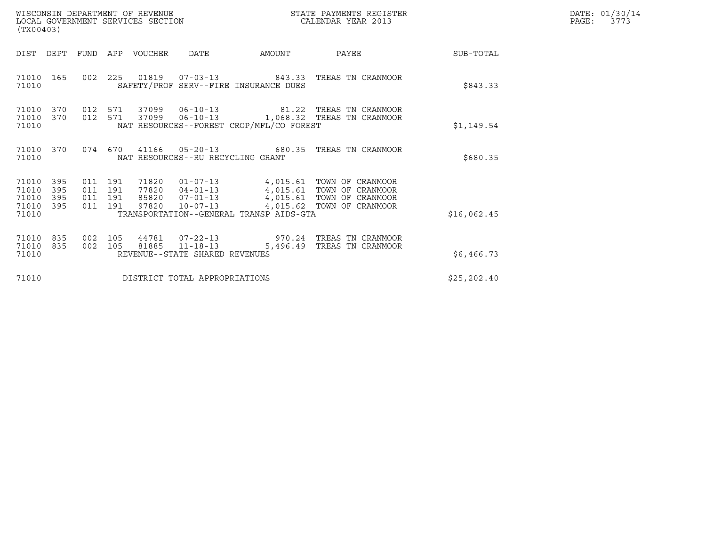| WISCONSIN DEPARTMENT OF REVENUE   | STATE PAYMENTS REGISTER | $\mathtt{PAGE}$ : | DATE: 01/30/14 |
|-----------------------------------|-------------------------|-------------------|----------------|
| LOCAL GOVERNMENT SERVICES SECTION | CALENDAR YEAR 2013      |                   | 3773           |

| WISCONSIN DEPARTMENT OF REVENUE<br>LOCAL GOVERNMENT SERVICES SECTION<br>(TX00403) |                   |                                  |            |             | STATE PAYMENTS REGISTER<br>CALENDAR YEAR 2013    |                                          | DATE: 01/30/14<br>$\mathtt{PAGE:}$<br>3773                                                    |              |  |
|-----------------------------------------------------------------------------------|-------------------|----------------------------------|------------|-------------|--------------------------------------------------|------------------------------------------|-----------------------------------------------------------------------------------------------|--------------|--|
| DIST                                                                              | DEPT              | FUND                             |            | APP VOUCHER | DATE                                             | AMOUNT                                   | PAYEE                                                                                         | SUB-TOTAL    |  |
| 71010 165<br>71010                                                                |                   | 002                              |            |             |                                                  | SAFETY/PROF SERV--FIRE INSURANCE DUES    | 225  01819  07-03-13  843.33  TREAS  TN CRANMOOR                                              | \$843.33     |  |
| 71010<br>71010<br>71010                                                           | 370<br>370        | 012<br>012 571                   |            |             |                                                  | NAT RESOURCES--FOREST CROP/MFL/CO FOREST | 571 37099 06-10-13 81.22 TREAS TN CRANMOOR<br>37099   06-10-13   1,068.32   TREAS TN CRANMOOR | \$1,149.54   |  |
| 71010 370<br>71010                                                                |                   |                                  |            |             | NAT RESOURCES--RU RECYCLING GRANT                | 074 670 41166 05-20-13 680.35            | TREAS TN CRANMOOR                                                                             | \$680.35     |  |
| 71010<br>71010<br>71010<br>71010 395<br>71010                                     | 395<br>395<br>395 | 011 191<br>011<br>011<br>011 191 | 191<br>191 | 71820       |                                                  | TRANSPORTATION--GENERAL TRANSP AIDS-GTA  | 01-07-13 4,015.61 TOWN OF CRANMOOR<br>97820  10-07-13  4,015.62  TOWN OF CRANMOOR             | \$16,062.45  |  |
| 71010<br>71010<br>71010                                                           | 835<br>835        | 002<br>002                       | 105<br>105 | 44781       | 81885 11-18-13<br>REVENUE--STATE SHARED REVENUES | 5,496.49                                 | 07-22-13 970.24 TREAS TN CRANMOOR<br>TREAS TN CRANMOOR                                        | \$6,466.73   |  |
| 71010                                                                             |                   |                                  |            |             | DISTRICT TOTAL APPROPRIATIONS                    |                                          |                                                                                               | \$25, 202.40 |  |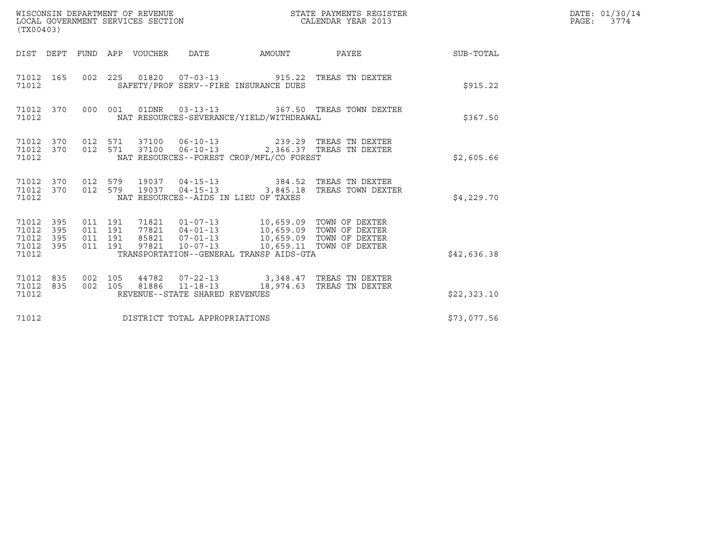| WISCONSIN DEPARTMENT OF REVENUE<br>STATE PAYMENTS REGISTER<br>CALENDAR YEAR 2013<br>LOCAL GOVERNMENT SERVICES SECTION<br>(TX00403) |            |                                          |  |                            |                                                  |                                                                                                                                                                                                                                 | DATE: 01/30/14<br>$\mathtt{PAGE:}$<br>3774                                                    |              |  |
|------------------------------------------------------------------------------------------------------------------------------------|------------|------------------------------------------|--|----------------------------|--------------------------------------------------|---------------------------------------------------------------------------------------------------------------------------------------------------------------------------------------------------------------------------------|-----------------------------------------------------------------------------------------------|--------------|--|
|                                                                                                                                    |            |                                          |  | DIST DEPT FUND APP VOUCHER | DATE                                             | AMOUNT                                                                                                                                                                                                                          | PAYEE                                                                                         | SUB-TOTAL    |  |
| 71012 165<br>71012                                                                                                                 |            |                                          |  |                            | 002 225 01820 07-03-13                           | SAFETY/PROF SERV--FIRE INSURANCE DUES                                                                                                                                                                                           | 915.22 TREAS TN DEXTER                                                                        | \$915.22     |  |
| 71012                                                                                                                              | 71012 370  |                                          |  |                            |                                                  | NAT RESOURCES-SEVERANCE/YIELD/WITHDRAWAL                                                                                                                                                                                        | 000 001 01DNR 03-13-13 367.50 TREAS TOWN DEXTER                                               | \$367.50     |  |
| 71012 370<br>71012                                                                                                                 |            | 71012 370 012 571                        |  |                            |                                                  | NAT RESOURCES--FOREST CROP/MFL/CO FOREST                                                                                                                                                                                        | 37100  06-10-13  239.29  TREAS TN DEXTER<br>012 571 37100 06-10-13 2,366.37 TREAS TN DEXTER   | \$2,605.66   |  |
| 71012 370<br>71012 370<br>71012                                                                                                    |            | 012 579                                  |  |                            |                                                  | NAT RESOURCES--AIDS IN LIEU OF TAXES                                                                                                                                                                                            | 012 579 19037 04-15-13 384.52 TREAS TN DEXTER<br>19037  04-15-13  3,845.18  TREAS TOWN DEXTER | \$4,229.70   |  |
| 71012 395<br>71012<br>71012<br>71012 395<br>71012                                                                                  | 395<br>395 | 011 191<br>011 191<br>011 191<br>011 191 |  |                            |                                                  | 71821  01-07-13  10,659.09  TOWN OF DEXTER<br>77821  04-01-13  10,659.09  TOWN OF DEXTER<br>85821  07-01-13  10,659.09  TOWN OF DEXTER<br>97821  10-07-13  10,659.11  TOWN OF DEXTER<br>TRANSPORTATION--GENERAL TRANSP AIDS-GTA |                                                                                               | \$42,636.38  |  |
| 71012 835<br>71012 835<br>71012                                                                                                    |            | 002 105<br>002 105                       |  |                            | 81886 11-18-13<br>REVENUE--STATE SHARED REVENUES |                                                                                                                                                                                                                                 | 44782  07-22-13  3,348.47  TREAS TN DEXTER<br>18,974.63 TREAS TN DEXTER                       | \$22, 323.10 |  |
| 71012                                                                                                                              |            |                                          |  |                            | DISTRICT TOTAL APPROPRIATIONS                    |                                                                                                                                                                                                                                 |                                                                                               | \$73,077.56  |  |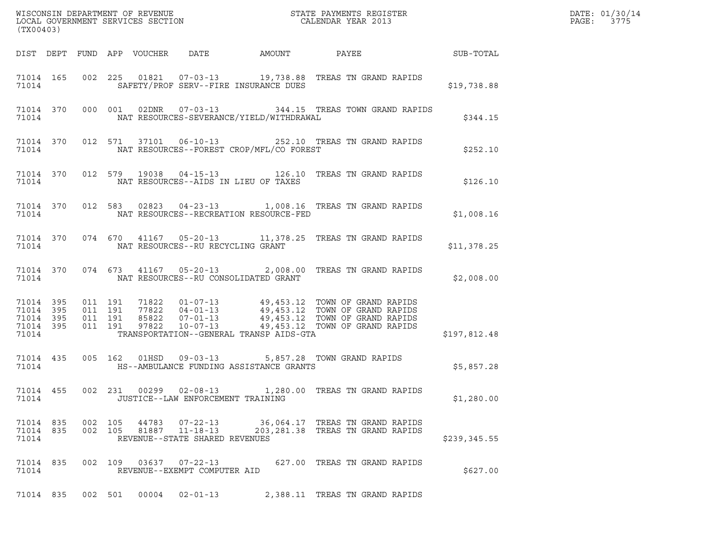| (TX00403)                                        |  |         |         |                                 |                                | DATE: 01/30/14<br>PAGE:<br>3775          |                                                                                                                                                                                                                                  |              |  |
|--------------------------------------------------|--|---------|---------|---------------------------------|--------------------------------|------------------------------------------|----------------------------------------------------------------------------------------------------------------------------------------------------------------------------------------------------------------------------------|--------------|--|
|                                                  |  |         |         | DIST DEPT FUND APP VOUCHER DATE |                                | AMOUNT                                   | PAYEE SUB-TOTAL                                                                                                                                                                                                                  |              |  |
| 71014                                            |  |         |         |                                 |                                | SAFETY/PROF SERV--FIRE INSURANCE DUES    | 71014 165 002 225 01821 07-03-13 19,738.88 TREAS TN GRAND RAPIDS                                                                                                                                                                 | \$19,738.88  |  |
| 71014 370<br>71014                               |  |         |         |                                 |                                | NAT RESOURCES-SEVERANCE/YIELD/WITHDRAWAL | 000 001 02DNR  07-03-13  344.15 TREAS TOWN GRAND RAPIDS                                                                                                                                                                          | \$344.15     |  |
| 71014                                            |  |         |         |                                 |                                | NAT RESOURCES--FOREST CROP/MFL/CO FOREST | 71014 370 012 571 37101 06-10-13 252.10 TREAS TN GRAND RAPIDS                                                                                                                                                                    | \$252.10     |  |
| 71014                                            |  |         |         |                                 |                                | NAT RESOURCES--AIDS IN LIEU OF TAXES     | 71014 370 012 579 19038 04-15-13 126.10 TREAS TN GRAND RAPIDS                                                                                                                                                                    | \$126.10     |  |
| 71014                                            |  |         |         |                                 |                                | NAT RESOURCES--RECREATION RESOURCE-FED   | 71014 370 012 583 02823 04-23-13 1,008.16 TREAS TN GRAND RAPIDS                                                                                                                                                                  | \$1,008.16   |  |
| 71014                                            |  |         |         |                                 |                                | NAT RESOURCES--RU RECYCLING GRANT        | 71014 370 074 670 41167 05-20-13 11,378.25 TREAS TN GRAND RAPIDS                                                                                                                                                                 | \$11,378.25  |  |
| 71014                                            |  |         |         |                                 |                                | NAT RESOURCES--RU CONSOLIDATED GRANT     | 71014 370 074 673 41167 05-20-13 2,008.00 TREAS TN GRAND RAPIDS                                                                                                                                                                  | \$2,008.00   |  |
| 71014 395<br>71014 395<br>71014 395<br>71014 395 |  |         |         |                                 |                                |                                          | 011 191 71822 01-07-13 49,453.12 TOWN OF GRAND RAPIDS<br>011 191 77822 04-01-13 49,453.12 TOWN OF GRAND RAPIDS<br>011 191 85822 07-01-13 49,453.12 TOWN OF GRAND RAPIDS<br>011 191 97822 10-07-13 49,453.12 TOWN OF GRAND RAPIDS |              |  |
| 71014                                            |  |         |         |                                 |                                | TRANSPORTATION--GENERAL TRANSP AIDS-GTA  |                                                                                                                                                                                                                                  | \$197,812.48 |  |
| 71014                                            |  |         |         |                                 |                                | HS--AMBULANCE FUNDING ASSISTANCE GRANTS  | 71014 435 005 162 01HSD 09-03-13 5,857.28 TOWN GRAND RAPIDS                                                                                                                                                                      | \$5,857.28   |  |
| 71014                                            |  |         |         |                                 |                                | JUSTICE--LAW ENFORCEMENT TRAINING        | 71014 455 002 231 00299 02-08-13 1,280.00 TREAS TN GRAND RAPIDS                                                                                                                                                                  | \$1,280.00   |  |
| 71014 835<br>71014 835<br>71014                  |  | 002 105 | 002 105 |                                 | REVENUE--STATE SHARED REVENUES |                                          |                                                                                                                                                                                                                                  | \$239,345.55 |  |
| 71014 835<br>71014                               |  |         |         |                                 | REVENUE--EXEMPT COMPUTER AID   |                                          | 002 109 03637 07-22-13 627.00 TREAS TN GRAND RAPIDS                                                                                                                                                                              | \$627.00     |  |
| 71014 835                                        |  |         |         | 002 501 00004                   | $02 - 01 - 13$                 |                                          | 2,388.11 TREAS TN GRAND RAPIDS                                                                                                                                                                                                   |              |  |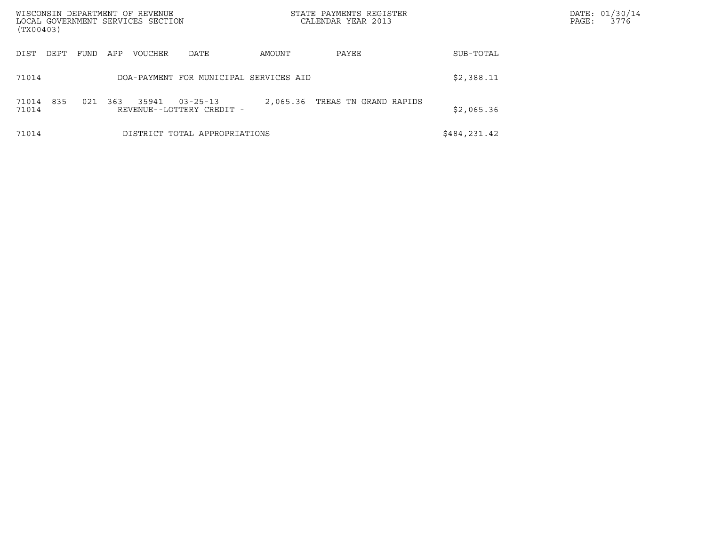| WISCONSIN DEPARTMENT OF REVENUE<br>LOCAL GOVERNMENT SERVICES SECTION<br>(TX00403) |                                                             | STATE PAYMENTS REGISTER<br>CALENDAR YEAR 2013 |              | DATE: 01/30/14<br>PAGE:<br>3776 |
|-----------------------------------------------------------------------------------|-------------------------------------------------------------|-----------------------------------------------|--------------|---------------------------------|
| DIST<br>DEPT<br>FUND                                                              | APP<br>VOUCHER<br>DATE                                      | AMOUNT<br>PAYEE                               | SUB-TOTAL    |                                 |
| 71014                                                                             | DOA-PAYMENT FOR MUNICIPAL SERVICES AID                      |                                               | \$2,388.11   |                                 |
| 835<br>021<br>71014<br>71014                                                      | 363<br>35941<br>$03 - 25 - 13$<br>REVENUE--LOTTERY CREDIT - | 2,065.36<br>TREAS TN GRAND RAPIDS             | \$2,065.36   |                                 |
| 71014                                                                             | DISTRICT TOTAL APPROPRIATIONS                               |                                               | \$484,231.42 |                                 |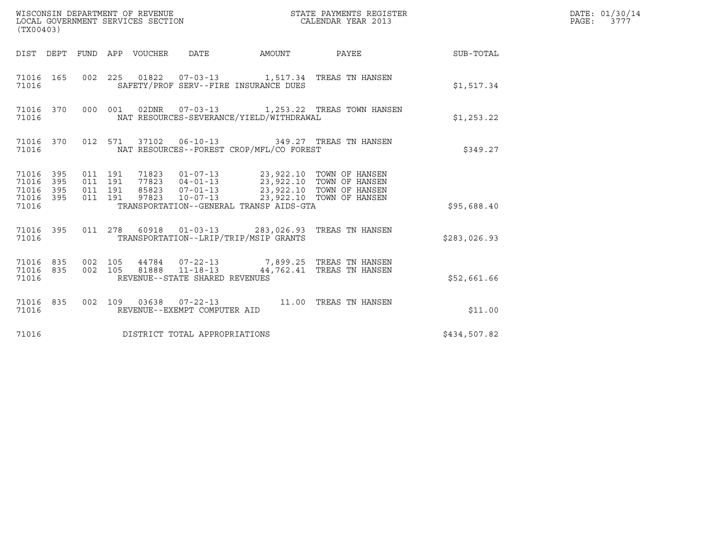| (TX00403)                                             |     |  |                                |                                                                                                                                                                                                                                                                                                                                                                    |                                                                                                                                                                                                               |              | DATE: 01/30/14<br>PAGE: 3777 |
|-------------------------------------------------------|-----|--|--------------------------------|--------------------------------------------------------------------------------------------------------------------------------------------------------------------------------------------------------------------------------------------------------------------------------------------------------------------------------------------------------------------|---------------------------------------------------------------------------------------------------------------------------------------------------------------------------------------------------------------|--------------|------------------------------|
|                                                       |     |  |                                |                                                                                                                                                                                                                                                                                                                                                                    | DIST DEPT FUND APP VOUCHER DATE AMOUNT PAYEE THE SUB-TOTAL                                                                                                                                                    |              |                              |
| 71016                                                 |     |  |                                | SAFETY/PROF SERV--FIRE INSURANCE DUES                                                                                                                                                                                                                                                                                                                              | 71016 165 002 225 01822 07-03-13 1,517.34 TREAS TN HANSEN                                                                                                                                                     | \$1,517.34   |                              |
| 71016                                                 |     |  |                                | NAT RESOURCES-SEVERANCE/YIELD/WITHDRAWAL                                                                                                                                                                                                                                                                                                                           | 71016 370 000 001 02DNR 07-03-13 1,253.22 TREAS TOWN HANSEN                                                                                                                                                   | \$1,253.22   |                              |
| 71016                                                 |     |  |                                | NAT RESOURCES--FOREST CROP/MFL/CO FOREST                                                                                                                                                                                                                                                                                                                           | 71016 370 012 571 37102 06-10-13 349.27 TREAS TN HANSEN                                                                                                                                                       | \$349.27     |                              |
| 71016 395<br>71016 395<br>71016<br>71016 395<br>71016 | 395 |  |                                | $\begin{array}{cccccc} 011 & 191 & 71823 & 01\!07\!-\!13 & 23\, , 922\, .10 & \text{TOWN OF HANSEN} \\ 011 & 191 & 77823 & 04\!-\!01\!-\!13 & 23\, , 922\, .10 & \text{TOWN OF HANSEN} \\ 011 & 191 & 85823 & 07\!-\!01\!-\!13 & 23\, , 922\, .10 & \text{TOWN OF HANSEN} \\ 011 & 191 & 97823 & 10\!-\!07\!-\!13 & 23$<br>TRANSPORTATION--GENERAL TRANSP AIDS-GTA |                                                                                                                                                                                                               | \$95,688.40  |                              |
| 71016                                                 |     |  |                                | TRANSPORTATION--LRIP/TRIP/MSIP GRANTS                                                                                                                                                                                                                                                                                                                              | 71016 395 011 278 60918 01-03-13 283,026.93 TREAS TN HANSEN                                                                                                                                                   | \$283,026.93 |                              |
| 71016                                                 |     |  | REVENUE--STATE SHARED REVENUES |                                                                                                                                                                                                                                                                                                                                                                    | $\begin{array}{cccccc} 71016 & 835 & 002 & 105 & 44784 & 07-22-13 & & & 7,899.25 & \text{TREAS TN HANSEN} \\ 71016 & 835 & 002 & 105 & 81888 & 11-18-13 & & & 44,762.41 & \text{TREAS TN HANSEN} \end{array}$ | \$52,661.66  |                              |
| 71016                                                 |     |  | REVENUE--EXEMPT COMPUTER AID   |                                                                                                                                                                                                                                                                                                                                                                    | 71016 835 002 109 03638 07-22-13 11.00 TREAS TN HANSEN                                                                                                                                                        | \$11.00      |                              |
| 71016                                                 |     |  | DISTRICT TOTAL APPROPRIATIONS  |                                                                                                                                                                                                                                                                                                                                                                    |                                                                                                                                                                                                               | \$434,507.82 |                              |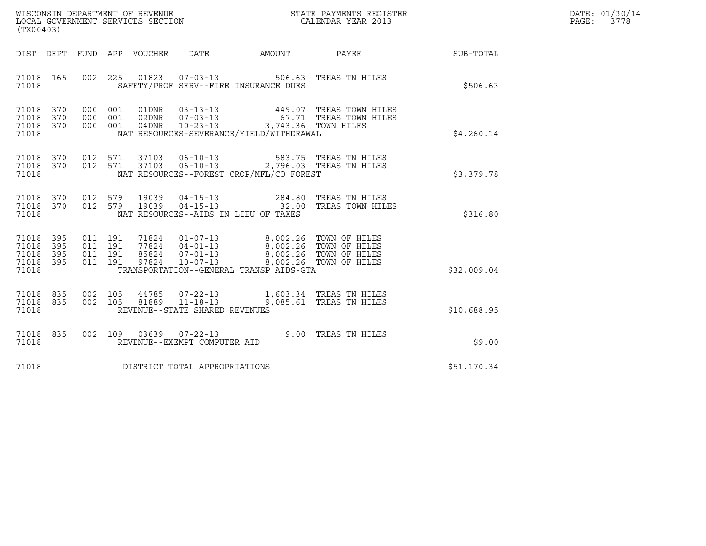| WISCONSIN DEPARTMENT OF REVENUE   | STATE PAYMENTS REGISTER | DATE: 01/30/14 |
|-----------------------------------|-------------------------|----------------|
| LOCAL GOVERNMENT SERVICES SECTION | CALENDAR YEAR 2013      | 3778<br>PAGE:  |

| (TX00403)                                                 |                                                                                                                                                                                                                                                                                                                                        |  |  |             | DATE: 01/30/14<br>PAGE:<br>3778 |
|-----------------------------------------------------------|----------------------------------------------------------------------------------------------------------------------------------------------------------------------------------------------------------------------------------------------------------------------------------------------------------------------------------------|--|--|-------------|---------------------------------|
|                                                           | DIST DEPT FUND APP VOUCHER DATE AMOUNT PAYEE PATE SUB-TOTAL                                                                                                                                                                                                                                                                            |  |  |             |                                 |
|                                                           | 71018 165 002 225 01823 07-03-13 506.63 TREAS TN HILES<br>71018   SAFETY/PROF SERV--FIRE INSURANCE DUES                                                                                                                                                                                                                                |  |  | \$506.63    |                                 |
| 71018 370<br>71018 370<br>71018 370<br>71018              | 000 001 01DNR 03-13-13 449.07 TREAS TOWN HILES<br>000 001 02DNR 07-03-13 67.71 TREAS TOWN HILES<br>000 001 04DNR 10-23-13 3,743.36 TOWN HILES<br>NAT RESOURCES-SEVERANCE/YIELD/WITHDRAWAL                                                                                                                                              |  |  | \$4,260.14  |                                 |
| 71018 370<br>71018 370<br>71018                           | 012 571 37103 06-10-13 583.75 TREAS TNHILES<br>012 571 37103 06-10-13 2,796.03 TREAS TNHILES<br>NAT RESOURCES--FOREST CROP/MFL/CO FOREST                                                                                                                                                                                               |  |  | \$3,379.78  |                                 |
| 71018 370<br>71018 370<br>71018                           | 012 579 19039 04-15-13 284.80 TREAS TN HILES<br>012 579 19039 04-15-13 32.00 TREAS TOWN HILES<br>NAT RESOURCES--AIDS IN LIEU OF TAXES                                                                                                                                                                                                  |  |  | \$316.80    |                                 |
| 71018 395<br>71018 395<br>71018 395<br>71018 395<br>71018 | $\begin{tabular}{cccccc} 011 & 191 & 71824 & 01-07-13 & & 8,002.26 & TOWN OF HILES \\ 011 & 191 & 77824 & 04-01-13 & & 8,002.26 & TOWN OF HILES \\ 011 & 191 & 85824 & 07-01-13 & & 8,002.26 & TOWN OF HILES \\ 011 & 191 & 97824 & 10-07-13 & & 8,002.26 & TOWN OF HILES \\ \end{tabular}$<br>TRANSPORTATION--GENERAL TRANSP AIDS-GTA |  |  | \$32,009.04 |                                 |
| 71018 835<br>71018 835<br>71018                           | 002 105 44785 07-22-13 1,603.34 TREAS TNHILES<br>002 105 81889 11-18-13 9,085.61 TREAS TNHILES<br>REVENUE--STATE SHARED REVENUES                                                                                                                                                                                                       |  |  | \$10,688.95 |                                 |
|                                                           | 9.00 TREAS TN HILES<br>23.00 TREAS TN HILES<br>23.00 TREAS TN HILES<br>71018 REVENUE--EXEMPT COMPUTER AID                                                                                                                                                                                                                              |  |  | \$9.00      |                                 |
|                                                           | 71018 DISTRICT TOTAL APPROPRIATIONS                                                                                                                                                                                                                                                                                                    |  |  | \$51,170.34 |                                 |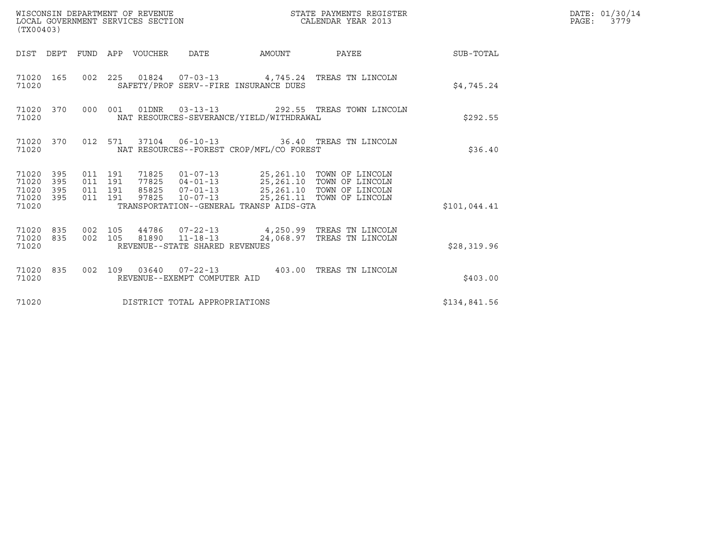| WISCONSIN DEPARTMENT OF REVENUE<br>(TX00403)                 | LOCAL GOVERNMENT SERVICES SECTION                                                            | STATE PAYMENTS REGISTER<br>CALENDAR YEAR 2013                                                                                                                                            |              | DATE: 01/30/14<br>PAGE: 3779 |
|--------------------------------------------------------------|----------------------------------------------------------------------------------------------|------------------------------------------------------------------------------------------------------------------------------------------------------------------------------------------|--------------|------------------------------|
|                                                              | DIST DEPT FUND APP VOUCHER DATE                                                              | AMOUNT PAYEE SUB-TOTAL                                                                                                                                                                   |              |                              |
| 71020 165<br>71020                                           | 002 225 01824 07-03-13 4,745.24 TREAS TN LINCOLN<br>SAFETY/PROF SERV--FIRE INSURANCE DUES    |                                                                                                                                                                                          | \$4,745.24   |                              |
| 71020 370<br>71020                                           | 000 001 01DNR 03-13-13 292.55 TREAS TOWN LINCOLN<br>NAT RESOURCES-SEVERANCE/YIELD/WITHDRAWAL |                                                                                                                                                                                          | \$292.55     |                              |
| 71020 370<br>71020                                           | 012 571 37104 06-10-13 36.40 TREAS TN LINCOLN<br>NAT RESOURCES--FOREST CROP/MFL/CO FOREST    |                                                                                                                                                                                          | \$36.40      |                              |
| 71020 395<br>71020<br>395<br>71020 395<br>71020 395<br>71020 | 011 191<br>011 191<br>011 191<br>011 191<br>TRANSPORTATION--GENERAL TRANSP AIDS-GTA          | 71825  01-07-13  25,261.10  TOWN OF LINCOLN<br>77825  04-01-13  25,261.10  TOWN OF LINCOLN<br>85825  07-01-13  25,261.10  TOWN OF LINCOLN<br>97825  10-07-13  25,261.11  TOWN OF LINCOLN | \$101,044.41 |                              |
| 71020 835<br>71020 835<br>71020                              | 002 105<br>002 105 81890 11-18-13<br>REVENUE--STATE SHARED REVENUES                          | 44786 07-22-13 4,250.99 TREAS TN LINCOLN<br>24,068.97 TREAS TN LINCOLN                                                                                                                   | \$28,319.96  |                              |
| 71020 835<br>71020                                           | 002 109 03640 07-22-13 403.00 TREAS TN LINCOLN<br>REVENUE--EXEMPT COMPUTER AID               |                                                                                                                                                                                          | \$403.00     |                              |
| 71020                                                        | DISTRICT TOTAL APPROPRIATIONS                                                                |                                                                                                                                                                                          | \$134,841.56 |                              |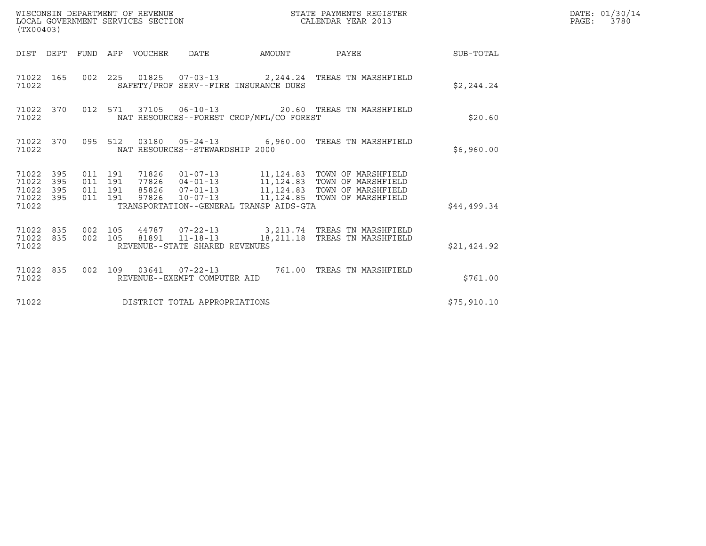| (TX00403)                                                       | WISCONSIN DEPARTMENT OF REVENUE<br>LOCAL GOVERNMENT SERVICES SECTION                                                                                                                                                                                                                               | STATE PAYMENTS REGISTER<br>CALENDAR YEAR 2013 | DATE: 01/30/14<br>PAGE: 3780 |
|-----------------------------------------------------------------|----------------------------------------------------------------------------------------------------------------------------------------------------------------------------------------------------------------------------------------------------------------------------------------------------|-----------------------------------------------|------------------------------|
|                                                                 | DIST DEPT FUND APP VOUCHER DATE                                                                                                                                                                                                                                                                    | AMOUNT PAYEE SUB-TOTAL                        |                              |
| 71022 165<br>71022                                              | 002 225 01825 07-03-13 2,244.24 TREAS TN MARSHFIELD<br>SAFETY/PROF SERV--FIRE INSURANCE DUES                                                                                                                                                                                                       | \$2,244.24                                    |                              |
| 71022 370<br>71022                                              | 012 571 37105 06-10-13 20.60 TREAS TN MARSHFIELD<br>NAT RESOURCES--FOREST CROP/MFL/CO FOREST                                                                                                                                                                                                       | \$20.60                                       |                              |
| 71022 370<br>71022                                              | 095 512 03180 05-24-13 6,960.00 TREAS TN MARSHFIELD<br>NAT RESOURCES--STEWARDSHIP 2000                                                                                                                                                                                                             | \$6,960.00                                    |                              |
| 71022 395<br>71022<br>395<br>71022<br>395<br>71022 395<br>71022 | 71826  01-07-13   11,124.83   TOWN OF MARSHFIELD<br>77826  04-01-13   11,124.83   TOWN OF MARSHFIELD<br>85826   07-01-13   11,124.83   TOWN OF MARSHFIELD<br>011 191<br>011 191<br>011 191<br>97826  10-07-13  11,124.85  TOWN OF MARSHFIELD<br>011 191<br>TRANSPORTATION--GENERAL TRANSP AIDS-GTA | \$44,499.34                                   |                              |
| 71022 835<br>71022 835<br>71022                                 | 002 105<br>44787  07-22-13  3,213.74  TREAS TN MARSHFIELD<br>002 105 81891 11-18-13 18,211.18 TREAS TN MARSHFIELD<br>REVENUE--STATE SHARED REVENUES                                                                                                                                                | \$21,424.92                                   |                              |
| 71022 835<br>71022                                              | 002 109 03641 07-22-13 761.00 TREAS TN MARSHFIELD<br>REVENUE--EXEMPT COMPUTER AID                                                                                                                                                                                                                  | \$761.00                                      |                              |
| 71022                                                           | DISTRICT TOTAL APPROPRIATIONS                                                                                                                                                                                                                                                                      | \$75,910.10                                   |                              |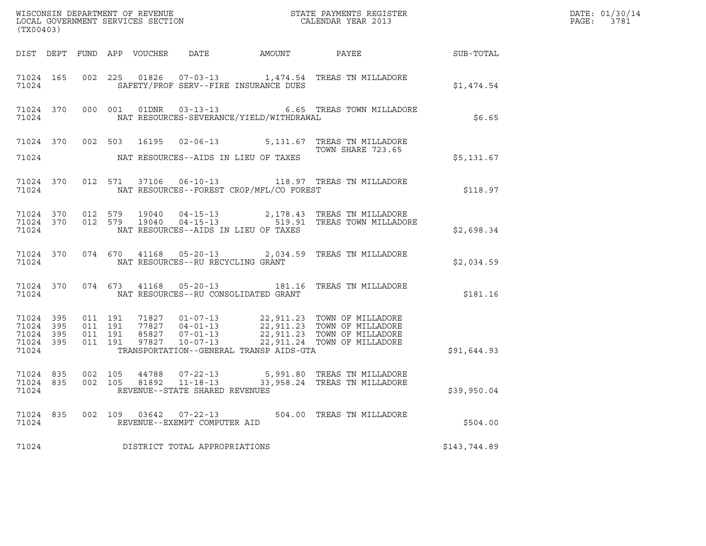| (TX00403)                                                 |         |  |                                                |                                                |                                                                                                                                                                                                                      |              | DATE: 01/30/14<br>PAGE: 3781 |
|-----------------------------------------------------------|---------|--|------------------------------------------------|------------------------------------------------|----------------------------------------------------------------------------------------------------------------------------------------------------------------------------------------------------------------------|--------------|------------------------------|
|                                                           |         |  |                                                |                                                | DIST DEPT FUND APP VOUCHER DATE AMOUNT PAYEE SUB-TOTAL                                                                                                                                                               |              |                              |
|                                                           | 71024   |  |                                                | SAFETY/PROF SERV--FIRE INSURANCE DUES          | 71024 165 002 225 01826 07-03-13 1,474.54 TREAS TN MILLADORE                                                                                                                                                         | \$1,474.54   |                              |
| 71024                                                     |         |  |                                                | NAT RESOURCES-SEVERANCE/YIELD/WITHDRAWAL       | 71024 370 000 001 01DNR 03-13-13 6.65 TREAS TOWN MILLADORE                                                                                                                                                           | \$6.65       |                              |
|                                                           |         |  |                                                |                                                | 71024 370 002 503 16195 02-06-13 5,131.67 TREAS TN MILLADORE<br>TOWN SHARE 723.65                                                                                                                                    |              |                              |
|                                                           |         |  |                                                | 71024 NAT RESOURCES--AIDS IN LIEU OF TAXES     |                                                                                                                                                                                                                      | \$5,131.67   |                              |
|                                                           |         |  |                                                | 71024 NAT RESOURCES--FOREST CROP/MFL/CO FOREST | 71024 370 012 571 37106 06-10-13 118.97 TREAS TN MILLADORE                                                                                                                                                           | \$118.97     |                              |
| 71024                                                     |         |  |                                                | NAT RESOURCES--AIDS IN LIEU OF TAXES           | $\begin{array}{cccccc} 71024 & 370 & 012 & 579 & 19040 & 04-15-13 & & 2,178.43 & \text{TREAS TN MILLADORE} \\ 71024 & 370 & 012 & 579 & 19040 & 04-15-13 & & 519.91 & \text{TREAS TOWN MILLADORE} \end{array}$       | \$2,698.34   |                              |
|                                                           |         |  | 71024 NAT RESOURCES--RU RECYCLING GRANT        |                                                | 71024 370 074 670 41168 05-20-13 2,034.59 TREAS TN MILLADORE                                                                                                                                                         | \$2,034.59   |                              |
|                                                           |         |  |                                                | 71024 NAT RESOURCES--RU CONSOLIDATED GRANT     | 71024 370 074 673 41168 05-20-13 181.16 TREAS TN MILLADORE                                                                                                                                                           | \$181.16     |                              |
| 71024 395<br>71024 395<br>71024 395<br>71024 395<br>71024 |         |  |                                                | TRANSPORTATION--GENERAL TRANSP AIDS-GTA        | 011 191 71827 01-07-13 22,911.23 TOWN OF MILLADORE<br>011 191 77827 04-01-13 22,911.23 TOWN OF MILLADORE<br>011 191 85827 07-01-13 22,911.23 TOWN OF MILLADORE<br>011 191 97827 10-07-13 22,911.24 TOWN OF MILLADORE | \$91,644.93  |                              |
| 71024 835<br>71024 835<br>71024                           |         |  | REVENUE--STATE SHARED REVENUES                 |                                                | 002 105 44788 07-22-13 5,991.80 TREAS TN MILLADORE<br>002 105 81892 11-18-13 33,958.24 TREAS TN MILLADORE                                                                                                            | \$39,950.04  |                              |
| 71024 835<br>71024                                        | 002 109 |  | 03642 07-22-13<br>REVENUE--EXEMPT COMPUTER AID |                                                | 504.00 TREAS TN MILLADORE                                                                                                                                                                                            | \$504.00     |                              |
| 71024                                                     |         |  | DISTRICT TOTAL APPROPRIATIONS                  |                                                |                                                                                                                                                                                                                      | \$143,744.89 |                              |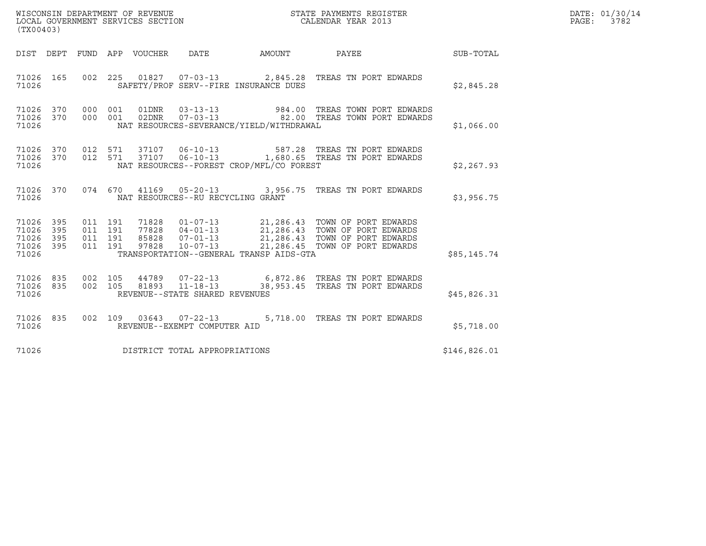| (TX00403)                                         |            |                    |                    |                                                        |                                              |                                                                                                                                                                                                             |              | DATE: 01/30/14<br>PAGE: 3782 |
|---------------------------------------------------|------------|--------------------|--------------------|--------------------------------------------------------|----------------------------------------------|-------------------------------------------------------------------------------------------------------------------------------------------------------------------------------------------------------------|--------------|------------------------------|
|                                                   |            |                    |                    |                                                        | DIST DEPT FUND APP VOUCHER DATE AMOUNT PAYEE |                                                                                                                                                                                                             | SUB-TOTAL    |                              |
| 71026 165<br>71026                                |            |                    |                    |                                                        | SAFETY/PROF SERV--FIRE INSURANCE DUES        | 002 225 01827 07-03-13 2,845.28 TREAS TN PORT EDWARDS                                                                                                                                                       | \$2,845.28   |                              |
| 71026 370<br>71026 370<br>71026                   |            | 000 001<br>000 001 |                    |                                                        | NAT RESOURCES-SEVERANCE/YIELD/WITHDRAWAL     | 01DNR  03-13-13  984.00 TREAS TOWN PORT EDWARDS<br>02DNR  07-03-13  82.00 TREAS TOWN PORT EDWARDS                                                                                                           | \$1,066.00   |                              |
| 71026 370<br>71026                                |            |                    |                    |                                                        | NAT RESOURCES--FOREST CROP/MFL/CO FOREST     | 71026 370 012 571 37107 06-10-13 587.28 TREAS TN PORT EDWARDS<br>012 571 37107 06-10-13 1,680.65 TREAS TN PORT EDWARDS                                                                                      | \$2,267.93   |                              |
| 71026 370<br>71026                                |            |                    |                    | NAT RESOURCES--RU RECYCLING GRANT                      |                                              | 074 670 41169 05-20-13 3,956.75 TREAS TN PORT EDWARDS                                                                                                                                                       | \$3,956.75   |                              |
| 71026 395<br>71026<br>71026<br>71026 395<br>71026 | 395<br>395 | 011 191<br>011 191 | 011 191<br>011 191 |                                                        | TRANSPORTATION--GENERAL TRANSP AIDS-GTA      | 1928  01-07-13  21,286.43  TOWN OF PORT EDWARDS<br>77828  04-01-13  21,286.43  TOWN OF PORT EDWARDS<br>85828  07-01-13  21,286.43  TOWN OF PORT EDWARDS<br>97828  10-07-13  21,286.45  TOWN OF PORT EDWARDS | \$85,145.74  |                              |
| 71026 835<br>71026 835<br>71026                   |            | 002 105            |                    | REVENUE--STATE SHARED REVENUES                         |                                              | 44789  07-22-13  6,872.86  TREAS TN PORT EDWARDS<br>002  105  81893  11-18-13  38,953.45  TREAS  TN PORT EDWARDS                                                                                            | \$45,826.31  |                              |
| 71026 835<br>71026                                |            |                    |                    | 002 109 03643 07-22-13<br>REVENUE--EXEMPT COMPUTER AID |                                              | 5,718.00 TREAS TN PORT EDWARDS                                                                                                                                                                              | \$5,718.00   |                              |
| 71026                                             |            |                    |                    | DISTRICT TOTAL APPROPRIATIONS                          |                                              |                                                                                                                                                                                                             | \$146,826.01 |                              |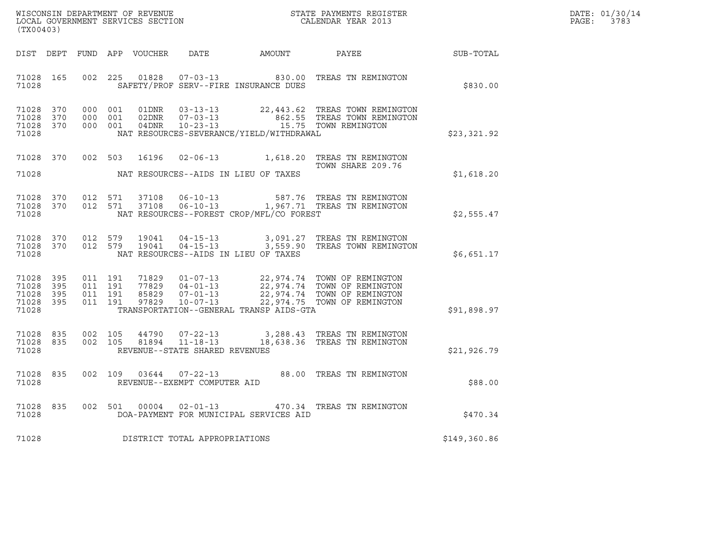| DATE: | 01/30/14 |
|-------|----------|
| PAGE: | 3783     |

| (TX00403)                                             |     |                                          |         |                            |                                |                                          |                                                                                                                                                                                                  |              | DATE: 01/30/14<br>PAGE: 3783 |
|-------------------------------------------------------|-----|------------------------------------------|---------|----------------------------|--------------------------------|------------------------------------------|--------------------------------------------------------------------------------------------------------------------------------------------------------------------------------------------------|--------------|------------------------------|
|                                                       |     |                                          |         | DIST DEPT FUND APP VOUCHER |                                |                                          | DATE AMOUNT PAYEE SUB-TOTAL                                                                                                                                                                      |              |                              |
| 71028 165<br>71028                                    |     |                                          | 002 225 |                            |                                | SAFETY/PROF SERV--FIRE INSURANCE DUES    | 01828  07-03-13  830.00 TREAS TN REMINGTON                                                                                                                                                       | \$830.00     |                              |
| 71028 370<br>71028 370<br>71028 370<br>71028          |     | 000 001<br>000 001                       | 000 001 |                            |                                | NAT RESOURCES-SEVERANCE/YIELD/WITHDRAWAL | 01DNR  03-13-13  22,443.62 TREAS TOWN REMINGTON<br>$02DNR$ $07-03-13$ $04DNR$ $10-23-13$ $15.75$ TOWN REMINGTON                                                                                  | \$23,321.92  |                              |
| 71028 370<br>71028                                    |     |                                          |         |                            |                                | NAT RESOURCES--AIDS IN LIEU OF TAXES     | 002 503 16196 02-06-13 1,618.20 TREAS TN REMINGTON<br>TOWN SHARE 209.76                                                                                                                          | \$1,618.20   |                              |
| 71028 370<br>71028 370<br>71028                       |     | 012 571<br>012 571                       |         |                            |                                | NAT RESOURCES--FOREST CROP/MFL/CO FOREST |                                                                                                                                                                                                  | \$2,555.47   |                              |
| 71028 370<br>71028 370<br>71028                       |     | 012 579                                  | 012 579 | 19041                      |                                | NAT RESOURCES--AIDS IN LIEU OF TAXES     | 04-15-13 3,091.27 TREAS TN REMINGTON<br>19041  04-15-13  3,559.90 TREAS TOWN REMINGTON                                                                                                           | \$6,651.17   |                              |
| 71028 395<br>71028<br>71028 395<br>71028 395<br>71028 | 395 | 011 191<br>011 191<br>011 191<br>011 191 |         |                            |                                | TRANSPORTATION--GENERAL TRANSP AIDS-GTA  | 71829  01-07-13  22,974.74  TOWN OF REMINGTON<br>77829  04-01-13  22,974.74  TOWN OF REMINGTON<br>85829  07-01-13  22,974.74  TOWN OF REMINGTON<br>97829  10-07-13  22,974.75  TOWN OF REMINGTON | \$91,898.97  |                              |
| 71028 835<br>71028<br>71028                           | 835 | 002 105<br>002 105                       |         | 44790<br>81894             | REVENUE--STATE SHARED REVENUES |                                          | 07-22-13 3,288.43 TREAS TN REMINGTON<br>11-18-13 18,638.36 TREAS TN REMINGTON                                                                                                                    | \$21,926.79  |                              |
| 71028<br>71028                                        | 835 |                                          |         |                            | REVENUE--EXEMPT COMPUTER AID   |                                          | 002 109 03644 07-22-13 88.00 TREAS TN REMINGTON                                                                                                                                                  | \$88.00      |                              |
| 71028<br>71028                                        | 835 |                                          |         |                            |                                | DOA-PAYMENT FOR MUNICIPAL SERVICES AID   | 002 501 00004 02-01-13 470.34 TREAS TN REMINGTON                                                                                                                                                 | \$470.34     |                              |
| 71028                                                 |     |                                          |         |                            | DISTRICT TOTAL APPROPRIATIONS  |                                          |                                                                                                                                                                                                  | \$149,360.86 |                              |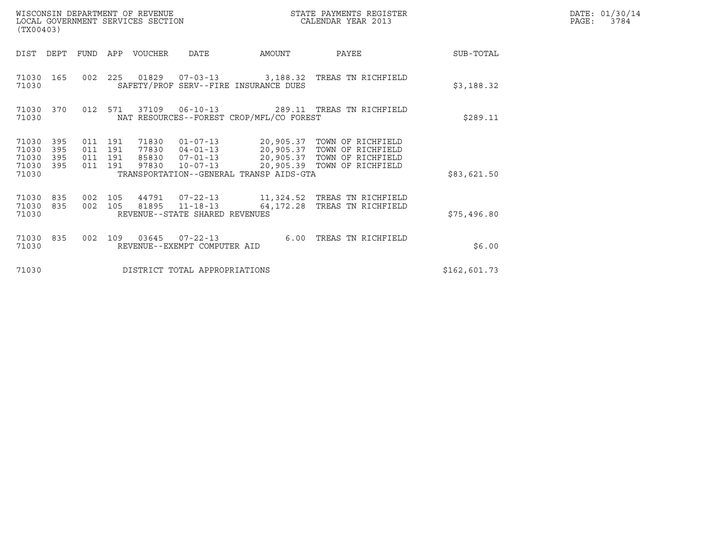| WISCONSIN DEPARTMENT OF REVENUE<br>LOCAL GOVERNMENT SERVICES SECTION<br>(TX00403) |                   |                                          |  |                                 |                                | STATE PAYMENTS REGISTER<br>NGALENDAR YEAR 2013 |                                                                                                                                                                                        |              | DATE: 01/30/14<br>PAGE: 3784 |
|-----------------------------------------------------------------------------------|-------------------|------------------------------------------|--|---------------------------------|--------------------------------|------------------------------------------------|----------------------------------------------------------------------------------------------------------------------------------------------------------------------------------------|--------------|------------------------------|
|                                                                                   |                   |                                          |  | DIST DEPT FUND APP VOUCHER DATE |                                | <b>AMOUNT</b>                                  | <b>PAYEE</b>                                                                                                                                                                           | SUB-TOTAL    |                              |
| 71030                                                                             |                   |                                          |  |                                 |                                | SAFETY/PROF SERV--FIRE INSURANCE DUES          | 71030 165 002 225 01829 07-03-13 3,188.32 TREAS TN RICHFIELD                                                                                                                           | \$3,188.32   |                              |
| 71030                                                                             | 71030 370         | 012 571                                  |  |                                 |                                | NAT RESOURCES--FOREST CROP/MFL/CO FOREST       |                                                                                                                                                                                        | \$289.11     |                              |
| 71030 395<br>71030<br>71030<br>71030<br>71030                                     | 395<br>395<br>395 | 011 191<br>011 191<br>011 191<br>011 191 |  | 71830<br>97830                  |                                | TRANSPORTATION--GENERAL TRANSP AIDS-GTA        | 01-07-13    20,905.37    TOWN OF RICHFIELD<br>77830  04-01-13  20,905.37  TOWN OF RICHFIELD<br>85830  07-01-13  20,905.37  TOWN OF RICHFIELD<br>$10-07-13$ 20,905.39 TOWN OF RICHFIELD | \$83,621.50  |                              |
| 71030<br>71030<br>71030                                                           | 835<br>835        | 002 105<br>002 105                       |  |                                 | REVENUE--STATE SHARED REVENUES | 81895 11-18-13 64,172.28                       | TREAS TN RICHFIELD                                                                                                                                                                     | \$75,496.80  |                              |
| 71030 835<br>71030                                                                |                   | 002 109                                  |  |                                 | REVENUE--EXEMPT COMPUTER AID   | $03645$ $07-22-13$ 6.00                        | TREAS TN RICHFIELD                                                                                                                                                                     | \$6.00       |                              |
| 71030                                                                             |                   |                                          |  |                                 | DISTRICT TOTAL APPROPRIATIONS  |                                                |                                                                                                                                                                                        | \$162,601.73 |                              |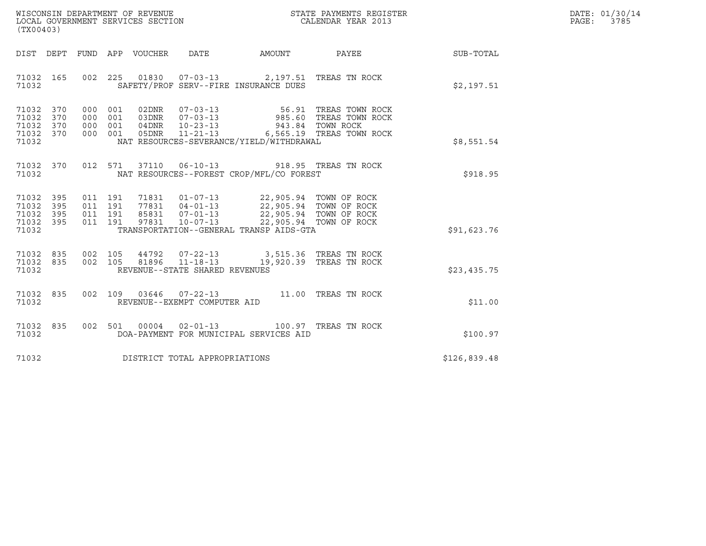| WISCONSIN DEPARTMENT OF REVENUE   | STATE PAYMENTS REGISTER | DATE: 01/30/14 |
|-----------------------------------|-------------------------|----------------|
| LOCAL GOVERNMENT SERVICES SECTION | CALENDAR YEAR 2013      | 3785<br>PAGE:  |

| WISCONSIN DEPARTMENT OF REVENUE<br>LOCAL GOVERNMENT SERVICES SECTION CALENDAR YEAR 2013<br>(TX00403)                                                                                                                                                                                                                                                                                                                                   |  |  |              | DATE: 01/30/14<br>PAGE:<br>3785 |
|----------------------------------------------------------------------------------------------------------------------------------------------------------------------------------------------------------------------------------------------------------------------------------------------------------------------------------------------------------------------------------------------------------------------------------------|--|--|--------------|---------------------------------|
| DIST DEPT FUND APP VOUCHER DATE AMOUNT PAYEE TO SUB-TOTAL                                                                                                                                                                                                                                                                                                                                                                              |  |  |              |                                 |
| 002 225 01830 07-03-13 2,197.51 TREAS TN ROCK<br>71032 165<br>SAFETY/PROF SERV--FIRE INSURANCE DUES<br>71032                                                                                                                                                                                                                                                                                                                           |  |  | \$2,197.51   |                                 |
| 71032 370<br>71032 370<br>71032 370<br>71032 370<br>71032<br>NAT RESOURCES-SEVERANCE/YIELD/WITHDRAWAL                                                                                                                                                                                                                                                                                                                                  |  |  | \$8,551.54   |                                 |
| 71032 370 012 571 37110 06-10-13 918.95 TREAS TN ROCK<br>71032 MAT RESOURCES--FOREST CROP/MFL/CO FOREST                                                                                                                                                                                                                                                                                                                                |  |  |              |                                 |
| $\begin{array}{cccccc} 011 & 191 & 71831 & 01-07-13 & 22,905.94 & \text{TOWN OF ROCK} \\ 011 & 191 & 77831 & 04-01-13 & 22,905.94 & \text{TOWN OF ROCK} \\ 011 & 191 & 85831 & 07-01-13 & 22,905.94 & \text{TOWN OF ROCK} \\ 011 & 191 & 97831 & 10-07-13 & 22,905.94 & \text{TOWN OF ROCK} \\ 011 & 191 & 97831 & 10-07-13 &$<br>71032 395<br>71032 395<br>71032 395<br>71032 395<br>TRANSPORTATION--GENERAL TRANSP AIDS-GTA<br>71032 |  |  | \$91,623.76  |                                 |
| $\begin{array}{cccc} 002 & 105 & 44792 & 07-22-13 & 3,515.36 & \text{TREAS TN ROCK} \\ 002 & 105 & 81896 & 11-18-13 & 19,920.39 & \text{TREAS TN ROCK} \end{array}$<br>71032 835<br>71032 835<br>71032<br>REVENUE--STATE SHARED REVENUES                                                                                                                                                                                               |  |  | \$23,435.75  |                                 |
| 002 109 03646 07-22-13 11.00 TREAS TN ROCK<br>71032 835<br>REVENUE--EXEMPT COMPUTER AID<br>71032                                                                                                                                                                                                                                                                                                                                       |  |  | \$11.00      |                                 |
| 002 501 00004 02-01-13 100.97 TREAS TN ROCK<br>71032 835<br>71032<br>DOA-PAYMENT FOR MUNICIPAL SERVICES AID                                                                                                                                                                                                                                                                                                                            |  |  | \$100.97     |                                 |
| 71032 DISTRICT TOTAL APPROPRIATIONS                                                                                                                                                                                                                                                                                                                                                                                                    |  |  | \$126,839.48 |                                 |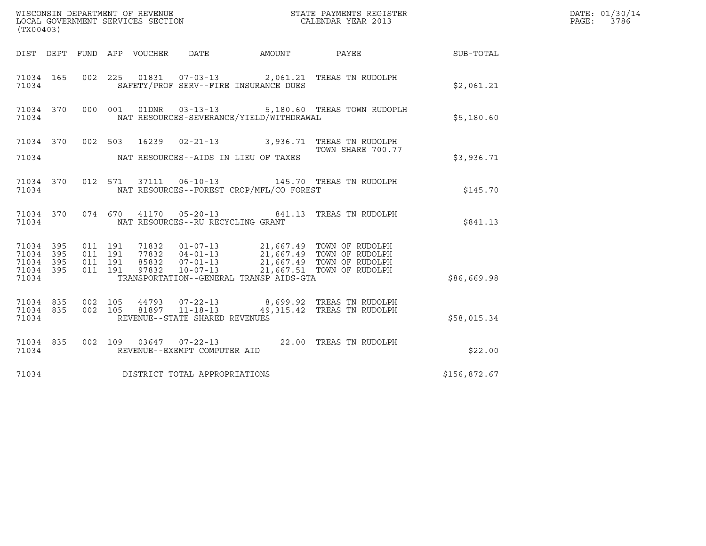| (TX00403)                                                                                             | ${\tt WISCOONSIM} \begin{tabular}{lcccc} DEPARTMENT OF REVENUE & & & & & & \begin{tabular}{l} \bf STATE \end{tabular} \end{tabular} \begin{tabular}{lcccc} \bf RTATE \end{tabular} \end{tabular} \begin{tabular}{lcccc} \bf RTATE \end{tabular} \end{tabular} \begin{tabular}{lcccc} \bf RTATE \end{tabular} \end{tabular} \begin{tabular}{lcccc} \bf RTATE \end{tabular} \end{tabular} \begin{tabular}{lcccc} \bf RTATE \end{tabular} \end{tabular} \begin{tabular}{lcccc} \bf RTATE \end{tabular} \end{tabular} \begin{tabular}{lcccc} \bf RTATE \end{$ |  |                        | DATE: 01/30/14<br>PAGE:<br>3786 |  |
|-------------------------------------------------------------------------------------------------------|-----------------------------------------------------------------------------------------------------------------------------------------------------------------------------------------------------------------------------------------------------------------------------------------------------------------------------------------------------------------------------------------------------------------------------------------------------------------------------------------------------------------------------------------------------------|--|------------------------|---------------------------------|--|
| DIST DEPT FUND APP VOUCHER DATE                                                                       |                                                                                                                                                                                                                                                                                                                                                                                                                                                                                                                                                           |  | AMOUNT PAYEE SUB-TOTAL |                                 |  |
| 71034 165<br>71034                                                                                    | 002 225 01831 07-03-13 2,061.21 TREAS TN RUDOLPH<br>SAFETY/PROF SERV--FIRE INSURANCE DUES                                                                                                                                                                                                                                                                                                                                                                                                                                                                 |  |                        | \$2,061.21                      |  |
| 71034                                                                                                 | 71034 370 000 001 01DNR 03-13-13 5,180.60 TREAS TOWN RUDOPLH<br>NAT RESOURCES-SEVERANCE/YIELD/WITHDRAWAL                                                                                                                                                                                                                                                                                                                                                                                                                                                  |  |                        | \$5,180.60                      |  |
|                                                                                                       | 71034 370 002 503 16239 02-21-13 3,936.71 TREAS TN RUDOLPH<br>TOWN SHARE 700.77                                                                                                                                                                                                                                                                                                                                                                                                                                                                           |  | TOWN SHARE 700.77      |                                 |  |
|                                                                                                       |                                                                                                                                                                                                                                                                                                                                                                                                                                                                                                                                                           |  |                        | \$3,936.71                      |  |
| 71034                                                                                                 | 71034 370 012 571 37111 06-10-13 145.70 TREAS TN RUDOLPH<br>NAT RESOURCES--FOREST CROP/MFL/CO FOREST                                                                                                                                                                                                                                                                                                                                                                                                                                                      |  |                        | \$145.70                        |  |
| 71034                                                                                                 | 71034 370 074 670 41170 05-20-13 841.13 TREAS TN RUDOLPH<br>NAT RESOURCES--RU RECYCLING GRANT                                                                                                                                                                                                                                                                                                                                                                                                                                                             |  |                        | \$841.13                        |  |
| 71034 395<br>011 191<br>71034 395<br>011 191<br>011 191<br>71034 395<br>71034 395<br>011 191<br>71034 | 71832   01-07-13   21,667.49   TOWN OF RUDOLPH<br>77832   04-01-13   21,667.49   TOWN OF RUDOLPH<br>85832   07-01-13   21,667.49   TOWN OF RUDOLPH<br>97832   10-07-13   21,667.51   TOWN OF RUDOLPH<br>TRANSPORTATION--GENERAL TRANSP AIDS-GTA                                                                                                                                                                                                                                                                                                           |  |                        | \$86,669.98                     |  |
| 71034 835<br>71034 835<br>71034                                                                       | 002 105 44793 07-22-13 8,699.92 TREAS TN RUDOLPH<br>002 105 81897 11-18-13 49,315.42 TREAS TN RUDOLPH<br>REVENUE--STATE SHARED REVENUES                                                                                                                                                                                                                                                                                                                                                                                                                   |  |                        | \$58,015.34                     |  |
| 71034                                                                                                 | 71034 835 002 109 03647 07-22-13 22.00 TREAS TN RUDOLPH<br>REVENUE--EXEMPT COMPUTER AID                                                                                                                                                                                                                                                                                                                                                                                                                                                                   |  |                        | \$22.00                         |  |
| 71034                                                                                                 | DISTRICT TOTAL APPROPRIATIONS                                                                                                                                                                                                                                                                                                                                                                                                                                                                                                                             |  |                        | \$156,872.67                    |  |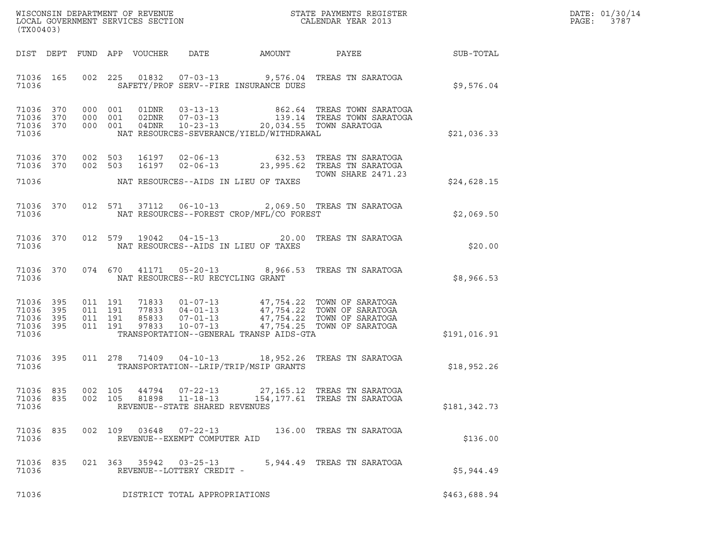| DATE: | 01/30/14 |
|-------|----------|
| PAGE: | 3787     |

| (TX00403)                                                 |  |  |                                          |                            |                                                                    |                                          |                                                                                                                                                                                              |                  | DATE: 01/30/14<br>PAGE:<br>3787 |
|-----------------------------------------------------------|--|--|------------------------------------------|----------------------------|--------------------------------------------------------------------|------------------------------------------|----------------------------------------------------------------------------------------------------------------------------------------------------------------------------------------------|------------------|---------------------------------|
|                                                           |  |  |                                          | DIST DEPT FUND APP VOUCHER | DATE                                                               | AMOUNT                                   | PAYEE                                                                                                                                                                                        | <b>SUB-TOTAL</b> |                                 |
| 71036 165<br>71036                                        |  |  |                                          |                            |                                                                    | SAFETY/PROF SERV--FIRE INSURANCE DUES    | 002 225 01832 07-03-13 9,576.04 TREAS TN SARATOGA                                                                                                                                            | \$9,576.04       |                                 |
| 71036 370<br>71036 370<br>71036 370<br>71036              |  |  |                                          |                            |                                                                    | NAT RESOURCES-SEVERANCE/YIELD/WITHDRAWAL | 000 001 01DNR 03-13-13 862.64 TREAS TOWN SARATOGA<br>000 001 02DNR 07-03-13 139.14 TREAS TOWN SARATOGA<br>000 001 04DNR 10-23-13 20,034.55 TOWN SARATOGA                                     | \$21,036.33      |                                 |
| 71036                                                     |  |  |                                          |                            |                                                                    | NAT RESOURCES--AIDS IN LIEU OF TAXES     | <b>TOWN SHARE 2471.23</b>                                                                                                                                                                    | \$24,628.15      |                                 |
| 71036                                                     |  |  |                                          |                            |                                                                    | NAT RESOURCES--FOREST CROP/MFL/CO FOREST | 71036 370 012 571 37112 06-10-13 2,069.50 TREAS TN SARATOGA                                                                                                                                  | \$2,069.50       |                                 |
| 71036 370<br>71036                                        |  |  |                                          |                            |                                                                    | NAT RESOURCES--AIDS IN LIEU OF TAXES     | 012 579 19042 04-15-13 20.00 TREAS TN SARATOGA                                                                                                                                               | \$20.00          |                                 |
| 71036 370<br>71036                                        |  |  |                                          |                            |                                                                    | NAT RESOURCES--RU RECYCLING GRANT        | 074 670 41171 05-20-13 8,966.53 TREAS TN SARATOGA                                                                                                                                            | \$8,966.53       |                                 |
| 71036 395<br>71036 395<br>71036 395<br>71036 395<br>71036 |  |  | 011 191<br>011 191<br>011 191<br>011 191 |                            |                                                                    | TRANSPORTATION--GENERAL TRANSP AIDS-GTA  | 71833  01-07-13  47,754.22  TOWN OF SARATOGA<br>77833  04-01-13  47,754.22  TOWN OF SARATOGA<br>85833  07-01-13  47,754.22  TOWN OF SARATOGA<br>97833  10-07-13  47,754.25  TOWN OF SARATOGA | \$191,016.91     |                                 |
| 71036 395<br>71036                                        |  |  |                                          |                            |                                                                    | TRANSPORTATION--LRIP/TRIP/MSIP GRANTS    | 011  278  71409  04-10-13  18,952.26  TREAS TN SARATOGA                                                                                                                                      | \$18,952.26      |                                 |
| 71036 835<br>71036 835<br>71036                           |  |  | 002 105<br>002 105                       | 44794<br>81898             | $07 - 22 - 13$<br>$11 - 18 - 13$<br>REVENUE--STATE SHARED REVENUES |                                          | 27,165.12   TREAS  TN  SARATOGA<br>154, 177.61 TREAS TN SARATOGA                                                                                                                             | \$181,342.73     |                                 |
| 71036 835<br>71036                                        |  |  |                                          | 002 109 03648              | 07-22-13<br>REVENUE--EXEMPT COMPUTER AID                           |                                          | 136.00 TREAS TN SARATOGA                                                                                                                                                                     | \$136.00         |                                 |
| 71036 835<br>71036                                        |  |  |                                          |                            | 021 363 35942 03-25-13<br>REVENUE--LOTTERY CREDIT -                |                                          | 5,944.49 TREAS TN SARATOGA                                                                                                                                                                   | \$5,944.49       |                                 |
| 71036                                                     |  |  |                                          |                            | DISTRICT TOTAL APPROPRIATIONS                                      |                                          |                                                                                                                                                                                              | \$463,688.94     |                                 |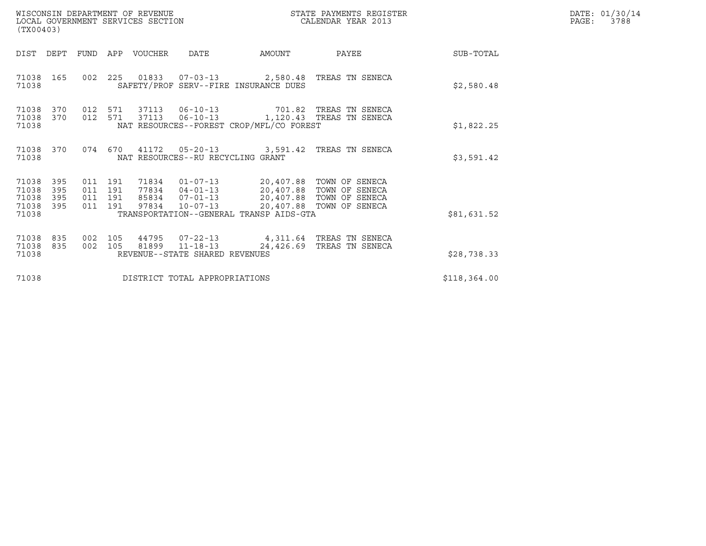| WISCONSIN DEPARTMENT OF REVENUE<br>LOCAL GOVERNMENT SERVICES SECTION<br>(TX00403) |                                          |             |                                                                             | STATE PAYMENTS REGISTER<br>CALENDAR YEAR 2013 |                                                                                                                                                  |              | DATE: 01/30/14<br>PAGE:<br>3788 |
|-----------------------------------------------------------------------------------|------------------------------------------|-------------|-----------------------------------------------------------------------------|-----------------------------------------------|--------------------------------------------------------------------------------------------------------------------------------------------------|--------------|---------------------------------|
| DIST DEPT                                                                         | FUND                                     | APP VOUCHER | <b>DATE</b>                                                                 | AMOUNT                                        | PAYEE                                                                                                                                            | SUB-TOTAL    |                                 |
| 71038 165<br>71038                                                                |                                          |             | SAFETY/PROF SERV--FIRE INSURANCE DUES                                       |                                               | 002  225  01833  07-03-13  2,580.48  TREAS TN SENECA                                                                                             | \$2,580.48   |                                 |
| 71038<br>370<br>71038<br>370<br>71038                                             | 012 571<br>012 571                       | 37113       | NAT RESOURCES--FOREST CROP/MFL/CO FOREST                                    |                                               | 37113   06-10-13   701.82   TREAS TN SENECA<br>06-10-13    1,120.43 TREAS TN SENECA                                                              | \$1,822.25   |                                 |
| 71038 370<br>71038                                                                | 074 670                                  |             | NAT RESOURCES--RU RECYCLING GRANT                                           |                                               | 41172  05-20-13  3,591.42 TREAS TN SENECA                                                                                                        | \$3,591.42   |                                 |
| 71038<br>395<br>395<br>71038<br>395<br>71038<br>395<br>71038<br>71038             | 011 191<br>011 191<br>011 191<br>011 191 | 97834       | 85834 07-01-13<br>$10 - 07 - 13$<br>TRANSPORTATION--GENERAL TRANSP AIDS-GTA |                                               | 71834  01-07-13  20,407.88  TOWN OF SENECA<br>77834  04-01-13  20,407.88  TOWN OF SENECA<br>20,407.88 TOWN OF SENECA<br>20,407.88 TOWN OF SENECA | \$81,631.52  |                                 |
| 71038<br>835<br>835<br>71038<br>71038                                             | 002 105<br>002 105                       | 81899       | REVENUE--STATE SHARED REVENUES                                              |                                               | 44795 07-22-13 4,311.64 TREAS TN SENECA<br>11-18-13    24,426.69    TREAS TN SENECA                                                              | \$28,738.33  |                                 |
| 71038                                                                             |                                          |             | DISTRICT TOTAL APPROPRIATIONS                                               |                                               |                                                                                                                                                  | \$118,364.00 |                                 |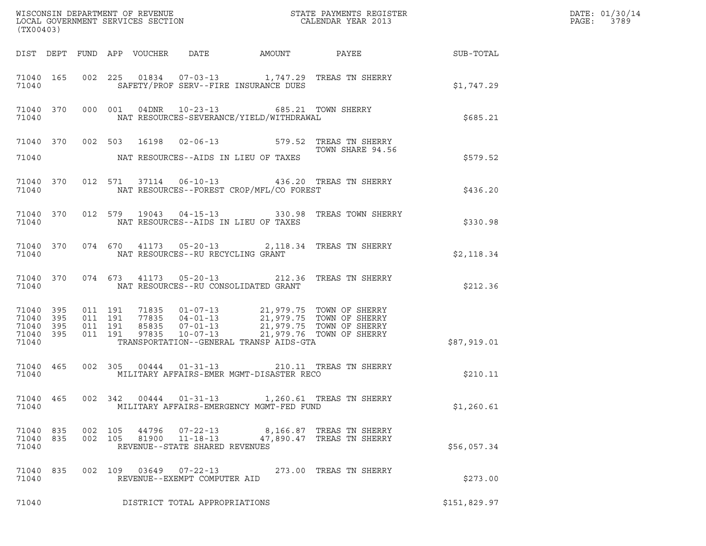| (TX00403)                                                 |  | WISCONSIN DEPARTMENT OF REVENUE<br>LOCAL GOVERNMENT SERVICES SECTION<br>CALENDAR YEAR 2013 |                                            | DATE: 01/30/14<br>PAGE: 3789                   |                                                                                                                                                                                                                                                                                                                                            |              |  |
|-----------------------------------------------------------|--|--------------------------------------------------------------------------------------------|--------------------------------------------|------------------------------------------------|--------------------------------------------------------------------------------------------------------------------------------------------------------------------------------------------------------------------------------------------------------------------------------------------------------------------------------------------|--------------|--|
|                                                           |  |                                                                                            |                                            |                                                | DIST DEPT FUND APP VOUCHER DATE AMOUNT PAYEE PATE SUB-TOTAL                                                                                                                                                                                                                                                                                |              |  |
| 71040                                                     |  |                                                                                            |                                            | SAFETY/PROF SERV--FIRE INSURANCE DUES          | 71040 165 002 225 01834 07-03-13 1,747.29 TREAS TN SHERRY                                                                                                                                                                                                                                                                                  | \$1,747.29   |  |
|                                                           |  |                                                                                            |                                            |                                                | 71040 370 000 001 04DNR 10-23-13 685.21 TOWN SHERRY<br>71040 NAT RESOURCES-SEVERANCE/YIELD/WITHDRAWAL                                                                                                                                                                                                                                      | \$685.21     |  |
|                                                           |  |                                                                                            |                                            |                                                | 71040 370 002 503 16198 02-06-13 579.52 TREAS TN SHERRY<br>TOWN SHARE 94.56                                                                                                                                                                                                                                                                |              |  |
|                                                           |  |                                                                                            |                                            | 71040 NAT RESOURCES--AIDS IN LIEU OF TAXES     |                                                                                                                                                                                                                                                                                                                                            | \$579.52     |  |
|                                                           |  |                                                                                            |                                            | 71040 NAT RESOURCES--FOREST CROP/MFL/CO FOREST | 71040 370 012 571 37114 06-10-13 436.20 TREAS TN SHERRY                                                                                                                                                                                                                                                                                    | \$436.20     |  |
|                                                           |  |                                                                                            |                                            | 71040 NAT RESOURCES--AIDS IN LIEU OF TAXES     | 71040 370 012 579 19043 04-15-13 330.98 TREAS TOWN SHERRY                                                                                                                                                                                                                                                                                  | \$330.98     |  |
|                                                           |  | 71040 NAT RESOURCES--RU RECYCLING GRANT                                                    |                                            |                                                | 71040 370 074 670 41173 05-20-13 2,118.34 TREAS TN SHERRY                                                                                                                                                                                                                                                                                  | \$2,118.34   |  |
|                                                           |  |                                                                                            |                                            | 71040 NAT RESOURCES--RU CONSOLIDATED GRANT     | 71040 370 074 673 41173 05-20-13 212.36 TREAS TN SHERRY                                                                                                                                                                                                                                                                                    | \$212.36     |  |
| 71040 395<br>71040 395<br>71040 395<br>71040 395<br>71040 |  |                                                                                            |                                            | TRANSPORTATION--GENERAL TRANSP AIDS-GTA        | $\begin{array}{cccccc} 011 & 191 & 71835 & 01\text{--}07\text{--}13 & 21,979.75 & \text{TOWN OF SHERRY} \\ 011 & 191 & 77835 & 04\text{--}01\text{--}13 & 21,979.75 & \text{TOWN OF SHERRY} \\ 011 & 191 & 85835 & 07\text{--}01\text{--}13 & 21,979.75 & \text{TOWN OF SHERRY} \\ 011 & 191 & 97835 & 10\text{--}07\text{--}13 & 21,979.$ | \$87,919.01  |  |
|                                                           |  |                                                                                            |                                            |                                                |                                                                                                                                                                                                                                                                                                                                            |              |  |
| 71040 465<br>71040                                        |  |                                                                                            |                                            | MILITARY AFFAIRS-EMER MGMT-DISASTER RECO       | 002 305 00444 01-31-13 210.11 TREAS TN SHERRY                                                                                                                                                                                                                                                                                              | \$210.11     |  |
| 71040 465<br>71040                                        |  | 002 342                                                                                    | 00444  01-31-13                            | MILITARY AFFAIRS-EMERGENCY MGMT-FED FUND       | 1,260.61   TREAS  TN  SHERRY                                                                                                                                                                                                                                                                                                               | \$1,260.61   |  |
| 71040 835<br>71040 835<br>71040                           |  | 002 105<br>44796<br>002 105<br>81900                                                       | 07-22-13<br>REVENUE--STATE SHARED REVENUES |                                                | 8,166.87 TREAS TN SHERRY<br>11-18-13 47,890.47 TREAS TN SHERRY                                                                                                                                                                                                                                                                             | \$56,057.34  |  |
| 71040 835<br>71040                                        |  | 002 109 03649 07-22-13                                                                     | REVENUE--EXEMPT COMPUTER AID               |                                                | 273.00 TREAS TN SHERRY                                                                                                                                                                                                                                                                                                                     | \$273.00     |  |
| 71040                                                     |  |                                                                                            | DISTRICT TOTAL APPROPRIATIONS              |                                                |                                                                                                                                                                                                                                                                                                                                            | \$151,829.97 |  |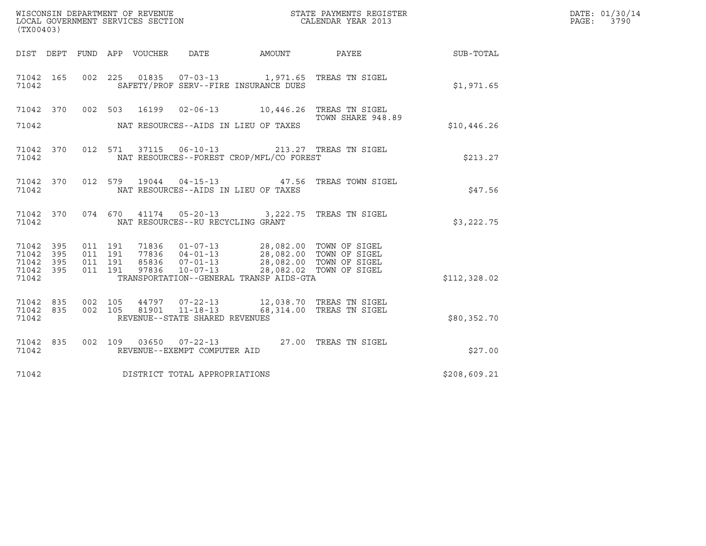| (TX00403)                                     |                   |         | WISCONSIN DEPARTMENT OF REVENUE<br>LOCAL GOVERNMENT SERVICES SECTION |                                                  |                                                                                                                                                                                | STATE PAYMENTS REGISTER<br>CALENDAR YEAR 2013                                  |              | DATE: 01/30/14<br>PAGE:<br>3790 |
|-----------------------------------------------|-------------------|---------|----------------------------------------------------------------------|--------------------------------------------------|--------------------------------------------------------------------------------------------------------------------------------------------------------------------------------|--------------------------------------------------------------------------------|--------------|---------------------------------|
|                                               |                   |         | DIST DEPT FUND APP VOUCHER                                           | DATE                                             | AMOUNT PAYEE                                                                                                                                                                   |                                                                                | SUB-TOTAL    |                                 |
| 71042 165<br>71042                            |                   |         |                                                                      |                                                  | SAFETY/PROF SERV--FIRE INSURANCE DUES                                                                                                                                          | 002 225 01835 07-03-13 1,971.65 TREAS TN SIGEL                                 | \$1,971.65   |                                 |
|                                               |                   |         |                                                                      |                                                  |                                                                                                                                                                                | 71042 370 002 503 16199 02-06-13 10,446.26 TREAS TN SIGEL<br>TOWN SHARE 948.89 |              |                                 |
| 71042                                         |                   |         |                                                                      | NAT RESOURCES--AIDS IN LIEU OF TAXES             |                                                                                                                                                                                |                                                                                | \$10,446.26  |                                 |
| 71042 370<br>71042                            |                   |         |                                                                      |                                                  | NAT RESOURCES--FOREST CROP/MFL/CO FOREST                                                                                                                                       | 012 571 37115 06-10-13 213.27 TREAS TN SIGEL                                   | \$213.27     |                                 |
| 71042 370<br>71042                            |                   |         |                                                                      | NAT RESOURCES--AIDS IN LIEU OF TAXES             |                                                                                                                                                                                | 012 579 19044 04-15-13 47.56 TREAS TOWN SIGEL                                  | \$47.56      |                                 |
| 71042 370<br>71042                            |                   |         | 074 670                                                              | NAT RESOURCES--RU RECYCLING GRANT                |                                                                                                                                                                                | 41174  05-20-13  3,222.75  TREAS TN SIGEL                                      | \$3,222.75   |                                 |
| 71042 395<br>71042<br>71042<br>71042<br>71042 | 395<br>395<br>395 | 011 191 | 011 191<br>011 191<br>011 191<br>97836                               | $10 - 07 - 13$                                   | 71836  01-07-13  28,082.00  TOWN OF SIGEL<br>77836  04-01-13  28,082.00  TOWN OF SIGEL<br>85836  07-01-13  28,082.00  TOWN OF SIGEL<br>TRANSPORTATION--GENERAL TRANSP AIDS-GTA | 28,082.02 TOWN OF SIGEL                                                        | \$112,328.02 |                                 |
| 71042 835<br>71042 835<br>71042               |                   | 002 105 | 002 105<br>81901                                                     | $11 - 18 - 13$<br>REVENUE--STATE SHARED REVENUES |                                                                                                                                                                                | 44797 07-22-13 12,038.70 TREAS TN SIGEL<br>68,314.00 TREAS TN SIGEL            | \$80,352.70  |                                 |
| 71042 835<br>71042                            |                   |         |                                                                      | REVENUE--EXEMPT COMPUTER AID                     |                                                                                                                                                                                | 002 109 03650 07-22-13 27.00 TREAS TN SIGEL                                    | \$27.00      |                                 |
| 71042                                         |                   |         | DISTRICT TOTAL APPROPRIATIONS                                        |                                                  |                                                                                                                                                                                |                                                                                | \$208,609.21 |                                 |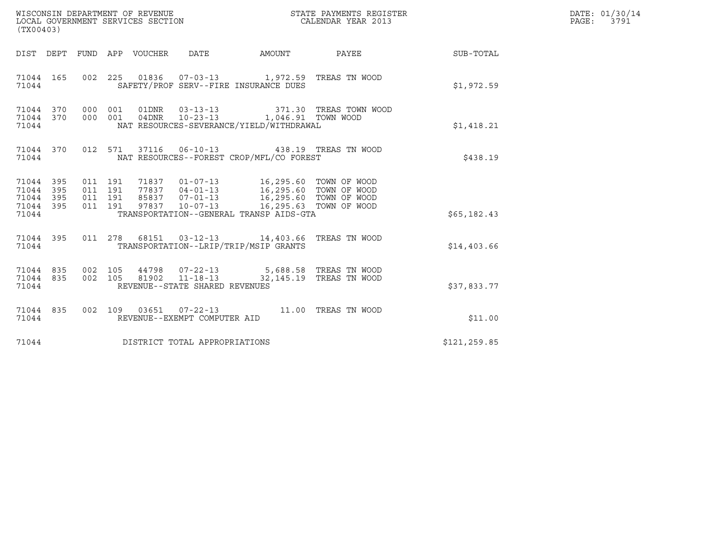| (TX00403)                                         |            |                    |                    | WISCONSIN DEPARTMENT OF REVENUE<br>LOCAL GOVERNMENT SERVICES SECTION |                                                                                                                                                                                                                | STATE PAYMENTS REGISTER<br>CALENDAR YEAR 2013              |               | DATE: 01/30/14<br>PAGE: 3791 |
|---------------------------------------------------|------------|--------------------|--------------------|----------------------------------------------------------------------|----------------------------------------------------------------------------------------------------------------------------------------------------------------------------------------------------------------|------------------------------------------------------------|---------------|------------------------------|
|                                                   |            |                    |                    |                                                                      |                                                                                                                                                                                                                | DIST DEPT FUND APP VOUCHER DATE AMOUNT PAYEE THE SUB-TOTAL |               |                              |
| 71044 165<br>71044                                |            |                    |                    |                                                                      | 002 225 01836 07-03-13 1,972.59 TREAS TN WOOD<br>SAFETY/PROF SERV--FIRE INSURANCE DUES                                                                                                                         |                                                            | \$1,972.59    |                              |
| 71044 370 000 001<br>71044 370<br>71044           |            | 000 001            |                    |                                                                      | NAT RESOURCES-SEVERANCE/YIELD/WITHDRAWAL                                                                                                                                                                       |                                                            | \$1,418.21    |                              |
| 71044                                             |            |                    |                    |                                                                      | 71044 370 012 571 37116 06-10-13 438.19 TREAS TN WOOD<br>NAT RESOURCES--FOREST CROP/MFL/CO FOREST                                                                                                              |                                                            | \$438.19      |                              |
| 71044 395<br>71044<br>71044<br>71044 395<br>71044 | 395<br>395 | 011 191<br>011 191 | 011 191<br>011 191 |                                                                      | 71837  01-07-13  16,295.60  TOWN OF WOOD<br>77837 04-01-13 16,295.60 TOWN OF WOOD<br>85837 07-01-13 16,295.60 TOWN OF WOOD<br>97837 10-07-13 16,295.60 TOWN OF WOOD<br>TRANSPORTATION--GENERAL TRANSP AIDS-GTA |                                                            | \$65,182.43   |                              |
| 71044 395<br>71044                                |            |                    |                    |                                                                      | 011  278  68151  03-12-13  14,403.66  TREAS  TN WOOD<br>TRANSPORTATION--LRIP/TRIP/MSIP GRANTS                                                                                                                  |                                                            | \$14,403.66   |                              |
| 71044 835<br>71044                                |            | 002 105            |                    | REVENUE--STATE SHARED REVENUES                                       | 71044 835 002 105 44798 07-22-13 5,688.58 TREAS TN WOOD<br>81902  11-18-13  32,145.19 TREAS TN WOOD                                                                                                            |                                                            | \$37,833.77   |                              |
| 71044 835<br>71044                                |            |                    |                    | REVENUE--EXEMPT COMPUTER AID                                         | 002 109 03651 07-22-13 11.00 TREAS TN WOOD                                                                                                                                                                     |                                                            | \$11.00       |                              |
| 71044                                             |            |                    |                    | DISTRICT TOTAL APPROPRIATIONS                                        |                                                                                                                                                                                                                |                                                            | \$121, 259.85 |                              |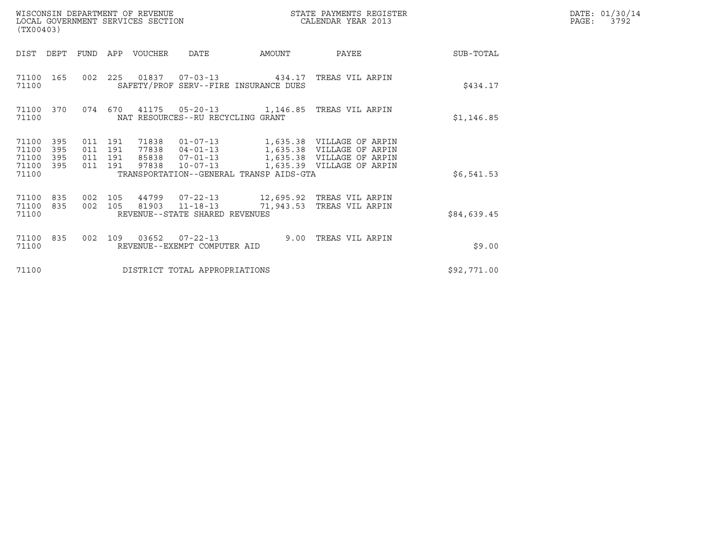| (TX00403)                                 |                          |                                      |     | WISCONSIN DEPARTMENT OF REVENUE<br>LOCAL GOVERNMENT SERVICES SECTION |                                                                      |                                         | STATE PAYMENTS REGISTER<br>CALENDAR YEAR 2013                                                                    |             | DATE: 01/30/14<br>PAGE:<br>3792 |
|-------------------------------------------|--------------------------|--------------------------------------|-----|----------------------------------------------------------------------|----------------------------------------------------------------------|-----------------------------------------|------------------------------------------------------------------------------------------------------------------|-------------|---------------------------------|
| DIST                                      | DEPT                     | FUND                                 | APP | VOUCHER                                                              | <b>DATE</b>                                                          | AMOUNT                                  | PAYEE                                                                                                            | SUB-TOTAL   |                                 |
| 71100<br>71100                            | 165                      |                                      |     |                                                                      |                                                                      | SAFETY/PROF SERV--FIRE INSURANCE DUES   | 002  225  01837  07-03-13  434.17  TREAS VIL ARPIN                                                               | \$434.17    |                                 |
| 71100<br>71100                            | 370                      | 074                                  | 670 |                                                                      | NAT RESOURCES--RU RECYCLING GRANT                                    |                                         | 41175  05-20-13  1,146.85  TREAS VIL ARPIN                                                                       | \$1,146.85  |                                 |
| 71100<br>71100<br>71100<br>71100<br>71100 | 395<br>395<br>395<br>395 | 011 191<br>011<br>011 191<br>011 191 | 191 | 71838<br>77838<br>85838<br>97838                                     | $01 - 07 - 13$<br>$04 - 01 - 13$<br>$07 - 01 - 13$<br>$10 - 07 - 13$ | TRANSPORTATION--GENERAL TRANSP AIDS-GTA | 1,635.38 VILLAGE OF ARPIN<br>1,635.38 VILLAGE OF ARPIN<br>1,635.38 VILLAGE OF ARPIN<br>1,635.39 VILLAGE OF ARPIN | \$6,541.53  |                                 |
| 71100<br>71100<br>71100                   | 835<br>835               | 002 105<br>002 105                   |     | 44799                                                                | $07 - 22 - 13$<br>81903 11-18-13<br>REVENUE--STATE SHARED REVENUES   | 71,943.53                               | 12,695.92   TREAS VIL ARPIN<br>TREAS VIL ARPIN                                                                   | \$84,639.45 |                                 |
| 71100<br>71100                            | 835                      | 002                                  | 109 | 03652                                                                | $07 - 22 - 13$<br>REVENUE--EXEMPT COMPUTER AID                       | 9.00                                    | TREAS VIL ARPIN                                                                                                  | \$9.00      |                                 |
| 71100                                     |                          |                                      |     |                                                                      | DISTRICT TOTAL APPROPRIATIONS                                        |                                         |                                                                                                                  | \$92,771.00 |                                 |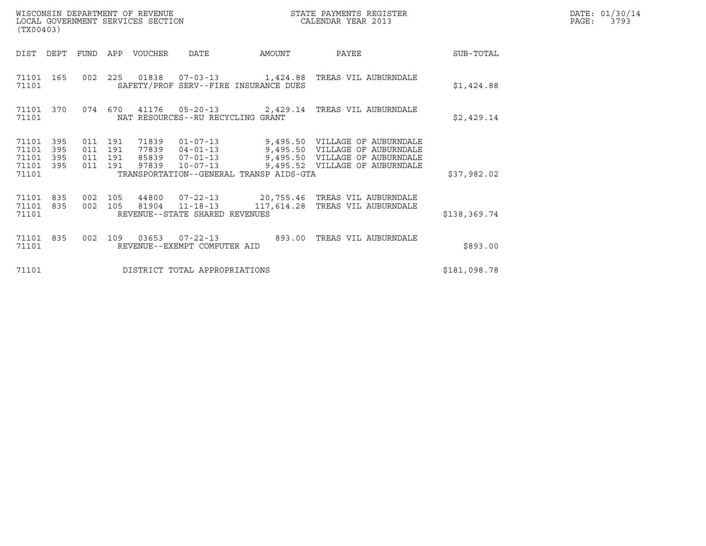| (TX00403)                                     |                   |                                          | WISCONSIN DEPARTMENT OF REVENUE<br>LOCAL GOVERNMENT SERVICES SECTION |                                   |                                         | STATE PAYMENTS REGISTER<br>CALENDAR YEAR 2013                                                                                                                                                       |              | DATE: 01/30/14<br>PAGE: 3793 |
|-----------------------------------------------|-------------------|------------------------------------------|----------------------------------------------------------------------|-----------------------------------|-----------------------------------------|-----------------------------------------------------------------------------------------------------------------------------------------------------------------------------------------------------|--------------|------------------------------|
|                                               |                   |                                          | DIST DEPT FUND APP VOUCHER DATE                                      |                                   | AMOUNT                                  | <b>PAYEE</b> PAYEE                                                                                                                                                                                  | SUB-TOTAL    |                              |
| 71101                                         |                   |                                          |                                                                      |                                   | SAFETY/PROF SERV--FIRE INSURANCE DUES   | 71101 165 002 225 01838 07-03-13 1,424.88 TREAS VIL AUBURNDALE                                                                                                                                      | \$1,424.88   |                              |
| 71101                                         | 71101 370         |                                          |                                                                      | NAT RESOURCES--RU RECYCLING GRANT |                                         | 074 670 41176 05-20-13 2,429.14 TREAS VIL AUBURNDALE                                                                                                                                                | \$2,429.14   |                              |
| 71101<br>71101<br>71101<br>71101 395<br>71101 | 395<br>395<br>395 | 011 191<br>011 191<br>011 191<br>011 191 |                                                                      |                                   | TRANSPORTATION--GENERAL TRANSP AIDS-GTA | 71839  01-07-13  9,495.50  VILLAGE OF AUBURNDALE<br>77839 04-01-13 9,495.50 VILLAGE OF AUBURNDALE<br>85839 07-01-13 9,495.50 VILLAGE OF AUBURNDALE<br>97839 10-07-13 9,495.52 VILLAGE OF AUBURNDALE | \$37,982.02  |                              |
| 71101 835<br>71101                            | 71101 835         | 002 105                                  |                                                                      | REVENUE--STATE SHARED REVENUES    |                                         | 002 105 44800 07-22-13 20,755.46 TREAS VIL AUBURNDALE<br>81904  11-18-13  117,614.28  TREAS VIL AUBURNDALE                                                                                          | \$138,369.74 |                              |
| 71101 835<br>71101                            |                   |                                          |                                                                      | REVENUE--EXEMPT COMPUTER AID      |                                         | 002  109  03653  07-22-13  893.00  TREAS VIL AUBURNDALE                                                                                                                                             | \$893.00     |                              |
| 71101                                         |                   |                                          |                                                                      | DISTRICT TOTAL APPROPRIATIONS     |                                         |                                                                                                                                                                                                     | \$181,098.78 |                              |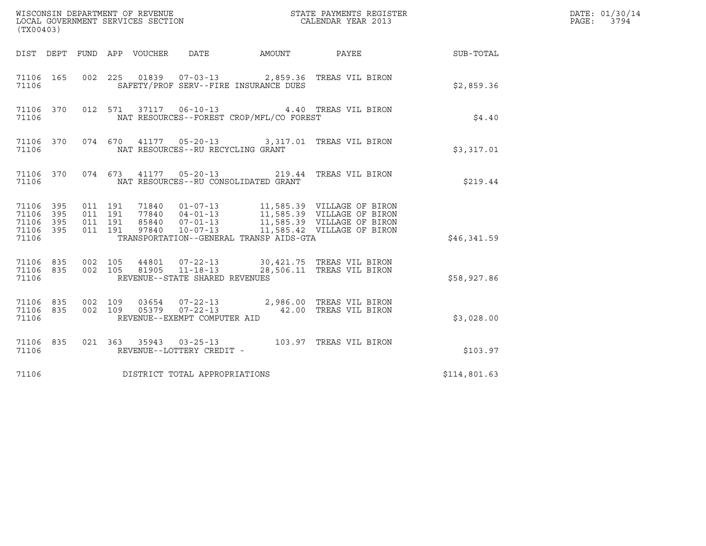| (TX00403)                                             |     |                                          |                            |                                                                    |                                          | ${\tt WISCONSIM\ DEPARTMENT\ OF\ REVENUE}\hbox{\tt STATE\ PAYMENTS\ REGISTER\ LOCAL\ GOVERNMENT\ SERVICES\ SECTION\thinspace\ {\tt NETATE\ CALENDAR\ YEAR\ 2013}$                        |              | DATE: 01/30/14<br>$\mathtt{PAGE:}$<br>3794 |
|-------------------------------------------------------|-----|------------------------------------------|----------------------------|--------------------------------------------------------------------|------------------------------------------|------------------------------------------------------------------------------------------------------------------------------------------------------------------------------------------|--------------|--------------------------------------------|
|                                                       |     |                                          | DIST DEPT FUND APP VOUCHER | DATE                                                               | AMOUNT PAYEE                             |                                                                                                                                                                                          | SUB-TOTAL    |                                            |
| 71106 165<br>71106                                    |     |                                          |                            |                                                                    | SAFETY/PROF SERV--FIRE INSURANCE DUES    | 002 225 01839 07-03-13 2,859.36 TREAS VIL BIRON                                                                                                                                          | \$2,859.36   |                                            |
| 71106 370<br>71106                                    |     |                                          |                            |                                                                    | NAT RESOURCES--FOREST CROP/MFL/CO FOREST | 012 571 37117 06-10-13 4.40 TREAS VIL BIRON                                                                                                                                              | \$4.40       |                                            |
| 71106 370<br>71106                                    |     |                                          |                            | NAT RESOURCES--RU RECYCLING GRANT                                  |                                          | 074 670 41177 05-20-13 3,317.01 TREAS VIL BIRON                                                                                                                                          | \$3,317.01   |                                            |
| 71106 370<br>71106                                    |     |                                          |                            |                                                                    | NAT RESOURCES--RU CONSOLIDATED GRANT     | 074 673 41177 05-20-13 219.44 TREAS VIL BIRON                                                                                                                                            | \$219.44     |                                            |
| 71106 395<br>71106 395<br>71106<br>71106 395<br>71106 | 395 | 011 191<br>011 191<br>011 191<br>011 191 | 97840                      | 85840 07-01-13<br>$07 - 01 - 13$<br>10-07-13                       | TRANSPORTATION--GENERAL TRANSP AIDS-GTA  | 11,585.39 VILLAGE OF BIRON<br>71840  01-07-13   11,585.39  VILLAGE OF BIRON<br>77840  04-01-13   11,585.39  VILLAGE OF BIRON<br>11,585.39 VILLAGE OF BIRON<br>11,585.42 VILLAGE OF BIRON | \$46,341.59  |                                            |
| 71106 835<br>71106 835<br>71106                       |     | 002 105<br>002 105                       | 44801<br>81905             | $07 - 22 - 13$<br>$11 - 18 - 13$<br>REVENUE--STATE SHARED REVENUES |                                          | 30,421.75 TREAS VIL BIRON<br>28,506.11 TREAS VIL BIRON                                                                                                                                   | \$58,927.86  |                                            |
| 71106 835<br>71106 835<br>71106                       |     | 002 109<br>002 109                       |                            | REVENUE--EXEMPT COMPUTER AID                                       |                                          | 03654  07-22-13  2,986.00  TREAS VIL BIRON<br>05379  07-22-13  42.00  TREAS VIL BIRON                                                                                                    | \$3,028.00   |                                            |
| 71106 835<br>71106                                    |     |                                          |                            | REVENUE--LOTTERY CREDIT -                                          |                                          |                                                                                                                                                                                          | \$103.97     |                                            |
| 71106                                                 |     |                                          |                            | DISTRICT TOTAL APPROPRIATIONS                                      |                                          |                                                                                                                                                                                          | \$114,801.63 |                                            |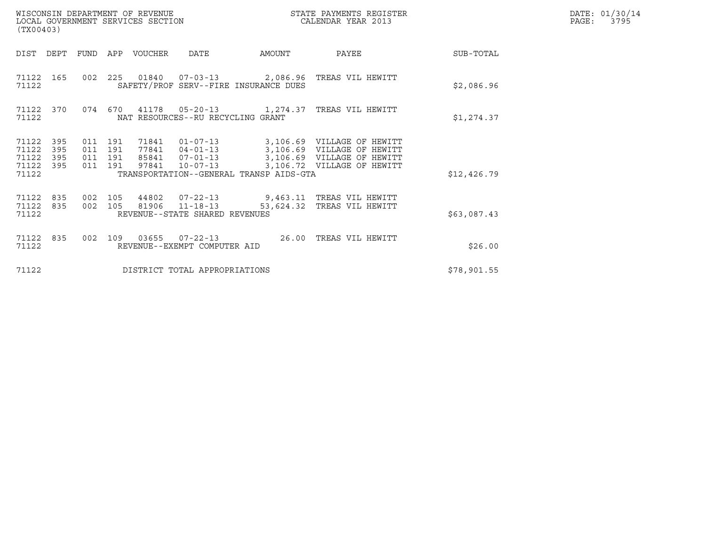| (TX00403)                                     |                   |                           |                  | WISCONSIN DEPARTMENT OF REVENUE<br>LOCAL GOVERNMENT SERVICES SECTION |                                                  |                                         | STATE PAYMENTS REGISTER<br>CALENDAR YEAR 2013                                                                                                            |             | DATE: 01/30/14<br>$\mathtt{PAGE:}$<br>3795 |
|-----------------------------------------------|-------------------|---------------------------|------------------|----------------------------------------------------------------------|--------------------------------------------------|-----------------------------------------|----------------------------------------------------------------------------------------------------------------------------------------------------------|-------------|--------------------------------------------|
| DIST                                          | DEPT              |                           | FUND APP VOUCHER |                                                                      | DATE                                             | AMOUNT                                  | PAYEE                                                                                                                                                    | SUB-TOTAL   |                                            |
| 71122                                         | 71122 165         |                           |                  |                                                                      |                                                  | SAFETY/PROF SERV--FIRE INSURANCE DUES   | 002  225  01840  07-03-13  2,086.96  TREAS VIL HEWITT                                                                                                    | \$2,086.96  |                                            |
| 71122                                         | 71122 370         |                           | 074 670          |                                                                      | NAT RESOURCES--RU RECYCLING GRANT                |                                         |                                                                                                                                                          | \$1,274.37  |                                            |
| 71122<br>71122<br>71122<br>71122 395<br>71122 | 395<br>395<br>395 | 011 191<br>011<br>011 191 | 191<br>011 191   |                                                                      | 85841 07-01-13<br>97841 10-07-13                 | TRANSPORTATION--GENERAL TRANSP AIDS-GTA | 71841  01-07-13  3,106.69  VILLAGE OF HEWITT<br>77841  04-01-13  3,106.69  VILLAGE OF HEWITT<br>3,106.69 VILLAGE OF HEWITT<br>3,106.72 VILLAGE OF HEWITT | \$12,426.79 |                                            |
| 71122 835<br>71122 835<br>71122               |                   | 002 105                   | 002 105          |                                                                      | 81906 11-18-13<br>REVENUE--STATE SHARED REVENUES |                                         | 44802  07-22-13  9,463.11 TREAS VIL HEWITT<br>53,624.32 TREAS VIL HEWITT                                                                                 | \$63,087.43 |                                            |
| 71122 835<br>71122                            |                   |                           | 002 109          |                                                                      | 03655 07-22-13<br>REVENUE--EXEMPT COMPUTER AID   |                                         | 26.00 TREAS VIL HEWITT                                                                                                                                   | \$26.00     |                                            |
| 71122                                         |                   |                           |                  |                                                                      | DISTRICT TOTAL APPROPRIATIONS                    |                                         |                                                                                                                                                          | \$78,901.55 |                                            |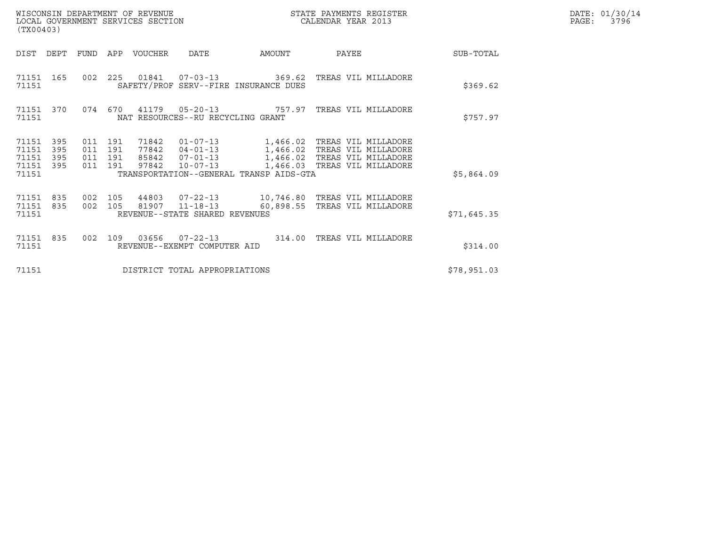| WISCONSIN DEPARTMENT OF REVENUE   | STATE PAYMENTS REGISTER | DATE: 01/30/14            |
|-----------------------------------|-------------------------|---------------------------|
| LOCAL GOVERNMENT SERVICES SECTION | CALENDAR YEAR 2013      | 3796<br>$\mathtt{PAGE}$ : |

| (TX00403)                                         |            |                               |         |                                 |                                   |                                         |                                                                                                         | DATE: 01/30/14<br>PAGE: 3796 |  |
|---------------------------------------------------|------------|-------------------------------|---------|---------------------------------|-----------------------------------|-----------------------------------------|---------------------------------------------------------------------------------------------------------|------------------------------|--|
|                                                   |            |                               |         | DIST DEPT FUND APP VOUCHER DATE |                                   | <b>AMOUNT</b>                           | PAYEE                                                                                                   | SUB-TOTAL                    |  |
| 71151                                             |            |                               |         |                                 |                                   | SAFETY/PROF SERV--FIRE INSURANCE DUES   | 71151 165 002 225 01841 07-03-13 369.62 TREAS VIL MILLADORE                                             | \$369.62                     |  |
| 71151 370<br>71151                                |            |                               |         |                                 | NAT RESOURCES--RU RECYCLING GRANT |                                         | 074 670 41179 05-20-13 757.97 TREAS VIL MILLADORE                                                       | \$757.97                     |  |
| 71151 395<br>71151<br>71151<br>71151 395<br>71151 | 395<br>395 | 011 191<br>011 191<br>011 191 | 011 191 | 97842                           |                                   | TRANSPORTATION--GENERAL TRANSP AIDS-GTA | 85842  07-01-13    1,466.02    TREAS VIL MILLADORE<br>10-07-13 1,466.03 TREAS VIL MILLADORE             | \$5,864.09                   |  |
| 71151 835<br>71151 835<br>71151                   |            |                               | 002 105 |                                 | REVENUE--STATE SHARED REVENUES    |                                         | 002 105 44803 07-22-13 10,746.80 TREAS VIL MILLADORE<br>81907  11-18-13  60,898.55  TREAS VIL MILLADORE | \$71,645.35                  |  |
| 71151 835<br>71151                                |            |                               |         |                                 | REVENUE--EXEMPT COMPUTER AID      |                                         | 002 109 03656 07-22-13 314.00 TREAS VIL MILLADORE                                                       | \$314.00                     |  |
| 71151                                             |            |                               |         |                                 | DISTRICT TOTAL APPROPRIATIONS     |                                         |                                                                                                         | \$78,951.03                  |  |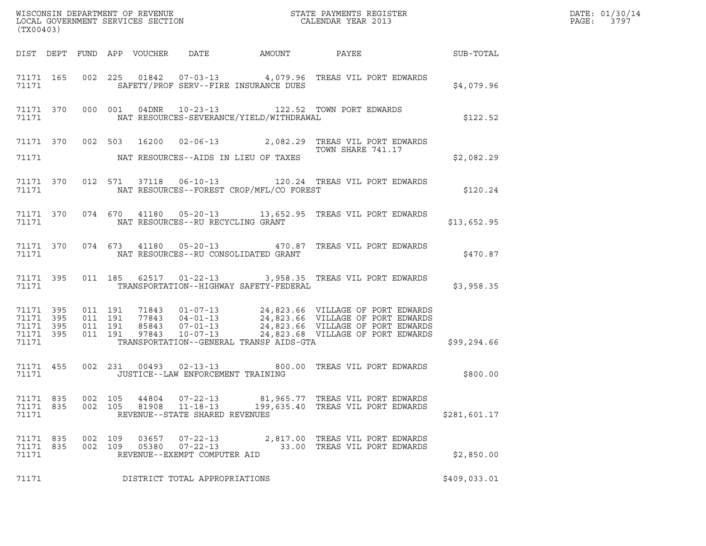|                                 | (TX00403) |                    |  |                |                                                                    |                                            |                                                                                                                                                                                                                                         |              |  |
|---------------------------------|-----------|--------------------|--|----------------|--------------------------------------------------------------------|--------------------------------------------|-----------------------------------------------------------------------------------------------------------------------------------------------------------------------------------------------------------------------------------------|--------------|--|
|                                 |           |                    |  |                |                                                                    |                                            | DIST DEPT FUND APP VOUCHER DATE AMOUNT PAYEE PATE SUB-TOTAL                                                                                                                                                                             |              |  |
|                                 |           | 71171              |  |                |                                                                    | SAFETY/PROF SERV--FIRE INSURANCE DUES      | 71171 165 002 225 01842 07-03-13 4,079.96 TREAS VIL PORT EDWARDS<br>\$4,079.96                                                                                                                                                          |              |  |
|                                 |           |                    |  |                |                                                                    |                                            | 71171 370 000 001 04DNR 10-23-13 122.52 TOWN PORT EDWARDS<br>71171 NAT RESOURCES-SEVERANCE/YIELD/WITHDRAWAL                                                                                                                             | \$122.52     |  |
|                                 |           |                    |  |                |                                                                    | 71171 NAT RESOURCES--AIDS IN LIEU OF TAXES | 71171 370 002 503 16200 02-06-13 2,082.29 TREAS VIL PORT EDWARDS<br>TOWN SHARE 741.17                                                                                                                                                   | \$2,082.29   |  |
|                                 |           |                    |  |                |                                                                    |                                            | 71171 370 012 571 37118 06-10-13 120.24 TREAS VIL PORT EDWARDS<br>71171 NAT RESOURCES--FOREST CROP/MFL/CO FOREST                                                                                                                        | \$120.24     |  |
|                                 |           |                    |  |                |                                                                    |                                            | 71171 370 074 670 41180 05-20-13 13,652.95 TREAS VIL PORT EDWARDS                                                                                                                                                                       | \$13,652.95  |  |
|                                 |           |                    |  |                |                                                                    |                                            | 71171 370 074 673 41180 05-20-13 470.87 TREAS VIL PORT EDWARDS                                                                                                                                                                          | \$470.87     |  |
|                                 |           |                    |  |                |                                                                    |                                            | 71171 395 011 185 62517 01-22-13 3,958.35 TREAS VIL PORT EDWARDS \$3,958.35                                                                                                                                                             |              |  |
| 71171                           |           |                    |  |                |                                                                    | TRANSPORTATION--GENERAL TRANSP AIDS-GTA    | 71171 395 011 191 71843 01-07-13 24,823.66 VILLAGE OF PORT EDWARDS<br>71171 395 011 191 77843 04-01-13 24,823.66 VILLAGE OF PORT EDWARDS<br>71171 395 011 191 85843 07-01-13 24,823.66 VILLAGE OF PORT EDWARDS<br>71171 395 011 191 978 | \$99,294.66  |  |
|                                 |           | 71171              |  |                | JUSTICE--LAW ENFORCEMENT TRAINING                                  |                                            | 71171 455 002 231 00493 02-13-13 800.00 TREAS VIL PORT EDWARDS                                                                                                                                                                          | \$800.00     |  |
| 71171 835<br>71171 835<br>71171 |           | 002 105<br>002 105 |  | 44804<br>81908 | $07 - 22 - 13$<br>$11 - 18 - 13$<br>REVENUE--STATE SHARED REVENUES |                                            | 81,965.77 TREAS VIL PORT EDWARDS<br>199,635.40 TREAS VIL PORT EDWARDS                                                                                                                                                                   | \$281,601.17 |  |
| 71171 835<br>71171 835<br>71171 |           | 002 109<br>002 109 |  | 03657<br>05380 | $07 - 22 - 13$<br>$07 - 22 - 13$<br>REVENUE--EXEMPT COMPUTER AID   |                                            | 2,817.00 TREAS VIL PORT EDWARDS<br>33.00 TREAS VIL PORT EDWARDS                                                                                                                                                                         | \$2,850.00   |  |
| 71171                           |           |                    |  |                | DISTRICT TOTAL APPROPRIATIONS                                      |                                            |                                                                                                                                                                                                                                         | \$409,033.01 |  |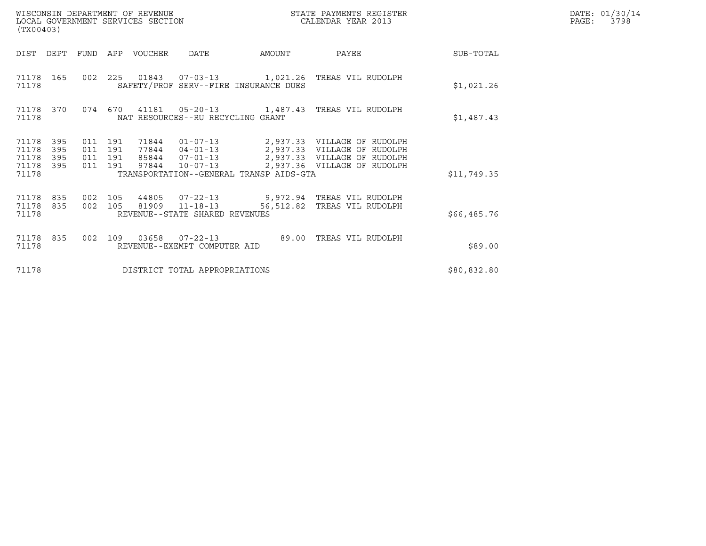| WISCONSIN DEPARTMENT OF REVENUE<br>LOCAL GOVERNMENT SERVICES SECTION<br>(TX00403) |                  |                                          |  |                                 |                                   | STATE PAYMENTS REGISTER<br>CALENDAR YEAR 2013 |                                                                                                                                                 | DATE: 01/30/14<br>PAGE: 3798 |  |
|-----------------------------------------------------------------------------------|------------------|------------------------------------------|--|---------------------------------|-----------------------------------|-----------------------------------------------|-------------------------------------------------------------------------------------------------------------------------------------------------|------------------------------|--|
|                                                                                   |                  |                                          |  | DIST DEPT FUND APP VOUCHER DATE |                                   | <b>AMOUNT</b>                                 | <b>PAYEE</b>                                                                                                                                    | SUB-TOTAL                    |  |
| 71178                                                                             |                  |                                          |  |                                 |                                   | SAFETY/PROF SERV--FIRE INSURANCE DUES         | 71178  165  002  225  01843  07-03-13  1,021.26  TREAS VIL RUDOLPH                                                                              | \$1,021.26                   |  |
| 71178                                                                             | 71178 370        |                                          |  |                                 | NAT RESOURCES--RU RECYCLING GRANT |                                               | 074  670  41181  05-20-13   1,487.43  TREAS VIL RUDOLPH                                                                                         | \$1,487.43                   |  |
| 71178 395<br>71178<br>71178<br>71178 395<br>71178                                 | 395<br>395       | 011 191<br>011 191<br>011 191<br>011 191 |  |                                 |                                   | TRANSPORTATION--GENERAL TRANSP AIDS-GTA       | 77844  04-01-13  2,937.33  VILLAGE OF RUDOLPH<br>85844  07-01-13  2,937.33  VILLAGE OF RUDOLPH<br>97844  10-07-13  2,937.36  VILLAGE OF RUDOLPH | \$11,749.35                  |  |
| 71178<br>71178                                                                    | 71178 835<br>835 | 002 105<br>002 105                       |  |                                 | REVENUE--STATE SHARED REVENUES    |                                               | 44805  07-22-13  9,972.94  TREAS VIL RUDOLPH<br>81909  11-18-13  56,512.82  TREAS VIL RUDOLPH                                                   | \$66,485.76                  |  |
| 71178                                                                             | 71178 835        |                                          |  |                                 | REVENUE--EXEMPT COMPUTER AID      |                                               | 002 109 03658 07-22-13 89.00 TREAS VIL RUDOLPH                                                                                                  | \$89.00                      |  |
| 71178                                                                             |                  |                                          |  |                                 | DISTRICT TOTAL APPROPRIATIONS     |                                               |                                                                                                                                                 | \$80,832.80                  |  |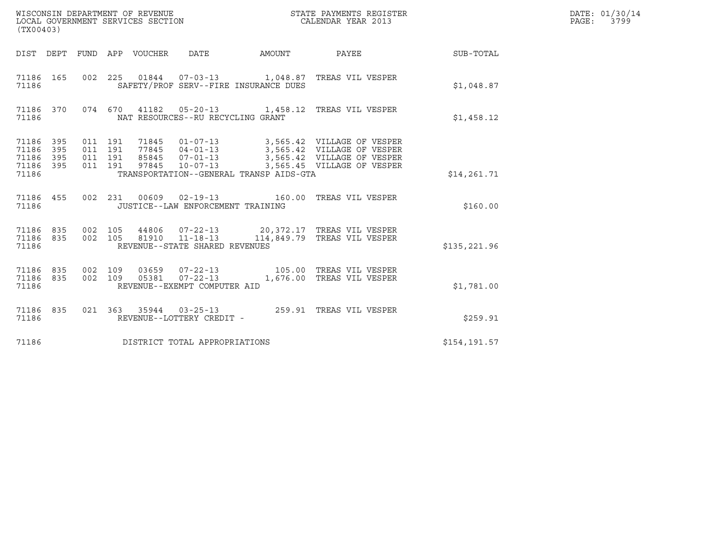| (TX00403)                                         |            |                                          |                                 | WISCONSIN DEPARTMENT OF REVENUE<br>LOCAL GOVERNMENT SERVICES SECTION | STATE PAYMENTS REGISTER<br>CALENDAR YEAR 2013                                                                                                                           |               | DATE: 01/30/14<br>PAGE: 3799 |
|---------------------------------------------------|------------|------------------------------------------|---------------------------------|----------------------------------------------------------------------|-------------------------------------------------------------------------------------------------------------------------------------------------------------------------|---------------|------------------------------|
|                                                   |            |                                          | DIST DEPT FUND APP VOUCHER DATE |                                                                      | AMOUNT PAYEE SUB-TOTAL                                                                                                                                                  |               |                              |
| 71186 165<br>71186                                |            |                                          |                                 | SAFETY/PROF SERV--FIRE INSURANCE DUES                                | 002  225  01844  07-03-13  1,048.87  TREAS VIL VESPER                                                                                                                   | \$1.048.87    |                              |
| 71186 370<br>71186                                |            |                                          |                                 | NAT RESOURCES--RU RECYCLING GRANT                                    | 074 670 41182 05-20-13 1,458.12 TREAS VIL VESPER                                                                                                                        | \$1,458.12    |                              |
| 71186 395<br>71186<br>71186<br>71186 395<br>71186 | 395<br>395 | 011 191<br>011 191<br>011 191<br>011 191 |                                 | 85845 07-01-13<br>TRANSPORTATION--GENERAL TRANSP AIDS-GTA            | 71845  01-07-13  3,565.42  VILLAGE OF VESPER<br>77845 04-01-13 3,565.42 VILLAGE OF VESPER<br>3,565.42 VILLAGE OF VESPER<br>97845  10-07-13  3,565.45  VILLAGE OF VESPER | \$14,261.71   |                              |
| 71186 455<br>71186                                |            |                                          |                                 | JUSTICE--LAW ENFORCEMENT TRAINING                                    | 002 231 00609 02-19-13 160.00 TREAS VIL VESPER                                                                                                                          | \$160.00      |                              |
| 71186 835<br>71186 835<br>71186                   |            | 002 105<br>002 105                       |                                 | 81910 11-18-13<br>REVENUE--STATE SHARED REVENUES                     | 44806  07-22-13  20,372.17  TREAS VIL VESPER<br>114,849.79 TREAS VIL VESPER                                                                                             | \$135, 221.96 |                              |
| 71186 835<br>71186 835<br>71186                   |            | 002 109<br>002 109                       |                                 | REVENUE--EXEMPT COMPUTER AID                                         | 03659  07-22-13  105.00  TREAS VIL VESPER                                                                                                                               | \$1,781.00    |                              |
| 71186 835<br>71186                                |            |                                          |                                 | REVENUE--LOTTERY CREDIT -                                            | 021  363  35944  03-25-13  259.91  TREAS VIL VESPER                                                                                                                     | \$259.91      |                              |
| 71186                                             |            |                                          |                                 | DISTRICT TOTAL APPROPRIATIONS                                        |                                                                                                                                                                         | \$154, 191.57 |                              |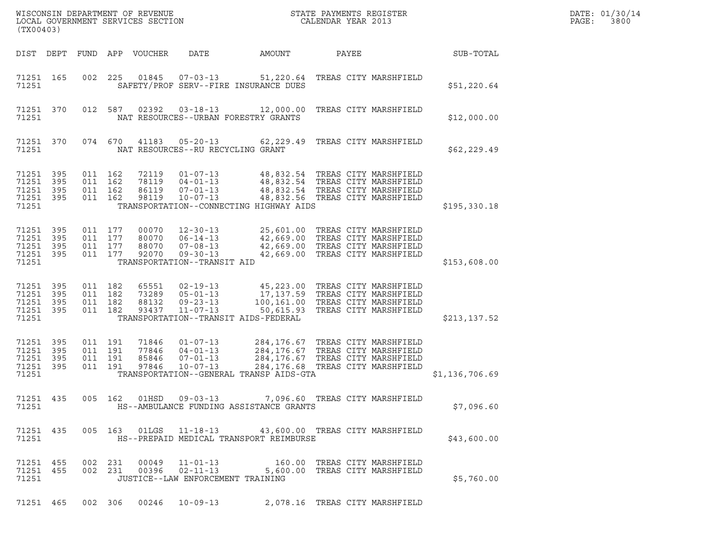| (TX00403)                                             |            |                               |                                          | WISCONSIN DEPARTMENT OF REVENUE<br>LOCAL GOVERNMENT SERVICES SECTION |                                                                                                     |                                                                                                                                           | STATE PAYMENTS REGISTER<br>CALENDAR YEAR 2013                                                                                                 |                | DATE: 01/30/14<br>PAGE:<br>3800 |
|-------------------------------------------------------|------------|-------------------------------|------------------------------------------|----------------------------------------------------------------------|-----------------------------------------------------------------------------------------------------|-------------------------------------------------------------------------------------------------------------------------------------------|-----------------------------------------------------------------------------------------------------------------------------------------------|----------------|---------------------------------|
|                                                       |            |                               |                                          | DIST DEPT FUND APP VOUCHER                                           | DATE                                                                                                | AMOUNT                                                                                                                                    | PAYEE                                                                                                                                         | SUB-TOTAL      |                                 |
| 71251 165<br>71251                                    |            |                               | 002 225                                  | 01845                                                                | $07 - 03 - 13$                                                                                      | SAFETY/PROF SERV--FIRE INSURANCE DUES                                                                                                     | 51,220.64 TREAS CITY MARSHFIELD                                                                                                               | \$51,220.64    |                                 |
| 71251 370<br>71251                                    |            |                               | 012 587                                  | 02392                                                                | $03 - 18 - 13$                                                                                      | NAT RESOURCES--URBAN FORESTRY GRANTS                                                                                                      | 12,000.00 TREAS CITY MARSHFIELD                                                                                                               | \$12,000.00    |                                 |
| 71251 370<br>71251                                    |            |                               | 074 670                                  |                                                                      |                                                                                                     | 41183  05-20-13  62, 229.49  TREAS CITY MARSHFIELD<br>NAT RESOURCES--RU RECYCLING GRANT                                                   |                                                                                                                                               | \$62, 229.49   |                                 |
| 71251 395<br>71251<br>71251 395<br>71251 395<br>71251 | 395        | 011 162                       | 011 162<br>011 162<br>011 162            | 72119<br>78119<br>86119<br>98119                                     | $01 - 07 - 13$<br>$04 - 01 - 13$<br>$07 - 01 - 13$<br>$10 - 07 - 13$                                | 48,832.54 TREAS CITY MARSHFIELD<br>TRANSPORTATION--CONNECTING HIGHWAY AIDS                                                                | 48,832.54 TREAS CITY MARSHFIELD<br>48,832.54 TREAS CITY MARSHFIELD<br>48,832.56 TREAS CITY MARSHFIELD                                         | \$195,330.18   |                                 |
| 71251 395<br>71251<br>71251<br>71251 395<br>71251     | 395<br>395 | 011 177<br>011 177            | 011 177<br>011 177                       | 00070<br>80070<br>88070<br>92070                                     | $12 - 30 - 13$<br>$06 - 14 - 13$<br>$07 - 08 - 13$<br>$09 - 30 - 13$<br>TRANSPORTATION--TRANSIT AID |                                                                                                                                           | 25,601.00 TREAS CITY MARSHFIELD<br>42,669.00 TREAS CITY MARSHFIELD<br>42,669.00 TREAS CITY MARSHFIELD<br>42,669.00 TREAS CITY MARSHFIELD      | \$153,608.00   |                                 |
| 71251 395<br>71251<br>71251 395<br>71251 395<br>71251 | 395        | 011 182<br>011 182<br>011 182 | 011 182                                  | 65551<br>73289<br>88132<br>93437                                     | 02-19-13<br>$05 - 01 - 13$<br>09-23-13<br>11-07-13                                                  | TRANSPORTATION--TRANSIT AIDS-FEDERAL                                                                                                      | 45,223.00 TREAS CITY MARSHFIELD<br>17,137.59 TREAS CITY MARSHFIELD<br>100,161.00 TREAS CITY MARSHFIELD<br>50,615.93 TREAS CITY MARSHFIELD     | \$213, 137.52  |                                 |
| 71251 395<br>71251 395<br>71251<br>71251 395<br>71251 | 395        |                               | 011 191<br>011 191<br>011 191<br>011 191 | 71846<br>77846<br>85846<br>97846                                     | $01 - 07 - 13$<br>$04 - 01 - 13$<br>$07 - 01 - 13$<br>$10 - 07 - 13$                                | TRANSPORTATION--GENERAL TRANSP AIDS-GTA                                                                                                   | 284, 176.67 TREAS CITY MARSHFIELD<br>284,176.67 TREAS CITY MARSHFIELD<br>284,176.67 TREAS CITY MARSHFIELD<br>284,176.68 TREAS CITY MARSHFIELD | \$1,136,706.69 |                                 |
| 71251 435<br>71251                                    |            |                               |                                          |                                                                      |                                                                                                     | 005  162  01HSD  09-03-13  7,096.60 TREAS CITY MARSHFIELD<br>HS--AMBULANCE FUNDING ASSISTANCE GRANTS                                      |                                                                                                                                               | \$7,096.60     |                                 |
| 71251 435<br>71251                                    |            |                               |                                          |                                                                      |                                                                                                     | 005  163  01LGS  11-18-13  43,600.00  TREAS CITY MARSHFIELD<br>HS--PREPAID MEDICAL TRANSPORT REIMBURSE                                    |                                                                                                                                               | \$43,600.00    |                                 |
| 71251 455<br>71251                                    | 71251 455  |                               | 002 231<br>002 231                       |                                                                      |                                                                                                     | 00049   11-01-13   160.00 TREAS CITY MARSHFIELD<br>00396   02-11-13   5,600.00 TREAS CITY MARSHFIELD<br>JUSTICE--LAW ENFORCEMENT TRAINING |                                                                                                                                               | \$5,760.00     |                                 |
|                                                       |            |                               |                                          |                                                                      |                                                                                                     | 71251 465 002 306 00246 10-09-13 2,078.16 TREAS CITY MARSHFIELD                                                                           |                                                                                                                                               |                |                                 |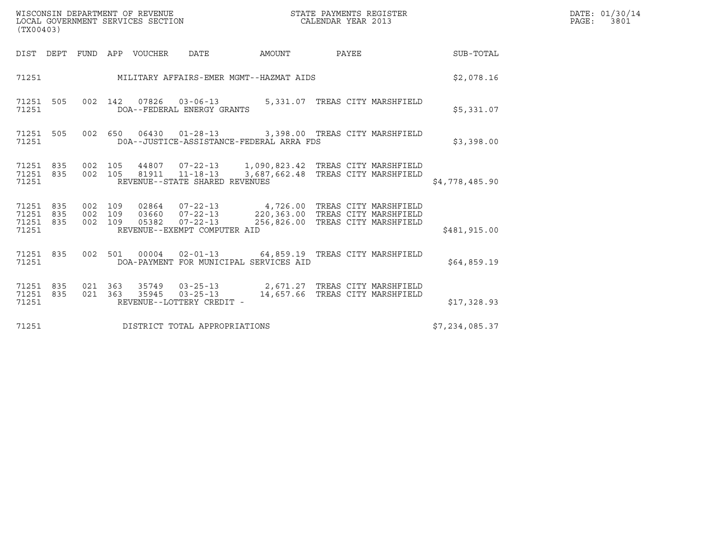| WISCONSIN DEPARTMENT OF REVENUE   | STATE PAYMENTS REGISTER | DATE: 01/30/14 |
|-----------------------------------|-------------------------|----------------|
| LOCAL GOVERNMENT SERVICES SECTION | CALENDAR YEAR 2013      | PAGE:<br>3801  |

| (TX00403)                                                                  |                                                                                                                                                           |                |
|----------------------------------------------------------------------------|-----------------------------------------------------------------------------------------------------------------------------------------------------------|----------------|
| DEPT<br>FUND<br>DIST                                                       | APP<br>VOUCHER<br><b>DATE</b><br>PAYEE<br>AMOUNT                                                                                                          | SUB-TOTAL      |
| 71251                                                                      | MILITARY AFFAIRS-EMER MGMT--HAZMAT AIDS                                                                                                                   | \$2,078.16     |
| 002<br>71251<br>505<br>71251                                               | 142<br>07826<br>5,331.07 TREAS CITY MARSHFIELD<br>$03 - 06 - 13$<br>DOA--FEDERAL ENERGY GRANTS                                                            | \$5,331.07     |
| 71251<br>505<br>71251                                                      | 002 650<br>06430  01-28-13  3,398.00  TREAS CITY MARSHFIELD<br>DOA--JUSTICE-ASSISTANCE-FEDERAL ARRA FDS                                                   | \$3,398.00     |
| 71251<br>835<br>71251 835<br>71251                                         | 002 105<br>81911  11-18-13  3,687,662.48  TREAS CITY MARSHFIELD<br>002 105<br>REVENUE--STATE SHARED REVENUES                                              | \$4,778,485.90 |
| 71251<br>835<br>002<br>71251<br>835<br>002<br>002<br>71251<br>835<br>71251 | 109<br>109<br>109<br>$07 - 22 - 13$<br>256,826.00 TREAS CITY MARSHFIELD<br>05382<br>REVENUE--EXEMPT COMPUTER AID                                          | \$481,915.00   |
| 71251<br>835<br>002<br>71251                                               | 02-01-13 64,859.19 TREAS CITY MARSHFIELD<br>501<br>00004<br>DOA-PAYMENT FOR MUNICIPAL SERVICES AID                                                        | \$64,859.19    |
| 021<br>71251<br>835<br>021<br>71251<br>835<br>71251                        | 363<br>35749  03-25-13  2,671.27  TREAS CITY MARSHFIELD<br>$03 - 25 - 13$<br>363<br>35945<br>14,657.66 TREAS CITY MARSHFIELD<br>REVENUE--LOTTERY CREDIT - | \$17,328.93    |
| 71251                                                                      | DISTRICT TOTAL APPROPRIATIONS                                                                                                                             | \$7,234,085.37 |

(TX00403)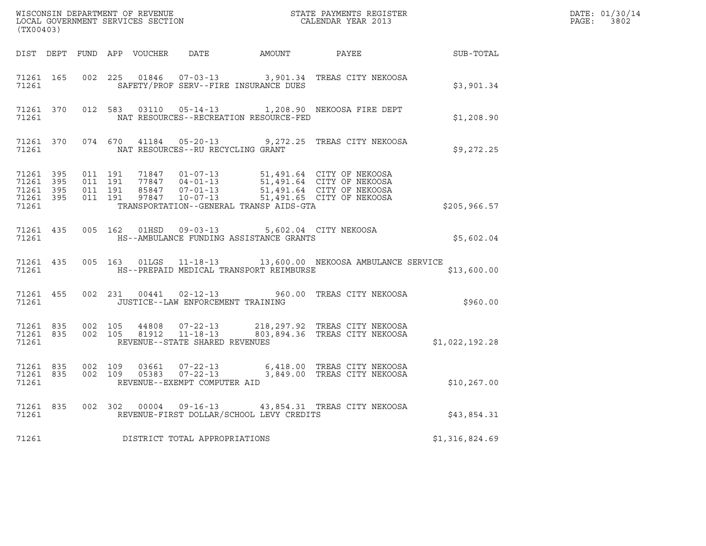| ${\tt WISCONSIM\ DEPARTMENT\ OF\ REVENUE}\qquad \qquad {\tt STATE\ PAYMENTS\ REGISTER} \\ {\tt LOCAL\ GOVERNMENT\ SERVICES\ SECTION}\qquad \qquad {\tt CALENDAR\ YEAR\ 2013}$<br>(TX00403) |       |  |  |  |                                                                                                   |                                                                                                                                                                                                                                                                                                         | $R = \frac{1}{2}$ | DATE: 01/30/14<br>PAGE: 3802 |
|--------------------------------------------------------------------------------------------------------------------------------------------------------------------------------------------|-------|--|--|--|---------------------------------------------------------------------------------------------------|---------------------------------------------------------------------------------------------------------------------------------------------------------------------------------------------------------------------------------------------------------------------------------------------------------|-------------------|------------------------------|
|                                                                                                                                                                                            |       |  |  |  |                                                                                                   | DIST DEPT FUND APP VOUCHER DATE AMOUNT PAYEE SUB-TOTAL                                                                                                                                                                                                                                                  |                   |                              |
|                                                                                                                                                                                            | 71261 |  |  |  | SAFETY/PROF SERV--FIRE INSURANCE DUES                                                             | 71261 165 002 225 01846 07-03-13 3,901.34 TREAS CITY NEKOOSA                                                                                                                                                                                                                                            | \$3,901.34        |                              |
|                                                                                                                                                                                            | 71261 |  |  |  | NAT RESOURCES--RECREATION RESOURCE-FED                                                            | 71261 370 012 583 03110 05-14-13 1,208.90 NEKOOSA FIRE DEPT                                                                                                                                                                                                                                             | \$1,208.90        |                              |
|                                                                                                                                                                                            | 71261 |  |  |  | NAT RESOURCES--RU RECYCLING GRANT                                                                 | 71261 370 074 670 41184 05-20-13 9,272.25 TREAS CITY NEKOOSA                                                                                                                                                                                                                                            | \$9,272.25        |                              |
|                                                                                                                                                                                            |       |  |  |  | 71261 TRANSPORTATION--GENERAL TRANSP AIDS-GTA                                                     | $\begin{tabular}{cccccc}71261 & 395 & 011 & 191 & 71847 & 01-07-13 & 51,491.64 & CITY OF NEKOOSA \\ 71261 & 395 & 011 & 191 & 77847 & 04-01-13 & 51,491.64 & CITY OF NEKOOSA \\ 71261 & 395 & 011 & 191 & 85847 & 07-01-13 & 51,491.64 & CITY OF NEKOOSA \\ 71261 & 395 & 011 & 191 & 97847 & 10-07-13$ | \$205,966.57      |                              |
| 71261                                                                                                                                                                                      |       |  |  |  | 71261 435 005 162 01HSD 09-03-13 5,602.04 CITY NEKOOSA<br>HS--AMBULANCE FUNDING ASSISTANCE GRANTS |                                                                                                                                                                                                                                                                                                         | \$5,602.04        |                              |
|                                                                                                                                                                                            | 71261 |  |  |  | HS--PREPAID MEDICAL TRANSPORT REIMBURSE                                                           | 71261 435 005 163 01LGS 11-18-13 13,600.00 NEKOOSA AMBULANCE SERVICE                                                                                                                                                                                                                                    | \$13,600.00       |                              |
|                                                                                                                                                                                            | 71261 |  |  |  | JUSTICE--LAW ENFORCEMENT TRAINING                                                                 | 71261 455 002 231 00441 02-12-13 960.00 TREAS CITY NEKOOSA                                                                                                                                                                                                                                              | \$960.00          |                              |
|                                                                                                                                                                                            | 71261 |  |  |  | REVENUE--STATE SHARED REVENUES                                                                    | 71261 835 002 105 44808 07-22-13 218,297.92 TREAS CITY NEKOOSA<br>71261 835 002 105 81912 11-18-13 803,894.36 TREAS CITY NEKOOSA                                                                                                                                                                        | \$1,022,192.28    |                              |
|                                                                                                                                                                                            | 71261 |  |  |  | REVENUE--EXEMPT COMPUTER AID                                                                      | 71261 835 002 109 03661 07-22-13 6,418.00 TREAS CITY NEKOOSA<br>71261 835 002 109 05383 07-22-13 3,849.00 TREAS CITY NEKOOSA                                                                                                                                                                            | \$10, 267.00      |                              |
|                                                                                                                                                                                            |       |  |  |  | 71261 REVENUE-FIRST DOLLAR/SCHOOL LEVY CREDITS                                                    | 71261 835 002 302 00004 09-16-13 43,854.31 TREAS CITY NEKOOSA                                                                                                                                                                                                                                           | \$43,854.31       |                              |
| 71261                                                                                                                                                                                      |       |  |  |  | DISTRICT TOTAL APPROPRIATIONS                                                                     |                                                                                                                                                                                                                                                                                                         | \$1,316,824.69    |                              |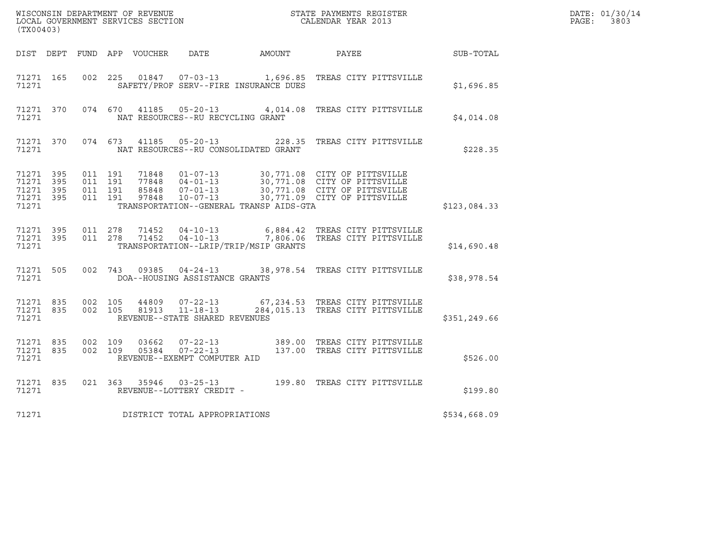| (TX00403)                                                 |           |                    |                    |                        |                                                                            |                                         |                                                                                                                                                                                                      |                  | DATE: 01/30/14<br>PAGE: 3803 |
|-----------------------------------------------------------|-----------|--------------------|--------------------|------------------------|----------------------------------------------------------------------------|-----------------------------------------|------------------------------------------------------------------------------------------------------------------------------------------------------------------------------------------------------|------------------|------------------------------|
|                                                           |           |                    |                    |                        | DIST DEPT FUND APP VOUCHER DATE AMOUNT PAYEE                               |                                         |                                                                                                                                                                                                      | <b>SUB-TOTAL</b> |                              |
| 71271 165<br>71271                                        |           |                    | 002 225            |                        |                                                                            | SAFETY/PROF SERV--FIRE INSURANCE DUES   | 01847  07-03-13    1,696.85    TREAS CITY PITTSVILLE                                                                                                                                                 | \$1,696.85       |                              |
| 71271                                                     |           |                    |                    |                        | NAT RESOURCES--RU RECYCLING GRANT                                          |                                         | 71271 370 074 670 41185 05-20-13 4,014.08 TREAS CITY PITTSVILLE                                                                                                                                      | \$4,014.08       |                              |
| 71271                                                     | 71271 370 |                    |                    |                        |                                                                            | NAT RESOURCES--RU CONSOLIDATED GRANT    | 074 673 41185 05-20-13 228.35 TREAS CITY PITTSVILLE                                                                                                                                                  | \$228.35         |                              |
| 71271 395<br>71271 395<br>71271 395<br>71271 395<br>71271 |           | 011 191<br>011 191 | 011 191<br>011 191 |                        |                                                                            | TRANSPORTATION--GENERAL TRANSP AIDS-GTA | 71848  01-07-13  30,771.08  CITY OF PITTSVILLE<br>77848  04-01-13  30,771.08  CITY OF PITTSVILLE<br>85848  07-01-13  30,771.08  CITY OF PITTSVILLE<br>97848  10-07-13  30,771.09  CITY OF PITTSVILLE | \$123,084.33     |                              |
| 71271 395<br>71271                                        | 71271 395 |                    | 011 278            | 71452<br>011 278 71452 |                                                                            | TRANSPORTATION--LRIP/TRIP/MSIP GRANTS   | 04-10-13 6,884.42 TREAS CITY PITTSVILLE<br>04-10-13 7,806.06 TREAS CITY PITTSVILLE                                                                                                                   | \$14,690.48      |                              |
| 71271                                                     | 71271 505 |                    |                    |                        | DOA--HOUSING ASSISTANCE GRANTS                                             |                                         | 002 743 09385 04-24-13 38,978.54 TREAS CITY PITTSVILLE                                                                                                                                               | \$38,978.54      |                              |
| 71271 835<br>71271                                        | 71271 835 | 002 105            |                    | 44809                  | $07 - 22 - 13$<br>002 105 81913 11-18-13<br>REVENUE--STATE SHARED REVENUES |                                         | 67,234.53 TREAS CITY PITTSVILLE<br>284,015.13 TREAS CITY PITTSVILLE                                                                                                                                  | \$351,249.66     |                              |
| 71271 835<br>71271                                        | 71271 835 | 002 109            | 002 109            | 03662<br>05384         | $07 - 22 - 13$<br>07-22-13<br>REVENUE--EXEMPT COMPUTER AID                 |                                         | 389.00 TREAS CITY PITTSVILLE<br>137.00 TREAS CITY PITTSVILLE                                                                                                                                         | \$526.00         |                              |
| 71271 835<br>71271                                        |           |                    | 021 363            |                        | REVENUE--LOTTERY CREDIT -                                                  |                                         | 35946  03-25-13  199.80 TREAS CITY PITTSVILLE                                                                                                                                                        | \$199.80         |                              |
| 71271                                                     |           |                    |                    |                        | DISTRICT TOTAL APPROPRIATIONS                                              |                                         |                                                                                                                                                                                                      | \$534,668.09     |                              |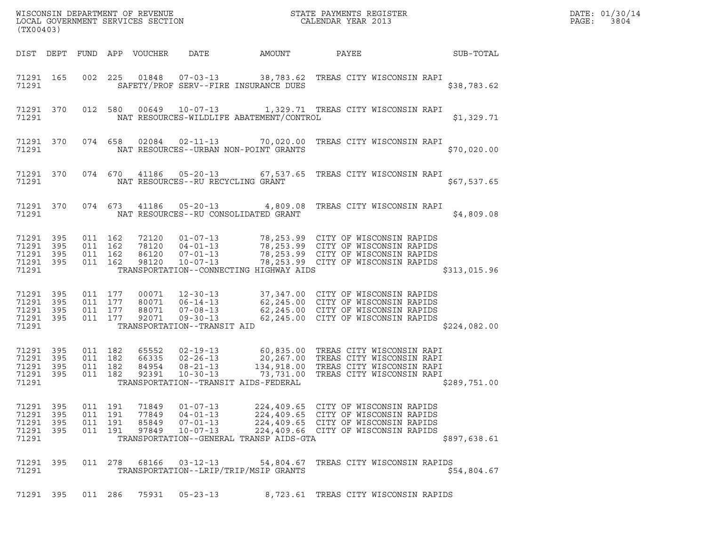| (TX00403)                                                 |           |                                          |         |                                  |                                                                                                     |                                          | ${\tt WISCO} {\tt NSM} {\tt NEDAR} {\tt TMB} {\tt NFWENT} {\tt NFWENT} {\tt STATE} {\tt PAYMENTS} {\tt REGISTER} {\tt LOCALENDAR} {\tt VERNMBNT} {\tt SERVICES} {\tt SECTION} {\tt NCHENDAR} {\tt YEAR} 2013$ |              | DATE: 01/30/14<br>PAGE:<br>3804 |
|-----------------------------------------------------------|-----------|------------------------------------------|---------|----------------------------------|-----------------------------------------------------------------------------------------------------|------------------------------------------|---------------------------------------------------------------------------------------------------------------------------------------------------------------------------------------------------------------|--------------|---------------------------------|
|                                                           |           |                                          |         | DIST DEPT FUND APP VOUCHER       | DATE                                                                                                | AMOUNT                                   | PAYEE                                                                                                                                                                                                         | SUB-TOTAL    |                                 |
| 71291 165<br>71291                                        |           |                                          | 002 225 |                                  | 01848  07-03-13                                                                                     | SAFETY/PROF SERV--FIRE INSURANCE DUES    | 38,783.62 TREAS CITY WISCONSIN RAPI                                                                                                                                                                           | \$38,783.62  |                                 |
| 71291                                                     | 71291 370 |                                          | 012 580 |                                  | 00649 10-07-13                                                                                      | NAT RESOURCES-WILDLIFE ABATEMENT/CONTROL | 1,329.71 TREAS CITY WISCONSIN RAPI                                                                                                                                                                            | \$1,329.71   |                                 |
| 71291                                                     | 71291 370 |                                          | 074 658 |                                  |                                                                                                     | NAT RESOURCES--URBAN NON-POINT GRANTS    | 02084  02-11-13  70,020.00  TREAS CITY WISCONSIN RAPI                                                                                                                                                         | \$70,020.00  |                                 |
| 71291                                                     | 71291 370 |                                          |         |                                  | 074 670 41186 05-20-13<br>NAT RESOURCES--RU RECYCLING GRANT                                         |                                          | 67,537.65   TREAS CITY WISCONSIN RAPI                                                                                                                                                                         | \$67,537.65  |                                 |
| 71291                                                     | 71291 370 |                                          | 074 673 |                                  |                                                                                                     | NAT RESOURCES--RU CONSOLIDATED GRANT     | 41186  05-20-13  4,809.08  TREAS CITY WISCONSIN RAPI                                                                                                                                                          | \$4,809.08   |                                 |
| 71291 395<br>71291<br>71291 395<br>71291 395<br>71291     | 395       | 011 162<br>011 162<br>011 162<br>011 162 |         | 72120<br>78120<br>86120<br>98120 | $04 - 01 - 13$<br>$07 - 01 - 13$<br>$10 - 07 - 13$                                                  | TRANSPORTATION--CONNECTING HIGHWAY AIDS  | 01-07-13 78,253.99 CITY OF WISCONSIN RAPIDS<br>78,253.99 CITY OF WISCONSIN RAPIDS<br>78,253.88 CITY OF WISCONSIN RAPIDS<br>78,253.99 CITY OF WISCONSIN RAPIDS<br>78,253.99 CITY OF WISCONSIN RAPIDS           | \$313,015.96 |                                 |
| 71291 395<br>71291 395<br>71291 395<br>71291 395<br>71291 |           | 011 177<br>011 177<br>011 177<br>011 177 |         | 00071<br>88071<br>92071          | $12 - 30 - 13$<br>80071 06-14-13<br>$07 - 08 - 13$<br>$09 - 30 - 13$<br>TRANSPORTATION--TRANSIT AID |                                          | 37,347.00 CITY OF WISCONSIN RAPIDS<br>62,245.00 CITY OF WISCONSIN RAPIDS<br>$62,245.00$ CITY OF WISCONSIN RAPIDS<br>62,245.00 CITY OF WISCONSIN RAPIDS                                                        | \$224,082.00 |                                 |
| 71291 395<br>71291<br>71291 395<br>71291 395<br>71291     | 395       | 011 182<br>011 182<br>011 182<br>011 182 |         | 65552<br>66335<br>84954<br>92391 | $02 - 19 - 13$<br>$02 - 26 - 13$<br>$08 - 21 - 13$<br>$10 - 30 - 13$                                | TRANSPORTATION--TRANSIT AIDS-FEDERAL     | 60,835.00 TREAS CITY WISCONSIN RAPI<br>20,267.00 TREAS CITY WISCONSIN RAPI<br>134,918.00 TREAS CITY WISCONSIN RAPI<br>73,731.00 TREAS CITY WISCONSIN RAPI                                                     | \$289,751.00 |                                 |
| 71291<br>71291 395<br>71291 395<br>71291 395<br>71291     | 395       | 011 191<br>011 191<br>011 191<br>011 191 |         | 71849<br>77849<br>85849<br>97849 | $01 - 07 - 13$<br>$04 - 01 - 13$<br>$07 - 01 - 13$<br>$10 - 07 - 13$                                | TRANSPORTATION--GENERAL TRANSP AIDS-GTA  | 224,409.65 CITY OF WISCONSIN RAPIDS<br>224,409.65 CITY OF WISCONSIN RAPIDS<br>224,409.65 CITY OF WISCONSIN RAPIDS<br>224,409.66 CITY OF WISCONSIN RAPIDS                                                      | \$897,638.61 |                                 |
| 71291 395<br>71291                                        |           |                                          | 011 278 | 68166                            | $03 - 12 - 13$                                                                                      | TRANSPORTATION--LRIP/TRIP/MSIP GRANTS    | 54,804.67 TREAS CITY WISCONSIN RAPIDS                                                                                                                                                                         | \$54,804.67  |                                 |
| 71291 395                                                 |           | 011 286                                  |         | 75931                            | $05 - 23 - 13$                                                                                      |                                          | 8,723.61 TREAS CITY WISCONSIN RAPIDS                                                                                                                                                                          |              |                                 |